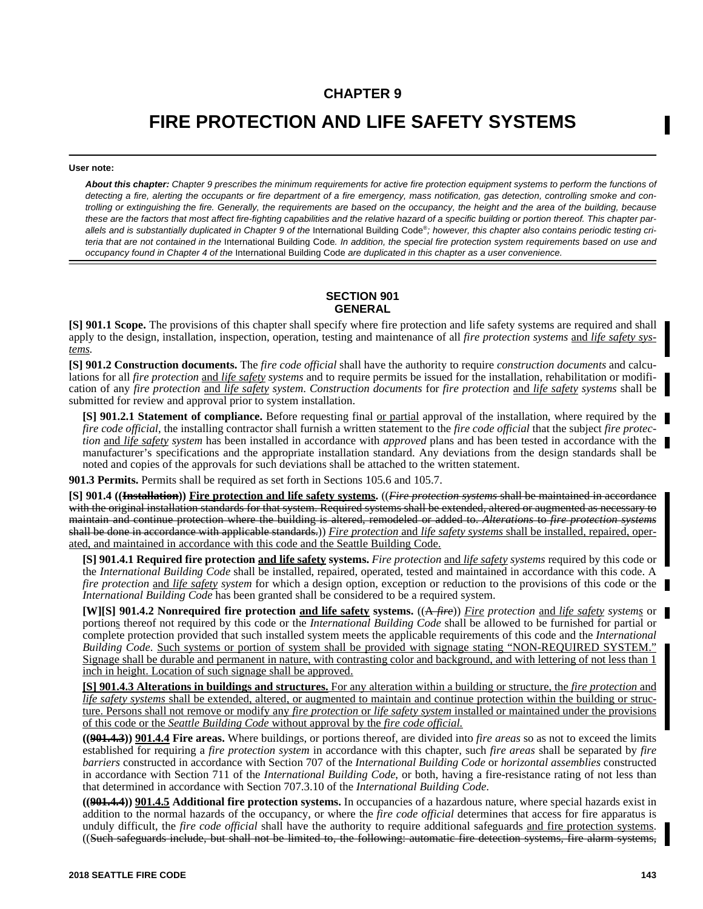# **CHAPTER 9**

# **FIRE PROTECTION AND LIFE SAFETY SYSTEMS**

#### **User note:**

*About this chapter: Chapter 9 prescribes the minimum requirements for active fire protection equipment systems to perform the functions of detecting a fire, alerting the occupants or fire department of a fire emergency, mass notification, gas detection, controlling smoke and controlling or extinguishing the fire. Generally, the requirements are based on the occupancy, the height and the area of the building, because these are the factors that most affect fire-fighting capabilities and the relative hazard of a specific building or portion thereof. This chapter par*allels and is substantially duplicated in Chapter 9 of the International Building Code®; however, this chapter also contains periodic testing cri*teria that are not contained in the* International Building Code*. In addition, the special fire protection system requirements based on use and occupancy found in Chapter 4 of the* International Building Code *are duplicated in this chapter as a user convenience.*

# **SECTION 901 GENERAL**

**[S] 901.1 Scope.** The provisions of this chapter shall specify where fire protection and life safety systems are required and shall apply to the design, installation, inspection, operation, testing and maintenance of all *fire protection systems* and *life safety systems.*

**[S] 901.2 Construction documents.** The *fire code official* shall have the authority to require *construction documents* and calculations for all *fire protection* and *life safety systems* and to require permits be issued for the installation, rehabilitation or modification of any *fire protection* and *life safety system*. *Construction documents* for *fire protection* and *life safety systems* shall be submitted for review and approval prior to system installation.

**[S] 901.2.1 Statement of compliance.** Before requesting final <u>or partial</u> approval of the installation, where required by the *fire code official*, the installing contractor shall furnish a written statement to the *fire code official* that the subject *fire protection* and *life safety system* has been installed in accordance with *approved* plans and has been tested in accordance with the manufacturer's specifications and the appropriate installation standard. Any deviations from the design standards shall be noted and copies of the approvals for such deviations shall be attached to the written statement.

**901.3 Permits.** Permits shall be required as set forth in Sections 105.6 and 105.7.

**[S] 901.4 ((Installation)) Fire protection and life safety systems.** ((*Fire protection systems* shall be maintained in accordance with the original installation standards for that system. Required systems shall be extended, altered or augmented as necessary to maintain and continue protection where the building is altered, remodeled or added to. *Alterations* to *fire protection systems* shall be done in accordance with applicable standards.)) *Fire protection* and *life safety systems* shall be installed, repaired, operated, and maintained in accordance with this code and the Seattle Building Code.

**[S] 901.4.1 Required fire protection and life safety systems.** *Fire protection* and *life safety systems* required by this code or the *International Building Code* shall be installed, repaired, operated, tested and maintained in accordance with this code. A *fire protection* and *life safety system* for which a design option, exception or reduction to the provisions of this code or the *International Building Code* has been granted shall be considered to be a required system.

**[W][S] 901.4.2 Nonrequired fire protection and life safety systems.** ((A *fire*)) *Fire protection* and *life safety systems* or portions thereof not required by this code or the *International Building Code* shall be allowed to be furnished for partial or complete protection provided that such installed system meets the applicable requirements of this code and the *International Building Code*. Such systems or portion of system shall be provided with signage stating "NON-REQUIRED SYSTEM." Signage shall be durable and permanent in nature, with contrasting color and background, and with lettering of not less than 1 inch in height. Location of such signage shall be approved.

**[S] 901.4.3 Alterations in buildings and structures.** For any alteration within a building or structure, the *fire protection* and *life safety systems* shall be extended, altered, or augmented to maintain and continue protection within the building or structure. Persons shall not remove or modify any *fire protection* or *life safety system* installed or maintained under the provisions of this code or the *Seattle Building Code* without approval by the *fire code official.*

**((901.4.3)) 901.4.4 Fire areas.** Where buildings, or portions thereof, are divided into *fire areas* so as not to exceed the limits established for requiring a *fire protection system* in accordance with this chapter, such *fire areas* shall be separated by *fire barriers* constructed in accordance with Section 707 of the *International Building Code* or *horizontal assemblies* constructed in accordance with Section 711 of the *International Building Code*, or both, having a fire-resistance rating of not less than that determined in accordance with Section 707.3.10 of the *International Building Code*.

**((901.4.4)) 901.4.5 Additional fire protection systems.** In occupancies of a hazardous nature, where special hazards exist in addition to the normal hazards of the occupancy, or where the *fire code official* determines that access for fire apparatus is unduly difficult, the *fire code official* shall have the authority to require additional safeguards and fire protection systems. ((Such safeguards include, but shall not be limited to, the following: automatic fire detection systems, fire alarm systems,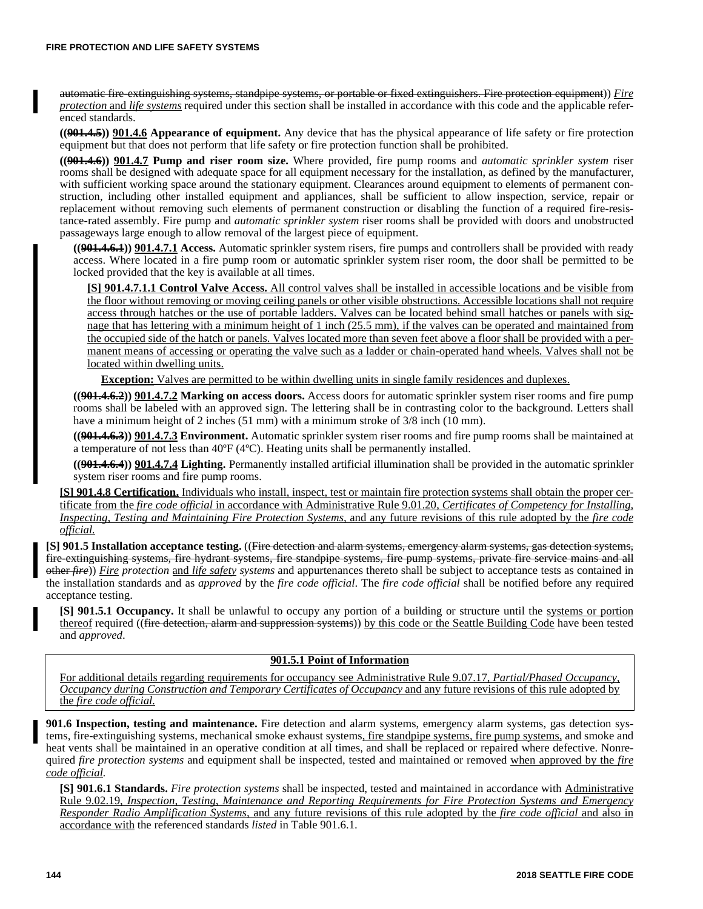automatic fire-extinguishing systems, standpipe systems, or portable or fixed extinguishers. Fire protection equipment)) *Fire protection* and *life systems* required under this section shall be installed in accordance with this code and the applicable referenced standards.

**((901.4.5)) 901.4.6 Appearance of equipment.** Any device that has the physical appearance of life safety or fire protection equipment but that does not perform that life safety or fire protection function shall be prohibited.

**((901.4.6)) 901.4.7 Pump and riser room size.** Where provided, fire pump rooms and *automatic sprinkler system* riser rooms shall be designed with adequate space for all equipment necessary for the installation, as defined by the manufacturer, with sufficient working space around the stationary equipment. Clearances around equipment to elements of permanent construction, including other installed equipment and appliances, shall be sufficient to allow inspection, service, repair or replacement without removing such elements of permanent construction or disabling the function of a required fire-resistance-rated assembly. Fire pump and *automatic sprinkler system* riser rooms shall be provided with doors and unobstructed passageways large enough to allow removal of the largest piece of equipment.

**((901.4.6.1)) 901.4.7.1 Access.** Automatic sprinkler system risers, fire pumps and controllers shall be provided with ready access. Where located in a fire pump room or automatic sprinkler system riser room, the door shall be permitted to be locked provided that the key is available at all times.

**[S] 901.4.7.1.1 Control Valve Access.** All control valves shall be installed in accessible locations and be visible from the floor without removing or moving ceiling panels or other visible obstructions. Accessible locations shall not require access through hatches or the use of portable ladders. Valves can be located behind small hatches or panels with signage that has lettering with a minimum height of 1 inch (25.5 mm), if the valves can be operated and maintained from the occupied side of the hatch or panels. Valves located more than seven feet above a floor shall be provided with a permanent means of accessing or operating the valve such as a ladder or chain-operated hand wheels. Valves shall not be located within dwelling units.

**Exception:** Valves are permitted to be within dwelling units in single family residences and duplexes.

**((901.4.6.2)) 901.4.7.2 Marking on access doors.** Access doors for automatic sprinkler system riser rooms and fire pump rooms shall be labeled with an approved sign. The lettering shall be in contrasting color to the background. Letters shall have a minimum height of 2 inches (51 mm) with a minimum stroke of 3/8 inch (10 mm).

**((901.4.6.3)) 901.4.7.3 Environment.** Automatic sprinkler system riser rooms and fire pump rooms shall be maintained at a temperature of not less than 40ºF (4ºC). Heating units shall be permanently installed.

**((901.4.6.4)) 901.4.7.4 Lighting.** Permanently installed artificial illumination shall be provided in the automatic sprinkler system riser rooms and fire pump rooms.

**[S] 901.4.8 Certification.** Individuals who install, inspect, test or maintain fire protection systems shall obtain the proper certificate from the *fire code official* in accordance with Administrative Rule 9.01.20, *Certificates of Competency for Installing, Inspecting, Testing and Maintaining Fire Protection Systems,* and any future revisions of this rule adopted by the *fire code official.*

**[S] 901.5 Installation acceptance testing.** ((Fire detection and alarm systems, emergency alarm systems, gas detection systems, fire-extinguishing systems, fire hydrant systems, fire standpipe systems, fire pump systems, private fire service mains and all other *fire*)) *Fire protection* and *life safety systems* and appurtenances thereto shall be subject to acceptance tests as contained in the installation standards and as *approved* by the *fire code official*. The *fire code official* shall be notified before any required acceptance testing.

**[S] 901.5.1 Occupancy.** It shall be unlawful to occupy any portion of a building or structure until the systems or portion thereof required ((fire detection, alarm and suppression systems)) by this code or the Seattle Building Code have been tested and *approved*.

### **901.5.1 Point of Information**

For additional details regarding requirements for occupancy see Administrative Rule 9.07.17, *Partial/Phased Occupancy, Occupancy during Construction and Temporary Certificates of Occupancy* and any future revisions of this rule adopted by the *fire code official.*

**901.6 Inspection, testing and maintenance.** Fire detection and alarm systems, emergency alarm systems, gas detection systems, fire-extinguishing systems, mechanical smoke exhaust systems, fire standpipe systems, fire pump systems, and smoke and heat vents shall be maintained in an operative condition at all times, and shall be replaced or repaired where defective. Nonrequired *fire protection systems* and equipment shall be inspected, tested and maintained or removed when approved by the *fire code official.*

**[S] 901.6.1 Standards.** *Fire protection systems* shall be inspected, tested and maintained in accordance with Administrative Rule 9.02.19, *Inspection, Testing, Maintenance and Reporting Requirements for Fire Protection Systems and Emergency Responder Radio Amplification Systems,* and any future revisions of this rule adopted by the *fire code official* and also in accordance with the referenced standards *listed* in Table 901.6.1.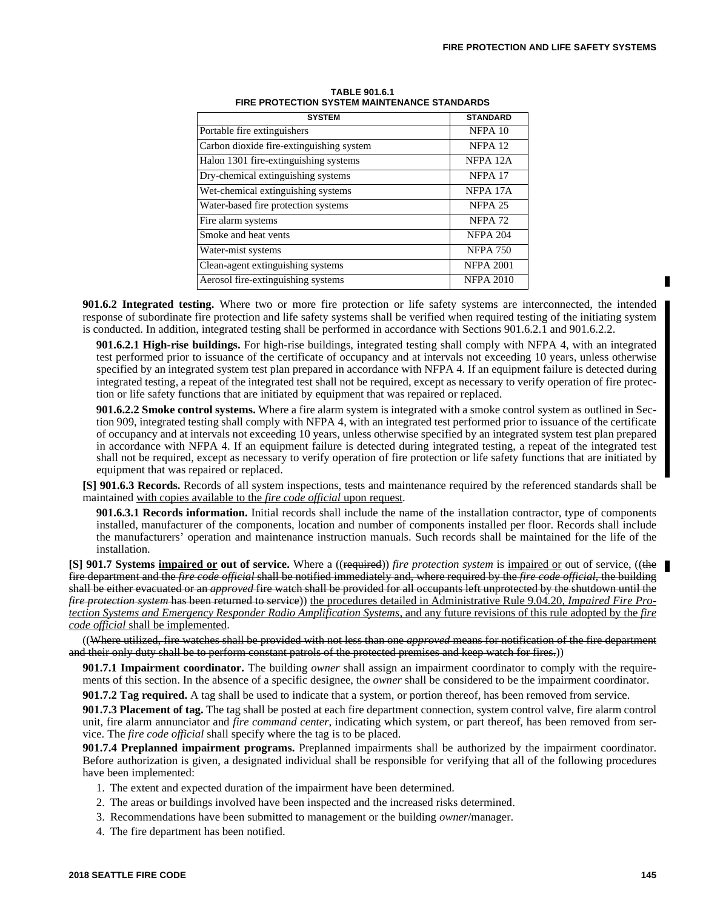| <b>SYSTEM</b>                            | <b>STANDARD</b>    |
|------------------------------------------|--------------------|
| Portable fire extinguishers              | NFPA 10            |
| Carbon dioxide fire-extinguishing system | NFPA <sub>12</sub> |
| Halon 1301 fire-extinguishing systems    | NFPA 12A           |
| Dry-chemical extinguishing systems       | NFPA 17            |
| Wet-chemical extinguishing systems       | NFPA 17A           |
| Water-based fire protection systems      | NFPA <sub>25</sub> |
| Fire alarm systems                       | NFPA <sub>72</sub> |
| Smoke and heat vents                     | <b>NFPA 204</b>    |
| Water-mist systems                       | <b>NFPA 750</b>    |
| Clean-agent extinguishing systems        | <b>NFPA 2001</b>   |
| Aerosol fire-extinguishing systems       | <b>NFPA 2010</b>   |

**TABLE 901.6.1 FIRE PROTECTION SYSTEM MAINTENANCE STANDARDS**

**901.6.2 Integrated testing.** Where two or more fire protection or life safety systems are interconnected, the intended response of subordinate fire protection and life safety systems shall be verified when required testing of the initiating system is conducted. In addition, integrated testing shall be performed in accordance with Sections 901.6.2.1 and 901.6.2.2.

**901.6.2.1 High-rise buildings.** For high-rise buildings, integrated testing shall comply with NFPA 4, with an integrated test performed prior to issuance of the certificate of occupancy and at intervals not exceeding 10 years, unless otherwise specified by an integrated system test plan prepared in accordance with NFPA 4. If an equipment failure is detected during integrated testing, a repeat of the integrated test shall not be required, except as necessary to verify operation of fire protection or life safety functions that are initiated by equipment that was repaired or replaced.

**901.6.2.2 Smoke control systems.** Where a fire alarm system is integrated with a smoke control system as outlined in Section 909, integrated testing shall comply with NFPA 4, with an integrated test performed prior to issuance of the certificate of occupancy and at intervals not exceeding 10 years, unless otherwise specified by an integrated system test plan prepared in accordance with NFPA 4. If an equipment failure is detected during integrated testing, a repeat of the integrated test shall not be required, except as necessary to verify operation of fire protection or life safety functions that are initiated by equipment that was repaired or replaced.

**[S] 901.6.3 Records.** Records of all system inspections, tests and maintenance required by the referenced standards shall be maintained with copies available to the *fire code official* upon request.

**901.6.3.1 Records information.** Initial records shall include the name of the installation contractor, type of components installed, manufacturer of the components, location and number of components installed per floor. Records shall include the manufacturers' operation and maintenance instruction manuals. Such records shall be maintained for the life of the installation.

**[S] 901.7 Systems impaired or out of service.** Where a ((required)) *fire protection system* is impaired or out of service, ((the fire department and the *fire code official* shall be notified immediately and, where required by the *fire code official*, the building shall be either evacuated or an *approved* fire watch shall be provided for all occupants left unprotected by the shutdown until the *fire protection system* has been returned to service)) the procedures detailed in Administrative Rule 9.04.20, *Impaired Fire Protection Systems and Emergency Responder Radio Amplification Systems,* and any future revisions of this rule adopted by the *fire code official* shall be implemented.

((Where utilized, fire watches shall be provided with not less than one *approved* means for notification of the fire department and their only duty shall be to perform constant patrols of the protected premises and keep watch for fires.))

**901.7.1 Impairment coordinator.** The building *owner* shall assign an impairment coordinator to comply with the requirements of this section. In the absence of a specific designee, the *owner* shall be considered to be the impairment coordinator.

**901.7.2 Tag required.** A tag shall be used to indicate that a system, or portion thereof, has been removed from service.

**901.7.3 Placement of tag.** The tag shall be posted at each fire department connection, system control valve, fire alarm control unit, fire alarm annunciator and *fire command center*, indicating which system, or part thereof, has been removed from service. The *fire code official* shall specify where the tag is to be placed.

**901.7.4 Preplanned impairment programs.** Preplanned impairments shall be authorized by the impairment coordinator. Before authorization is given, a designated individual shall be responsible for verifying that all of the following procedures have been implemented:

- 1. The extent and expected duration of the impairment have been determined.
- 2. The areas or buildings involved have been inspected and the increased risks determined.
- 3. Recommendations have been submitted to management or the building *owner*/manager.
- 4. The fire department has been notified.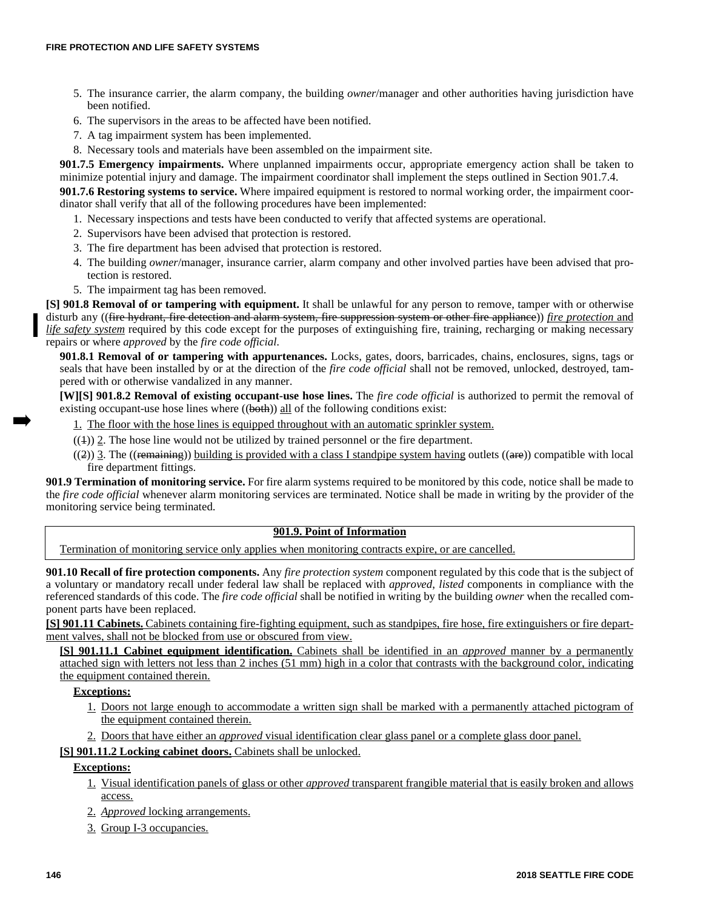- 5. The insurance carrier, the alarm company, the building *owner*/manager and other authorities having jurisdiction have been notified.
- 6. The supervisors in the areas to be affected have been notified.
- 7. A tag impairment system has been implemented.
- 8. Necessary tools and materials have been assembled on the impairment site.

**901.7.5 Emergency impairments.** Where unplanned impairments occur, appropriate emergency action shall be taken to minimize potential injury and damage. The impairment coordinator shall implement the steps outlined in Section 901.7.4.

**901.7.6 Restoring systems to service.** Where impaired equipment is restored to normal working order, the impairment coordinator shall verify that all of the following procedures have been implemented:

- 1. Necessary inspections and tests have been conducted to verify that affected systems are operational.
- 2. Supervisors have been advised that protection is restored.
- 3. The fire department has been advised that protection is restored.
- 4. The building *owner*/manager, insurance carrier, alarm company and other involved parties have been advised that protection is restored.
- 5. The impairment tag has been removed.

**[S] 901.8 Removal of or tampering with equipment.** It shall be unlawful for any person to remove, tamper with or otherwise disturb any ((fire hydrant, fire detection and alarm system, fire suppression system or other fire appliance)) *fire protection* and *life safety system* required by this code except for the purposes of extinguishing fire, training, recharging or making necessary repairs or where *approved* by the *fire code official*.

**901.8.1 Removal of or tampering with appurtenances.** Locks, gates, doors, barricades, chains, enclosures, signs, tags or seals that have been installed by or at the direction of the *fire code official* shall not be removed, unlocked, destroyed, tampered with or otherwise vandalized in any manner.

**[W][S] 901.8.2 Removal of existing occupant-use hose lines.** The *fire code official* is authorized to permit the removal of existing occupant-use hose lines where  $((\text{both}))$  all of the following conditions exist:

1. The floor with the hose lines is equipped throughout with an automatic sprinkler system.

- $((+)$  2. The hose line would not be utilized by trained personnel or the fire department.
- $((2))$  3. The ((remaining)) building is provided with a class I standpipe system having outlets ((are)) compatible with local fire department fittings.

**901.9 Termination of monitoring service.** For fire alarm systems required to be monitored by this code, notice shall be made to the *fire code official* whenever alarm monitoring services are terminated. Notice shall be made in writing by the provider of the monitoring service being terminated.

# **901.9. Point of Information**

Termination of monitoring service only applies when monitoring contracts expire, or are cancelled.

**901.10 Recall of fire protection components.** Any *fire protection system* component regulated by this code that is the subject of a voluntary or mandatory recall under federal law shall be replaced with *approved*, *listed* components in compliance with the referenced standards of this code. The *fire code official* shall be notified in writing by the building *owner* when the recalled component parts have been replaced.

**[S] 901.11 Cabinets.** Cabinets containing fire-fighting equipment, such as standpipes, fire hose, fire extinguishers or fire department valves, shall not be blocked from use or obscured from view.

**[S] 901.11.1 Cabinet equipment identification.** Cabinets shall be identified in an *approved* manner by a permanently attached sign with letters not less than 2 inches (51 mm) high in a color that contrasts with the background color, indicating the equipment contained therein.

### **Exceptions:**

- 1. Doors not large enough to accommodate a written sign shall be marked with a permanently attached pictogram of the equipment contained therein.
- 2. Doors that have either an *approved* visual identification clear glass panel or a complete glass door panel.

### **[S] 901.11.2 Locking cabinet doors.** Cabinets shall be unlocked.

# **Exceptions:**

- 1. Visual identification panels of glass or other *approved* transparent frangible material that is easily broken and allows access.
- 2. *Approved* locking arrangements.
- 3. Group I-3 occupancies.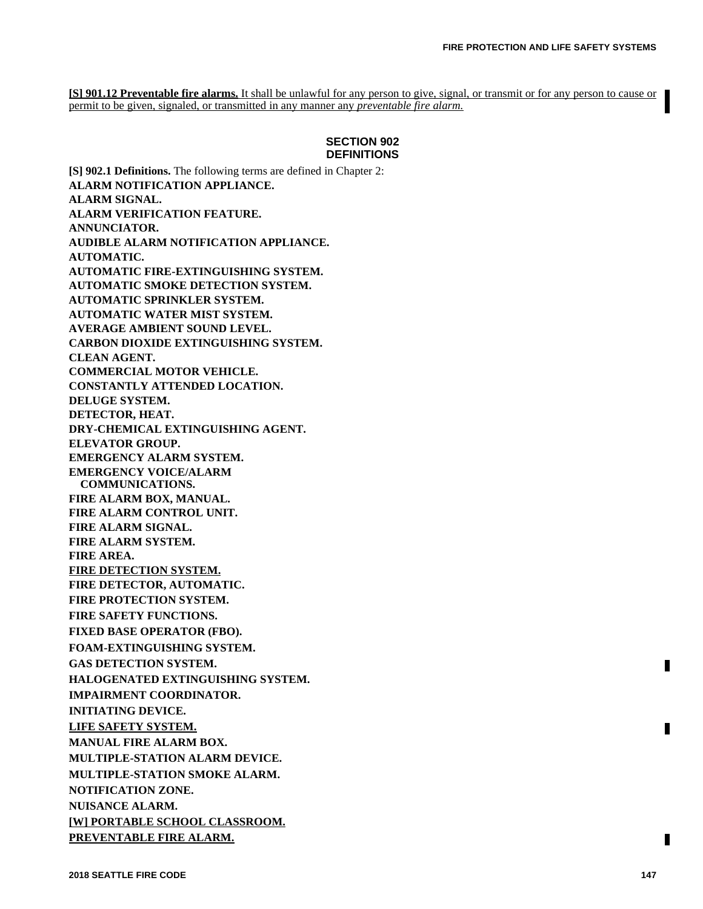**[S] 901.12 Preventable fire alarms.** It shall be unlawful for any person to give, signal, or transmit or for any person to cause or permit to be given, signaled, or transmitted in any manner any *preventable fire alarm.*

### **SECTION 902 DEFINITIONS**

**[S] 902.1 Definitions.** The following terms are defined in Chapter 2: **ALARM NOTIFICATION APPLIANCE. ALARM SIGNAL. ALARM VERIFICATION FEATURE. ANNUNCIATOR. AUDIBLE ALARM NOTIFICATION APPLIANCE. AUTOMATIC. AUTOMATIC FIRE-EXTINGUISHING SYSTEM. AUTOMATIC SMOKE DETECTION SYSTEM. AUTOMATIC SPRINKLER SYSTEM. AUTOMATIC WATER MIST SYSTEM. AVERAGE AMBIENT SOUND LEVEL. CARBON DIOXIDE EXTINGUISHING SYSTEM. CLEAN AGENT. COMMERCIAL MOTOR VEHICLE. CONSTANTLY ATTENDED LOCATION. DELUGE SYSTEM. DETECTOR, HEAT. DRY-CHEMICAL EXTINGUISHING AGENT. ELEVATOR GROUP. EMERGENCY ALARM SYSTEM. EMERGENCY VOICE/ALARM COMMUNICATIONS. FIRE ALARM BOX, MANUAL. FIRE ALARM CONTROL UNIT. FIRE ALARM SIGNAL. FIRE ALARM SYSTEM. FIRE AREA. FIRE DETECTION SYSTEM. FIRE DETECTOR, AUTOMATIC. FIRE PROTECTION SYSTEM. FIRE SAFETY FUNCTIONS. FIXED BASE OPERATOR (FBO). FOAM-EXTINGUISHING SYSTEM. GAS DETECTION SYSTEM. HALOGENATED EXTINGUISHING SYSTEM. IMPAIRMENT COORDINATOR. INITIATING DEVICE. LIFE SAFETY SYSTEM. MANUAL FIRE ALARM BOX. MULTIPLE-STATION ALARM DEVICE. MULTIPLE-STATION SMOKE ALARM. NOTIFICATION ZONE. NUISANCE ALARM. [W] PORTABLE SCHOOL CLASSROOM. PREVENTABLE FIRE ALARM.**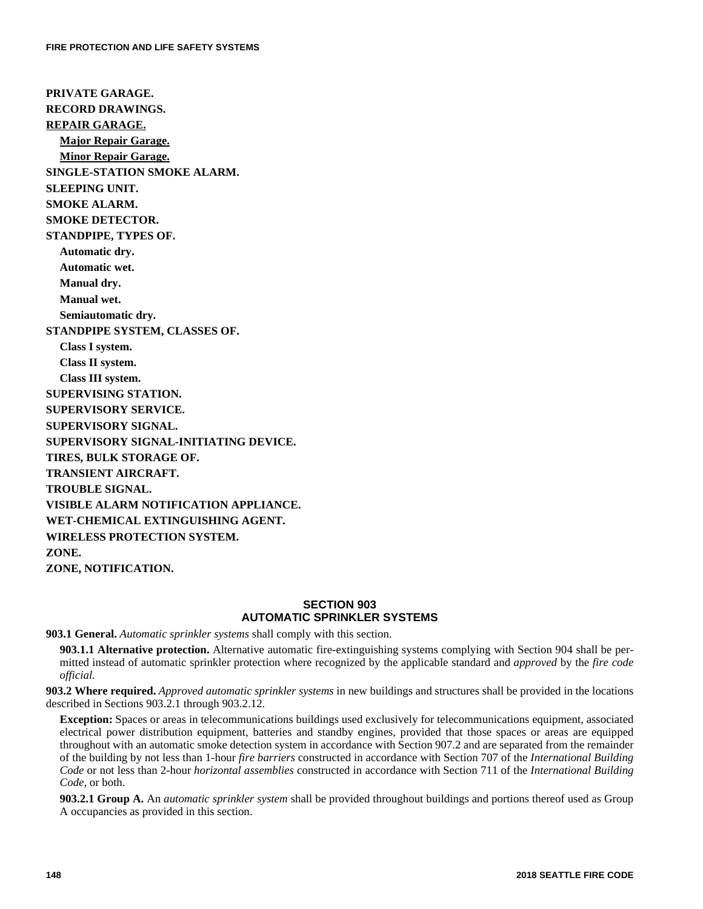**PRIVATE GARAGE. RECORD DRAWINGS. REPAIR GARAGE. Major Repair Garage. Minor Repair Garage. SINGLE-STATION SMOKE ALARM. SLEEPING UNIT. SMOKE ALARM. SMOKE DETECTOR. STANDPIPE, TYPES OF. Automatic dry. Automatic wet. Manual dry. Manual wet. Semiautomatic dry. STANDPIPE SYSTEM, CLASSES OF. Class I system. Class II system. Class III system. SUPERVISING STATION. SUPERVISORY SERVICE. SUPERVISORY SIGNAL. SUPERVISORY SIGNAL-INITIATING DEVICE. TIRES, BULK STORAGE OF. TRANSIENT AIRCRAFT. TROUBLE SIGNAL. VISIBLE ALARM NOTIFICATION APPLIANCE. WET-CHEMICAL EXTINGUISHING AGENT. WIRELESS PROTECTION SYSTEM. ZONE. ZONE, NOTIFICATION.** 

# **SECTION 903 AUTOMATIC SPRINKLER SYSTEMS**

**903.1 General.** *Automatic sprinkler systems* shall comply with this section.

**903.1.1 Alternative protection.** Alternative automatic fire-extinguishing systems complying with Section 904 shall be permitted instead of automatic sprinkler protection where recognized by the applicable standard and *approved* by the *fire code official.*

**903.2 Where required.** *Approved automatic sprinkler systems* in new buildings and structures shall be provided in the locations described in Sections 903.2.1 through 903.2.12.

**Exception:** Spaces or areas in telecommunications buildings used exclusively for telecommunications equipment, associated electrical power distribution equipment, batteries and standby engines, provided that those spaces or areas are equipped throughout with an automatic smoke detection system in accordance with Section 907.2 and are separated from the remainder of the building by not less than 1-hour *fire barriers* constructed in accordance with Section 707 of the *International Building Code* or not less than 2-hour *horizontal assemblies* constructed in accordance with Section 711 of the *International Building Code,* or both.

**903.2.1 Group A.** An *automatic sprinkler system* shall be provided throughout buildings and portions thereof used as Group A occupancies as provided in this section.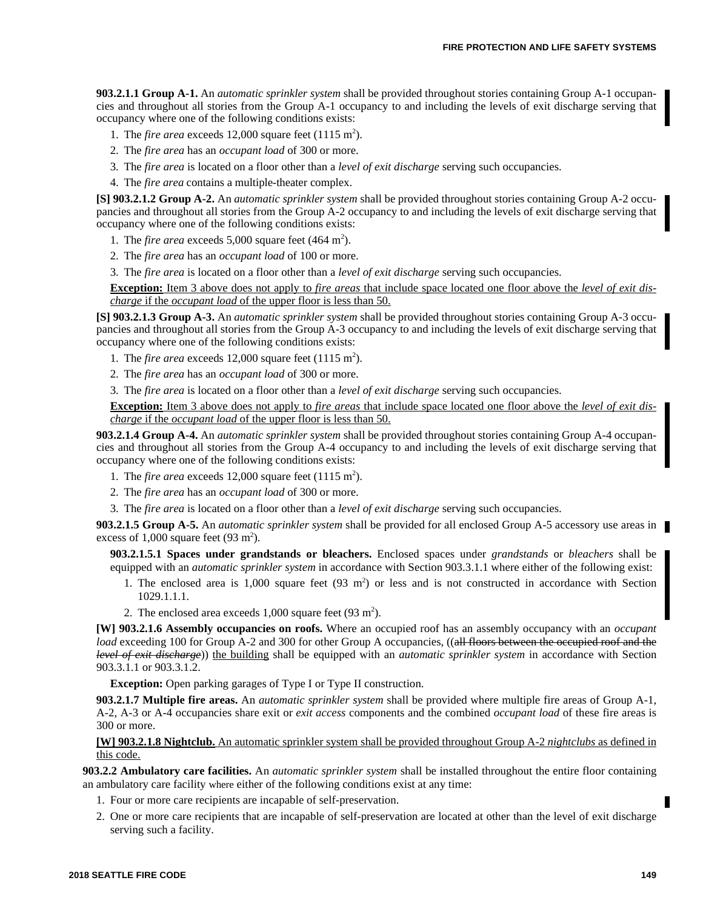**903.2.1.1 Group A-1.** An *automatic sprinkler system* shall be provided throughout stories containing Group A-1 occupancies and throughout all stories from the Group A-1 occupancy to and including the levels of exit discharge serving that occupancy where one of the following conditions exists:

1. The *fire area* exceeds  $12,000$  square feet  $(1115 \text{ m}^2)$ .

2. The *fire area* has an *occupant load* of 300 or more.

3. The *fire area* is located on a floor other than a *level of exit discharge* serving such occupancies.

4. The *fire area* contains a multiple-theater complex.

**[S] 903.2.1.2 Group A-2.** An *automatic sprinkler system* shall be provided throughout stories containing Group A-2 occupancies and throughout all stories from the Group A-2 occupancy to and including the levels of exit discharge serving that occupancy where one of the following conditions exists:

1. The *fire area* exceeds  $5,000$  square feet (464 m<sup>2</sup>).

2. The *fire area* has an *occupant load* of 100 or more.

3. The *fire area* is located on a floor other than a *level of exit discharge* serving such occupancies.

**Exception:** Item 3 above does not apply to *fire areas* that include space located one floor above the *level of exit discharge* if the *occupant load* of the upper floor is less than 50.

**[S] 903.2.1.3 Group A-3.** An *automatic sprinkler system* shall be provided throughout stories containing Group A-3 occupancies and throughout all stories from the Group A-3 occupancy to and including the levels of exit discharge serving that occupancy where one of the following conditions exists:

1. The *fire area* exceeds  $12,000$  square feet  $(1115 \text{ m}^2)$ .

2. The *fire area* has an *occupant load* of 300 or more.

3. The *fire area* is located on a floor other than a *level of exit discharge* serving such occupancies.

**Exception:** Item 3 above does not apply to *fire areas* that include space located one floor above the *level of exit discharge* if the *occupant load* of the upper floor is less than 50.

**903.2.1.4 Group A-4.** An *automatic sprinkler system* shall be provided throughout stories containing Group A-4 occupancies and throughout all stories from the Group A-4 occupancy to and including the levels of exit discharge serving that occupancy where one of the following conditions exists:

- 1. The *fire area* exceeds  $12,000$  square feet  $(1115 \text{ m}^2)$ .
- 2. The *fire area* has an *occupant load* of 300 or more.

3. The *fire area* is located on a floor other than a *level of exit discharge* serving such occupancies.

**903.2.1.5 Group A-5.** An *automatic sprinkler system* shall be provided for all enclosed Group A-5 accessory use areas in excess of  $1,000$  square feet  $(93 \text{ m}^2)$ .

**903.2.1.5.1 Spaces under grandstands or bleachers.** Enclosed spaces under *grandstands* or *bleachers* shall be equipped with an *automatic sprinkler system* in accordance with Section 903.3.1.1 where either of the following exist:

- 1. The enclosed area is 1,000 square feet (93 m<sup>2</sup>) or less and is not constructed in accordance with Section 1029.1.1.1.
- 2. The enclosed area exceeds  $1,000$  square feet  $(93 \text{ m}^2)$ .

**[W] 903.2.1.6 Assembly occupancies on roofs.** Where an occupied roof has an assembly occupancy with an *occupant load* exceeding 100 for Group A-2 and 300 for other Group A occupancies, ((all floors between the occupied roof and the *level of exit discharge*)) the building shall be equipped with an *automatic sprinkler system* in accordance with Section 903.3.1.1 or 903.3.1.2.

**Exception:** Open parking garages of Type I or Type II construction.

**903.2.1.7 Multiple fire areas.** An *automatic sprinkler system* shall be provided where multiple fire areas of Group A-1, A-2, A-3 or A-4 occupancies share exit or *exit access* components and the combined *occupant load* of these fire areas is 300 or more.

**[W] 903.2.1.8 Nightclub.** An automatic sprinkler system shall be provided throughout Group A-2 *nightclubs* as defined in this code.

**903.2.2 Ambulatory care facilities.** An *automatic sprinkler system* shall be installed throughout the entire floor containing an ambulatory care facility where either of the following conditions exist at any time:

- 1. Four or more care recipients are incapable of self-preservation.
- 2. One or more care recipients that are incapable of self-preservation are located at other than the level of exit discharge serving such a facility.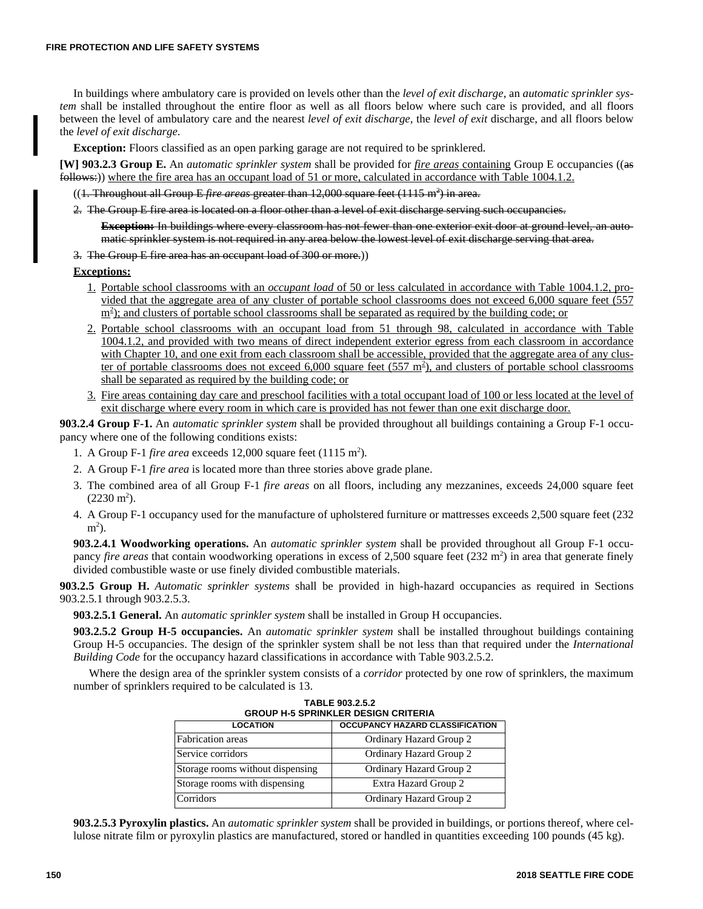In buildings where ambulatory care is provided on levels other than the *level of exit discharge*, an *automatic sprinkler system* shall be installed throughout the entire floor as well as all floors below where such care is provided, and all floors between the level of ambulatory care and the nearest *level of exit discharge*, the *level of exit* discharge, and all floors below the *level of exit discharge*.

**Exception:** Floors classified as an open parking garage are not required to be sprinklered.

**[W] 903.2.3 Group E.** An *automatic sprinkler system* shall be provided for *fire areas* containing Group E occupancies ((as follows:)) where the fire area has an occupant load of 51 or more, calculated in accordance with Table 1004.1.2.

((<del>1. Throughout all Group E *fire areas* greater than 12,000 square feet (1115 m<sup>2</sup>) in area.</del>

2. The Group E fire area is located on a floor other than a level of exit discharge serving such occupancies.

**Exception:** In buildings where every classroom has not fewer than one exterior exit door at ground level, an automatic sprinkler system is not required in any area below the lowest level of exit discharge serving that area.

3. The Group E fire area has an occupant load of 300 or more.))

#### **Exceptions:**

- 1. Portable school classrooms with an *occupant load* of 50 or less calculated in accordance with Table 1004.1.2, provided that the aggregate area of any cluster of portable school classrooms does not exceed 6,000 square feet (557 m<sup>2</sup>); and clusters of portable school classrooms shall be separated as required by the building code; or
- 2. Portable school classrooms with an occupant load from 51 through 98, calculated in accordance with Table 1004.1.2, and provided with two means of direct independent exterior egress from each classroom in accordance with Chapter 10, and one exit from each classroom shall be accessible, provided that the aggregate area of any cluster of portable classrooms does not exceed  $6,000$  square feet  $(557 \text{ m}^2)$ , and clusters of portable school classrooms shall be separated as required by the building code; or
- 3. Fire areas containing day care and preschool facilities with a total occupant load of 100 or less located at the level of exit discharge where every room in which care is provided has not fewer than one exit discharge door.

**903.2.4 Group F-1.** An *automatic sprinkler system* shall be provided throughout all buildings containing a Group F-1 occupancy where one of the following conditions exists:

- 1. A Group F-1 *fire area* exceeds 12,000 square feet (1115 m<sup>2</sup>).
- 2. A Group F-1 *fire area* is located more than three stories above grade plane.
- 3. The combined area of all Group F-1 *fire areas* on all floors, including any mezzanines, exceeds 24,000 square feet  $(2230 \text{ m}^2).$
- 4. A Group F-1 occupancy used for the manufacture of upholstered furniture or mattresses exceeds 2,500 square feet (232  $m<sup>2</sup>$ ).

**903.2.4.1 Woodworking operations.** An *automatic sprinkler system* shall be provided throughout all Group F-1 occupancy *fire areas* that contain woodworking operations in excess of 2,500 square feet (232 m<sup>2</sup>) in area that generate finely divided combustible waste or use finely divided combustible materials.

**903.2.5 Group H.** *Automatic sprinkler systems* shall be provided in high-hazard occupancies as required in Sections 903.2.5.1 through 903.2.5.3.

**903.2.5.1 General.** An *automatic sprinkler system* shall be installed in Group H occupancies.

**903.2.5.2 Group H-5 occupancies.** An *automatic sprinkler system* shall be installed throughout buildings containing Group H-5 occupancies. The design of the sprinkler system shall be not less than that required under the *International Building Code* for the occupancy hazard classifications in accordance with Table 903.2.5.2.

Where the design area of the sprinkler system consists of a *corridor* protected by one row of sprinklers, the maximum number of sprinklers required to be calculated is 13.

|                                  | TABLE 903.2.5.2<br><b>GROUP H-5 SPRINKLER DESIGN CRITERIA</b> |
|----------------------------------|---------------------------------------------------------------|
| <b>LOCATION</b>                  | <b>OCCUPANCY HAZARD CLASSIFICATION</b>                        |
| <b>Fabrication</b> areas         | Ordinary Hazard Group 2                                       |
| Service corridors                | Ordinary Hazard Group 2                                       |
| Storage rooms without dispensing | Ordinary Hazard Group 2                                       |
| Storage rooms with dispensing    | Extra Hazard Group 2                                          |
| Corridors                        | Ordinary Hazard Group 2                                       |

**TABLE 903.2.5.2**

**903.2.5.3 Pyroxylin plastics.** An *automatic sprinkler system* shall be provided in buildings, or portions thereof, where cellulose nitrate film or pyroxylin plastics are manufactured, stored or handled in quantities exceeding 100 pounds (45 kg).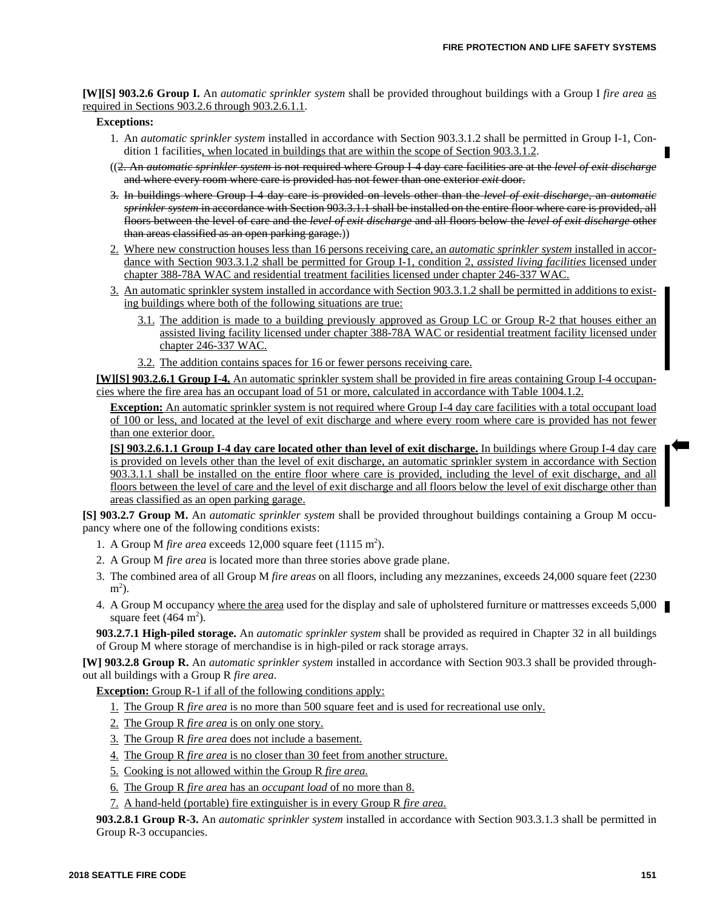**[W][S] 903.2.6 Group I.** An *automatic sprinkler system* shall be provided throughout buildings with a Group I *fire area* as required in Sections 903.2.6 through 903.2.6.1.1.

### **Exceptions:**

- 1. An *automatic sprinkler system* installed in accordance with Section 903.3.1.2 shall be permitted in Group I-1, Condition 1 facilities, when located in buildings that are within the scope of Section 903.3.1.2.
- ((2. An *automatic sprinkler system* is not required where Group I-4 day care facilities are at the *level of exit discharge* and where every room where care is provided has not fewer than one exterior *exit* door.
- 3. In buildings where Group I-4 day care is provided on levels other than the *level of exit discharge*, an *automatic sprinkler system* in accordance with Section 903.3.1.1 shall be installed on the entire floor where care is provided, all floors between the level of care and the *level of exit discharge* and all floors below the *level of exit discharge* other than areas classified as an open parking garage.))
- 2. Where new construction houses less than 16 persons receiving care, an *automatic sprinkler system* installed in accordance with Section 903.3.1.2 shall be permitted for Group I-1, condition 2, *assisted living facilities* licensed under chapter 388-78A WAC and residential treatment facilities licensed under chapter 246-337 WAC.
- 3. An automatic sprinkler system installed in accordance with Section 903.3.1.2 shall be permitted in additions to existing buildings where both of the following situations are true:
	- 3.1. The addition is made to a building previously approved as Group LC or Group R-2 that houses either an assisted living facility licensed under chapter 388-78A WAC or residential treatment facility licensed under chapter 246-337 WAC.
	- 3.2. The addition contains spaces for 16 or fewer persons receiving care.

**[W][S] 903.2.6.1 Group I-4.** An automatic sprinkler system shall be provided in fire areas containing Group I-4 occupancies where the fire area has an occupant load of 51 or more, calculated in accordance with Table 1004.1.2.

**Exception:** An automatic sprinkler system is not required where Group I-4 day care facilities with a total occupant load of 100 or less, and located at the level of exit discharge and where every room where care is provided has not fewer than one exterior door.

**[S] 903.2.6.1.1 Group I-4 day care located other than level of exit discharge.** In buildings where Group I-4 day care is provided on levels other than the level of exit discharge, an automatic sprinkler system in accordance with Section 903.3.1.1 shall be installed on the entire floor where care is provided, including the level of exit discharge, and all floors between the level of care and the level of exit discharge and all floors below the level of exit discharge other than areas classified as an open parking garage.

**[S] 903.2.7 Group M.** An *automatic sprinkler system* shall be provided throughout buildings containing a Group M occupancy where one of the following conditions exists:

- 1. A Group M *fire area* exceeds 12,000 square feet (1115 m<sup>2</sup>).
- 2. A Group M *fire area* is located more than three stories above grade plane.
- 3. The combined area of all Group M *fire areas* on all floors, including any mezzanines, exceeds 24,000 square feet (2230  $m^2$ ).
- 4. A Group M occupancy where the area used for the display and sale of upholstered furniture or mattresses exceeds 5,000 square feet  $(464 \text{ m}^2)$ .

**903.2.7.1 High-piled storage.** An *automatic sprinkler system* shall be provided as required in Chapter 32 in all buildings of Group M where storage of merchandise is in high-piled or rack storage arrays.

**[W] 903.2.8 Group R.** An *automatic sprinkler system* installed in accordance with Section 903.3 shall be provided throughout all buildings with a Group R *fire area*.

**Exception:** Group R-1 if all of the following conditions apply:

- 1. The Group R *fire area* is no more than 500 square feet and is used for recreational use only.
- 2. The Group R *fire area* is on only one story.
- 3. The Group R *fire area* does not include a basement.
- 4. The Group R *fire area* is no closer than 30 feet from another structure.
- 5. Cooking is not allowed within the Group R *fire area.*
- 6. The Group R *fire area* has an *occupant load* of no more than 8.
- 7. A hand-held (portable) fire extinguisher is in every Group R *fire area.*

**903.2.8.1 Group R-3.** An *automatic sprinkler system* installed in accordance with Section 903.3.1.3 shall be permitted in Group R-3 occupancies.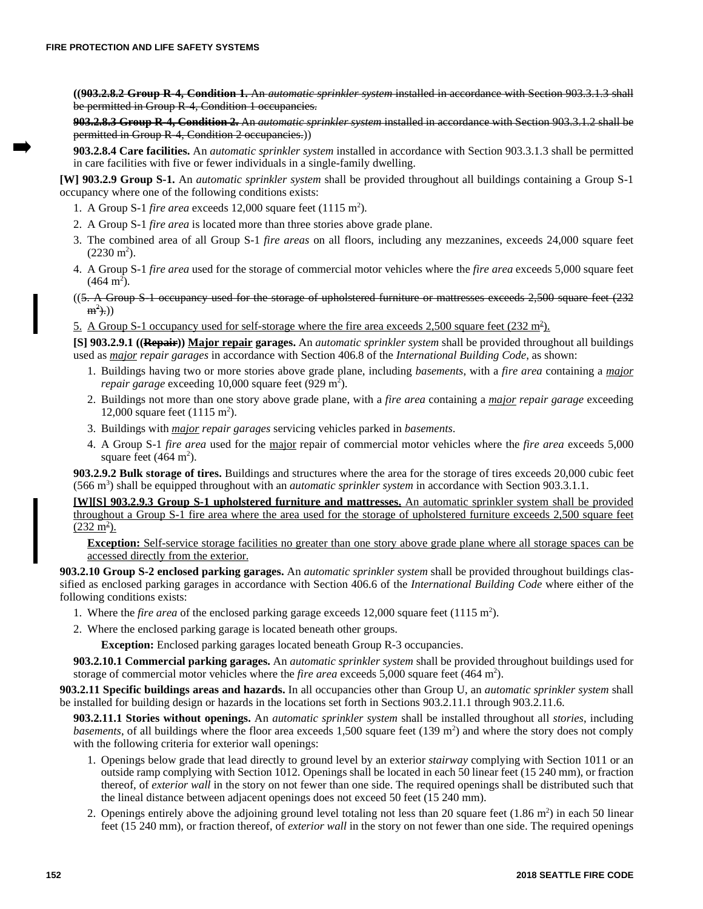**((903.2.8.2 Group R-4, Condition 1.** An *automatic sprinkler system* installed in accordance with Section 903.3.1.3 shall be permitted in Group R-4, Condition 1 occupancies.

**903.2.8.3 Group R-4, Condition 2.** An *automatic sprinkler system* installed in accordance with Section 903.3.1.2 shall be permitted in Group R-4, Condition 2 occupancies.))

**903.2.8.4 Care facilities.** An *automatic sprinkler system* installed in accordance with Section 903.3.1.3 shall be permitted in care facilities with five or fewer individuals in a single-family dwelling.

**[W] 903.2.9 Group S-1.** An *automatic sprinkler system* shall be provided throughout all buildings containing a Group S-1 occupancy where one of the following conditions exists:

- 1. A Group S-1 *fire area* exceeds 12,000 square feet (1115 m<sup>2</sup>).
- 2. A Group S-1 *fire area* is located more than three stories above grade plane.
- 3. The combined area of all Group S-1 *fire areas* on all floors, including any mezzanines, exceeds 24,000 square feet  $(2230 \text{ m}^2).$
- 4. A Group S-1 *fire area* used for the storage of commercial motor vehicles where the *fire area* exceeds 5,000 square feet  $(464 \text{ m}^2)$ .
- $($ (5. A Group S-1 occupancy used for the storage of upholstered furniture or mattresses exceeds 2,500 square feet  $(232$  $m^2$ ).))
- 5. A Group S-1 occupancy used for self-storage where the fire area exceeds  $2,500$  square feet  $(232 \text{ m}^2)$ .

**[S] 903.2.9.1 ((Repair)) Major repair garages.** An *automatic sprinkler system* shall be provided throughout all buildings used as *major repair garages* in accordance with Section 406.8 of the *International Building Code*, as shown:

- 1. Buildings having two or more stories above grade plane, including *basements*, with a *fire area* containing a *major repair garage* exceeding 10,000 square feet  $(929 \text{ m}^2)$ .
- 2. Buildings not more than one story above grade plane, with a *fire area* containing a *major repair garage* exceeding 12,000 square feet  $(1115 \text{ m}^2)$ .
- 3. Buildings with *major repair garages* servicing vehicles parked in *basements*.
- 4. A Group S-1 *fire area* used for the major repair of commercial motor vehicles where the *fire area* exceeds 5,000 square feet  $(464 \text{ m}^2)$ .

**903.2.9.2 Bulk storage of tires.** Buildings and structures where the area for the storage of tires exceeds 20,000 cubic feet (566 m<sup>3</sup>) shall be equipped throughout with an *automatic sprinkler system* in accordance with Section 903.3.1.1.

**[W][S] 903.2.9.3 Group S-1 upholstered furniture and mattresses.** An automatic sprinkler system shall be provided throughout a Group S-1 fire area where the area used for the storage of upholstered furniture exceeds 2,500 square feet  $(232 \text{ m}^2)$ .

**Exception:** Self-service storage facilities no greater than one story above grade plane where all storage spaces can be accessed directly from the exterior.

**903.2.10 Group S-2 enclosed parking garages.** An *automatic sprinkler system* shall be provided throughout buildings classified as enclosed parking garages in accordance with Section 406.6 of the *International Building Code* where either of the following conditions exists:

- 1. Where the *fire area* of the enclosed parking garage exceeds 12,000 square feet (1115 m<sup>2</sup>).
- 2. Where the enclosed parking garage is located beneath other groups.

**Exception:** Enclosed parking garages located beneath Group R-3 occupancies.

**903.2.10.1 Commercial parking garages.** An *automatic sprinkler system* shall be provided throughout buildings used for storage of commercial motor vehicles where the *fire area* exceeds  $5,000$  square feet (464 m<sup>2</sup>).

**903.2.11 Specific buildings areas and hazards.** In all occupancies other than Group U, an *automatic sprinkler system* shall be installed for building design or hazards in the locations set forth in Sections 903.2.11.1 through 903.2.11.6.

**903.2.11.1 Stories without openings.** An *automatic sprinkler system* shall be installed throughout all *stories*, including basements, of all buildings where the floor area exceeds 1,500 square feet (139 m<sup>2</sup>) and where the story does not comply with the following criteria for exterior wall openings:

- 1. Openings below grade that lead directly to ground level by an exterior *stairway* complying with Section 1011 or an outside ramp complying with Section 1012. Openings shall be located in each 50 linear feet (15 240 mm), or fraction thereof, of *exterior wall* in the story on not fewer than one side. The required openings shall be distributed such that the lineal distance between adjacent openings does not exceed 50 feet (15 240 mm).
- 2. Openings entirely above the adjoining ground level totaling not less than 20 square feet  $(1.86 \text{ m}^2)$  in each 50 linear feet (15 240 mm), or fraction thereof, of *exterior wall* in the story on not fewer than one side. The required openings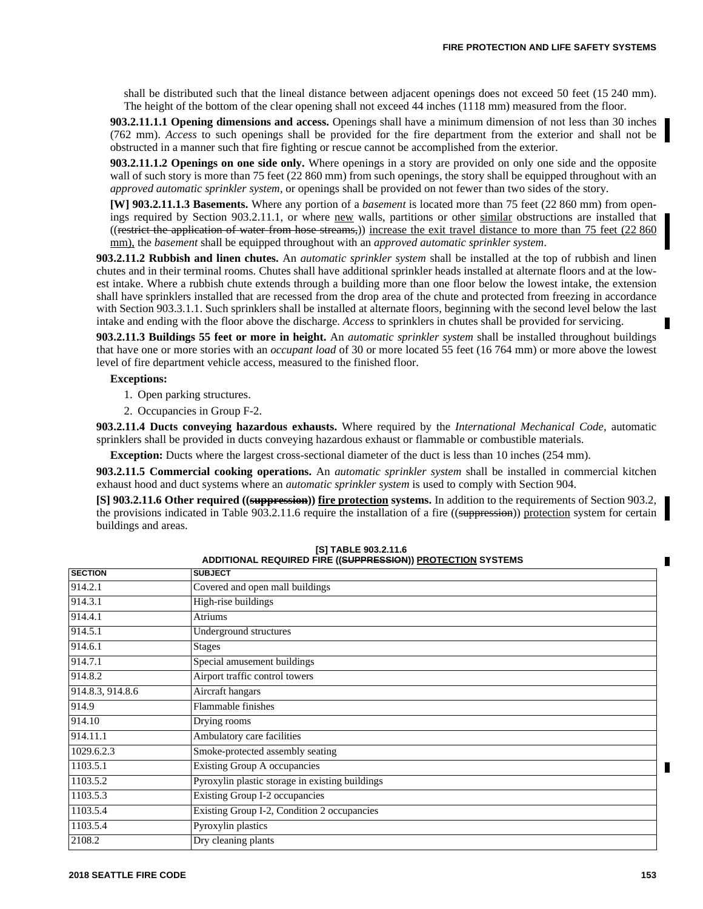shall be distributed such that the lineal distance between adjacent openings does not exceed 50 feet (15 240 mm). The height of the bottom of the clear opening shall not exceed 44 inches (1118 mm) measured from the floor.

**903.2.11.1.1 Opening dimensions and access.** Openings shall have a minimum dimension of not less than 30 inches (762 mm). *Access* to such openings shall be provided for the fire department from the exterior and shall not be obstructed in a manner such that fire fighting or rescue cannot be accomplished from the exterior.

**903.2.11.1.2 Openings on one side only.** Where openings in a story are provided on only one side and the opposite wall of such story is more than 75 feet (22 860 mm) from such openings, the story shall be equipped throughout with an *approved automatic sprinkler system,* or openings shall be provided on not fewer than two sides of the story.

**[W] 903.2.11.1.3 Basements.** Where any portion of a *basement* is located more than 75 feet (22 860 mm) from openings required by Section 903.2.11.1, or where new walls, partitions or other similar obstructions are installed that ((restrict the application of water from hose streams,)) increase the exit travel distance to more than 75 feet  $(22,860)$ mm), the *basement* shall be equipped throughout with an *approved automatic sprinkler system*.

**903.2.11.2 Rubbish and linen chutes.** An *automatic sprinkler system* shall be installed at the top of rubbish and linen chutes and in their terminal rooms. Chutes shall have additional sprinkler heads installed at alternate floors and at the lowest intake. Where a rubbish chute extends through a building more than one floor below the lowest intake, the extension shall have sprinklers installed that are recessed from the drop area of the chute and protected from freezing in accordance with Section 903.3.1.1. Such sprinklers shall be installed at alternate floors, beginning with the second level below the last intake and ending with the floor above the discharge. *Access* to sprinklers in chutes shall be provided for servicing.

**903.2.11.3 Buildings 55 feet or more in height.** An *automatic sprinkler system* shall be installed throughout buildings that have one or more stories with an *occupant load* of 30 or more located 55 feet (16 764 mm) or more above the lowest level of fire department vehicle access, measured to the finished floor.

# **Exceptions:**

- 1. Open parking structures.
- 2. Occupancies in Group F-2.

**903.2.11.4 Ducts conveying hazardous exhausts.** Where required by the *International Mechanical Code*, automatic sprinklers shall be provided in ducts conveying hazardous exhaust or flammable or combustible materials.

**Exception:** Ducts where the largest cross-sectional diameter of the duct is less than 10 inches (254 mm).

**903.2.11.5 Commercial cooking operations.** An *automatic sprinkler system* shall be installed in commercial kitchen exhaust hood and duct systems where an *automatic sprinkler system* is used to comply with Section 904.

**[S] 903.2.11.6 Other required ((suppression)) fire protection systems.** In addition to the requirements of Section 903.2, the provisions indicated in Table 903.2.11.6 require the installation of a fire ((suppression)) protection system for certain buildings and areas.

| <b>SECTION</b>   | <b>SUBJECT</b>                                  |  |
|------------------|-------------------------------------------------|--|
| 914.2.1          | Covered and open mall buildings                 |  |
| 914.3.1          | High-rise buildings                             |  |
| 914.4.1          | Atriums                                         |  |
| 914.5.1          | Underground structures                          |  |
| 914.6.1          | <b>Stages</b>                                   |  |
| 914.7.1          | Special amusement buildings                     |  |
| 914.8.2          | Airport traffic control towers                  |  |
| 914.8.3, 914.8.6 | Aircraft hangars                                |  |
| 914.9            | Flammable finishes                              |  |
| 914.10           | Drying rooms                                    |  |
| 914.11.1         | Ambulatory care facilities                      |  |
| 1029.6.2.3       | Smoke-protected assembly seating                |  |
| 1103.5.1         | Existing Group A occupancies                    |  |
| 1103.5.2         | Pyroxylin plastic storage in existing buildings |  |
| 1103.5.3         | Existing Group I-2 occupancies                  |  |
| 1103.5.4         | Existing Group I-2, Condition 2 occupancies     |  |
| 1103.5.4         | Pyroxylin plastics                              |  |
| 2108.2           | Dry cleaning plants                             |  |

**[S] TABLE 903.2.11.6 ADDITIONAL REQUIRED FIRE ((SUPPRESSION)) PROTECTION SYSTEMS**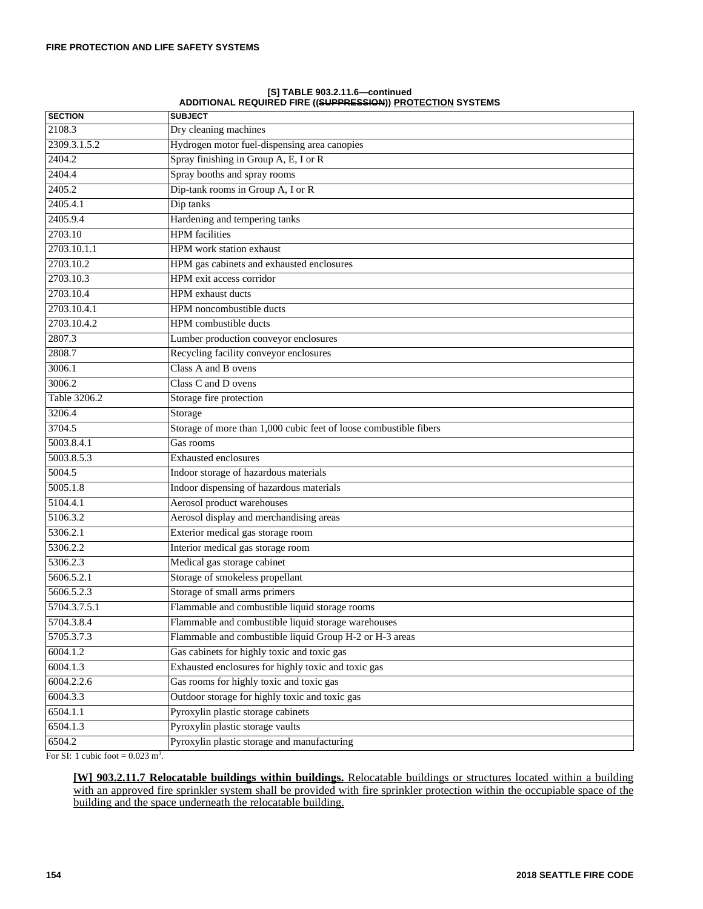| <b>SECTION</b> | <b>SUBJECT</b>                                                    |
|----------------|-------------------------------------------------------------------|
| 2108.3         | Dry cleaning machines                                             |
| 2309.3.1.5.2   | Hydrogen motor fuel-dispensing area canopies                      |
| 2404.2         | Spray finishing in Group A, E, I or R                             |
| 2404.4         | Spray booths and spray rooms                                      |
| 2405.2         | Dip-tank rooms in Group A, I or R                                 |
| 2405.4.1       | Dip tanks                                                         |
| 2405.9.4       | Hardening and tempering tanks                                     |
| 2703.10        | <b>HPM</b> facilities                                             |
| 2703.10.1.1    | <b>HPM</b> work station exhaust                                   |
| 2703.10.2      | HPM gas cabinets and exhausted enclosures                         |
| 2703.10.3      | HPM exit access corridor                                          |
| 2703.10.4      | HPM exhaust ducts                                                 |
| 2703.10.4.1    | HPM noncombustible ducts                                          |
| 2703.10.4.2    | HPM combustible ducts                                             |
| 2807.3         | Lumber production conveyor enclosures                             |
| 2808.7         | Recycling facility conveyor enclosures                            |
| 3006.1         | Class A and B ovens                                               |
| 3006.2         | Class C and D ovens                                               |
| Table 3206.2   | Storage fire protection                                           |
| 3206.4         | Storage                                                           |
| 3704.5         | Storage of more than 1,000 cubic feet of loose combustible fibers |
| 5003.8.4.1     | Gas rooms                                                         |
| 5003.8.5.3     | <b>Exhausted enclosures</b>                                       |
| 5004.5         | Indoor storage of hazardous materials                             |
| 5005.1.8       | Indoor dispensing of hazardous materials                          |
| 5104.4.1       | Aerosol product warehouses                                        |
| 5106.3.2       | Aerosol display and merchandising areas                           |
| 5306.2.1       | Exterior medical gas storage room                                 |
| 5306.2.2       | Interior medical gas storage room                                 |
| 5306.2.3       | Medical gas storage cabinet                                       |
| 5606.5.2.1     | Storage of smokeless propellant                                   |
| 5606.5.2.3     | Storage of small arms primers                                     |
| 5704.3.7.5.1   | Flammable and combustible liquid storage rooms                    |
| 5704.3.8.4     | Flammable and combustible liquid storage warehouses               |
| 5705.3.7.3     | Flammable and combustible liquid Group H-2 or H-3 areas           |
| 6004.1.2       | Gas cabinets for highly toxic and toxic gas                       |
| 6004.1.3       | Exhausted enclosures for highly toxic and toxic gas               |
| 6004.2.2.6     | Gas rooms for highly toxic and toxic gas                          |
| 6004.3.3       | Outdoor storage for highly toxic and toxic gas                    |
| 6504.1.1       | Pyroxylin plastic storage cabinets                                |
| 6504.1.3       | Pyroxylin plastic storage vaults                                  |
| 6504.2         | Pyroxylin plastic storage and manufacturing                       |

**[S] TABLE 903.2.11.6—continued ADDITIONAL REQUIRED FIRE ((SUPPRESSION)) PROTECTION SYSTEMS**

For SI: 1 cubic foot  $= 0.023$  m<sup>3</sup>.

**[W] 903.2.11.7 Relocatable buildings within buildings.** Relocatable buildings or structures located within a building with an approved fire sprinkler system shall be provided with fire sprinkler protection within the occupiable space of the building and the space underneath the relocatable building.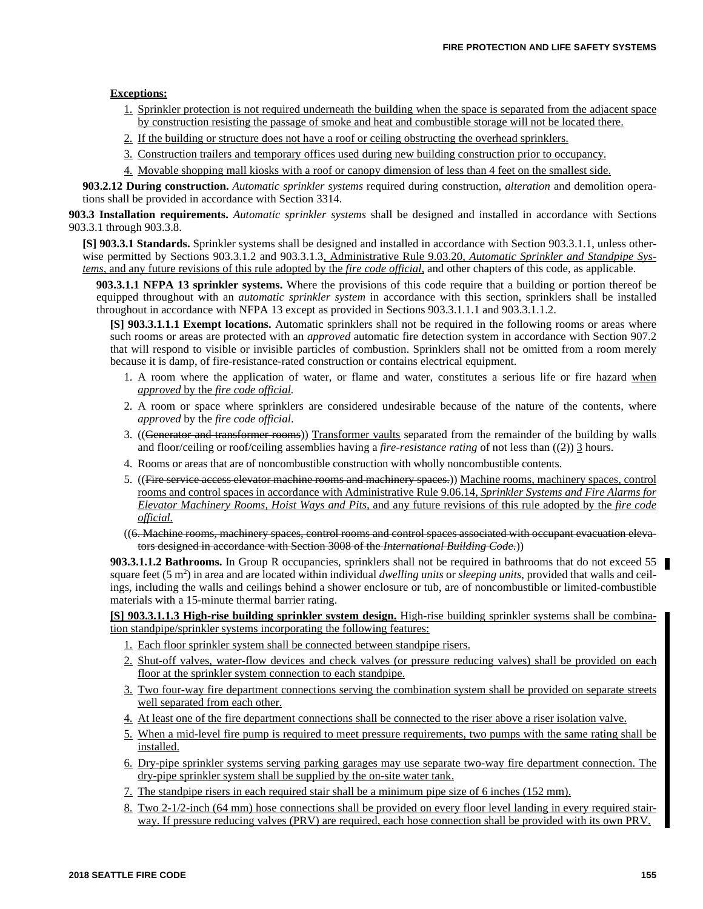### **Exceptions:**

- 1. Sprinkler protection is not required underneath the building when the space is separated from the adjacent space by construction resisting the passage of smoke and heat and combustible storage will not be located there.
- 2. If the building or structure does not have a roof or ceiling obstructing the overhead sprinklers.
- 3. Construction trailers and temporary offices used during new building construction prior to occupancy.
- 4. Movable shopping mall kiosks with a roof or canopy dimension of less than 4 feet on the smallest side.

**903.2.12 During construction.** *Automatic sprinkler systems* required during construction, *alteration* and demolition operations shall be provided in accordance with Section 3314.

**903.3 Installation requirements.** *Automatic sprinkler systems* shall be designed and installed in accordance with Sections 903.3.1 through 903.3.8.

**[S] 903.3.1 Standards.** Sprinkler systems shall be designed and installed in accordance with Section 903.3.1.1, unless otherwise permitted by Sections 903.3.1.2 and 903.3.1.3, Administrative Rule 9.03.20, *Automatic Sprinkler and Standpipe Systems,* and any future revisions of this rule adopted by the *fire code official,* and other chapters of this code, as applicable.

**903.3.1.1 NFPA 13 sprinkler systems.** Where the provisions of this code require that a building or portion thereof be equipped throughout with an *automatic sprinkler system* in accordance with this section, sprinklers shall be installed throughout in accordance with NFPA 13 except as provided in Sections 903.3.1.1.1 and 903.3.1.1.2.

**[S] 903.3.1.1.1 Exempt locations.** Automatic sprinklers shall not be required in the following rooms or areas where such rooms or areas are protected with an *approved* automatic fire detection system in accordance with Section 907.2 that will respond to visible or invisible particles of combustion. Sprinklers shall not be omitted from a room merely because it is damp, of fire-resistance-rated construction or contains electrical equipment.

- 1. A room where the application of water, or flame and water, constitutes a serious life or fire hazard when *approved* by the *fire code official.*
- 2. A room or space where sprinklers are considered undesirable because of the nature of the contents, where *approved* by the *fire code official*.
- 3. ((Generator and transformer rooms)) Transformer vaults separated from the remainder of the building by walls and floor/ceiling or roof/ceiling assemblies having a *fire-resistance rating* of not less than ((2)) 3 hours.
- 4. Rooms or areas that are of noncombustible construction with wholly noncombustible contents.
- 5. ((Fire service access elevator machine rooms and machinery spaces.)) Machine rooms, machinery spaces, control rooms and control spaces in accordance with Administrative Rule 9.06.14, *Sprinkler Systems and Fire Alarms for Elevator Machinery Rooms, Hoist Ways and Pits,* and any future revisions of this rule adopted by the *fire code official.*
- ((6. Machine rooms, machinery spaces, control rooms and control spaces associated with occupant evacuation elevators designed in accordance with Section 3008 of the *International Building Code.*))

**903.3.1.1.2 Bathrooms.** In Group R occupancies, sprinklers shall not be required in bathrooms that do not exceed 55 square feet (5 m<sup>2</sup>) in area and are located within individual *dwelling units* or *sleeping units*, provided that walls and ceilings, including the walls and ceilings behind a shower enclosure or tub, are of noncombustible or limited-combustible materials with a 15-minute thermal barrier rating.

**[S] 903.3.1.1.3 High-rise building sprinkler system design.** High-rise building sprinkler systems shall be combination standpipe/sprinkler systems incorporating the following features:

- 1. Each floor sprinkler system shall be connected between standpipe risers.
- 2. Shut-off valves, water-flow devices and check valves (or pressure reducing valves) shall be provided on each floor at the sprinkler system connection to each standpipe.
- 3. Two four-way fire department connections serving the combination system shall be provided on separate streets well separated from each other.
- 4. At least one of the fire department connections shall be connected to the riser above a riser isolation valve.
- 5. When a mid-level fire pump is required to meet pressure requirements, two pumps with the same rating shall be installed.
- 6. Dry-pipe sprinkler systems serving parking garages may use separate two-way fire department connection. The dry-pipe sprinkler system shall be supplied by the on-site water tank.
- 7. The standpipe risers in each required stair shall be a minimum pipe size of 6 inches (152 mm).
- 8. Two 2-1/2-inch (64 mm) hose connections shall be provided on every floor level landing in every required stairway. If pressure reducing valves (PRV) are required, each hose connection shall be provided with its own PRV.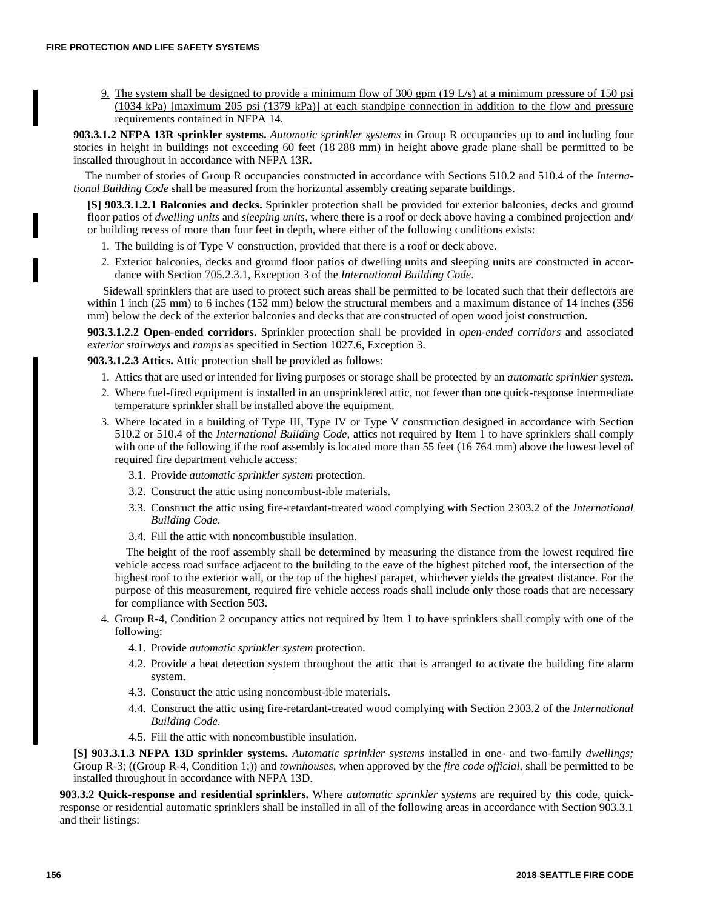9. The system shall be designed to provide a minimum flow of 300 gpm (19 L/s) at a minimum pressure of 150 psi (1034 kPa) [maximum 205 psi (1379 kPa)] at each standpipe connection in addition to the flow and pressure requirements contained in NFPA 14.

**903.3.1.2 NFPA 13R sprinkler systems.** *Automatic sprinkler systems* in Group R occupancies up to and including four stories in height in buildings not exceeding 60 feet (18 288 mm) in height above grade plane shall be permitted to be installed throughout in accordance with NFPA 13R.

The number of stories of Group R occupancies constructed in accordance with Sections 510.2 and 510.4 of the *International Building Code* shall be measured from the horizontal assembly creating separate buildings.

**[S] 903.3.1.2.1 Balconies and decks.** Sprinkler protection shall be provided for exterior balconies, decks and ground floor patios of *dwelling units* and *sleeping units,* where there is a roof or deck above having a combined projection and/ or building recess of more than four feet in depth, where either of the following conditions exists:

- 1. The building is of Type V construction, provided that there is a roof or deck above.
- 2. Exterior balconies, decks and ground floor patios of dwelling units and sleeping units are constructed in accordance with Section 705.2.3.1, Exception 3 of the *International Building Code*.

Sidewall sprinklers that are used to protect such areas shall be permitted to be located such that their deflectors are within 1 inch (25 mm) to 6 inches (152 mm) below the structural members and a maximum distance of 14 inches (356 mm) below the deck of the exterior balconies and decks that are constructed of open wood joist construction.

**903.3.1.2.2 Open-ended corridors.** Sprinkler protection shall be provided in *open-ended corridors* and associated *exterior stairways* and *ramps* as specified in Section 1027.6, Exception 3.

**903.3.1.2.3 Attics.** Attic protection shall be provided as follows:

- 1. Attics that are used or intended for living purposes or storage shall be protected by an *automatic sprinkler system.*
- 2. Where fuel-fired equipment is installed in an unsprinklered attic, not fewer than one quick-response intermediate temperature sprinkler shall be installed above the equipment.
- 3. Where located in a building of Type III, Type IV or Type V construction designed in accordance with Section 510.2 or 510.4 of the *International Building Code*, attics not required by Item 1 to have sprinklers shall comply with one of the following if the roof assembly is located more than 55 feet (16 764 mm) above the lowest level of required fire department vehicle access:
	- 3.1. Provide *automatic sprinkler system* protection.
	- 3.2. Construct the attic using noncombust-ible materials.
	- 3.3. Construct the attic using fire-retardant-treated wood complying with Section 2303.2 of the *International Building Code*.
	- 3.4. Fill the attic with noncombustible insulation.

The height of the roof assembly shall be determined by measuring the distance from the lowest required fire vehicle access road surface adjacent to the building to the eave of the highest pitched roof, the intersection of the highest roof to the exterior wall, or the top of the highest parapet, whichever yields the greatest distance. For the purpose of this measurement, required fire vehicle access roads shall include only those roads that are necessary for compliance with Section 503.

- 4. Group R-4, Condition 2 occupancy attics not required by Item 1 to have sprinklers shall comply with one of the following:
	- 4.1. Provide *automatic sprinkler system* protection.
	- 4.2. Provide a heat detection system throughout the attic that is arranged to activate the building fire alarm system.
	- 4.3. Construct the attic using noncombust-ible materials.
	- 4.4. Construct the attic using fire-retardant-treated wood complying with Section 2303.2 of the *International Building Code*.
	- 4.5. Fill the attic with noncombustible insulation.

**[S] 903.3.1.3 NFPA 13D sprinkler systems.** *Automatic sprinkler systems* installed in one- and two-family *dwellings;* Group R-3; ((Group R-4, Condition 1;)) and *townhouses,* when approved by the *fire code official,* shall be permitted to be installed throughout in accordance with NFPA 13D.

**903.3.2 Quick-response and residential sprinklers.** Where *automatic sprinkler systems* are required by this code, quickresponse or residential automatic sprinklers shall be installed in all of the following areas in accordance with Section 903.3.1 and their listings: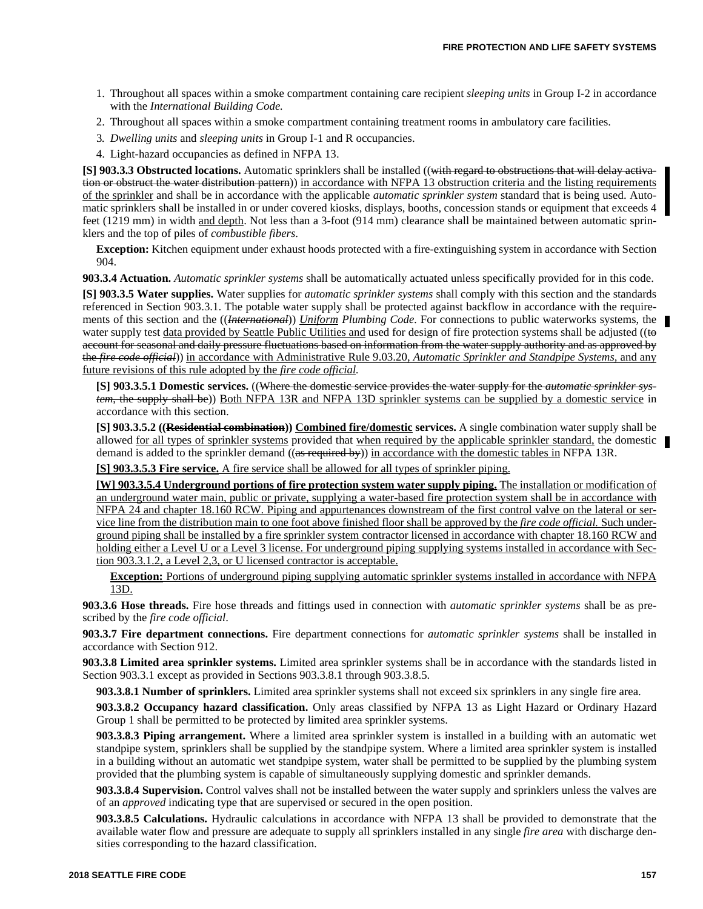- 1. Throughout all spaces within a smoke compartment containing care recipient *sleeping units* in Group I-2 in accordance with the *International Building Code.*
- 2. Throughout all spaces within a smoke compartment containing treatment rooms in ambulatory care facilities.
- 3*. Dwelling units* and *sleeping units* in Group I-1 and R occupancies.
- 4. Light-hazard occupancies as defined in NFPA 13.

**[S] 903.3.3 Obstructed locations.** Automatic sprinklers shall be installed ((with regard to obstructions that will delay activation or obstruct the water distribution pattern)) in accordance with NFPA 13 obstruction criteria and the listing requirements of the sprinkler and shall be in accordance with the applicable *automatic sprinkler system* standard that is being used. Automatic sprinklers shall be installed in or under covered kiosks, displays, booths, concession stands or equipment that exceeds 4 feet (1219 mm) in width and depth. Not less than a 3-foot (914 mm) clearance shall be maintained between automatic sprinklers and the top of piles of *combustible fibers*.

**Exception:** Kitchen equipment under exhaust hoods protected with a fire-extinguishing system in accordance with Section 904.

**903.3.4 Actuation.** *Automatic sprinkler systems* shall be automatically actuated unless specifically provided for in this code.

**[S] 903.3.5 Water supplies.** Water supplies for *automatic sprinkler systems* shall comply with this section and the standards referenced in Section 903.3.1. The potable water supply shall be protected against backflow in accordance with the requirements of this section and the ((*International*)) *Uniform Plumbing Code.* For connections to public waterworks systems, the water supply test data provided by Seattle Public Utilities and used for design of fire protection systems shall be adjusted ((to account for seasonal and daily pressure fluctuations based on information from the water supply authority and as approved by the *fire code official*)) in accordance with Administrative Rule 9.03.20, *Automatic Sprinkler and Standpipe Systems,* and any future revisions of this rule adopted by the *fire code official.*

**[S] 903.3.5.1 Domestic services.** ((Where the domestic service provides the water supply for the *automatic sprinkler system*, the supply shall be)) Both NFPA 13R and NFPA 13D sprinkler systems can be supplied by a domestic service in accordance with this section.

**[S] 903.3.5.2 ((Residential combination)) Combined fire/domestic services.** A single combination water supply shall be allowed <u>for all types of sprinkler systems</u> provided that when required by the applicable sprinkler standard, the domestic demand is added to the sprinkler demand ((as required by)) in accordance with the domestic tables in NFPA 13R.

**[S] 903.3.5.3 Fire service.** A fire service shall be allowed for all types of sprinkler piping.

**[W] 903.3.5.4 Underground portions of fire protection system water supply piping.** The installation or modification of an underground water main, public or private, supplying a water-based fire protection system shall be in accordance with NFPA 24 and chapter 18.160 RCW. Piping and appurtenances downstream of the first control valve on the lateral or service line from the distribution main to one foot above finished floor shall be approved by the *fire code official.* Such underground piping shall be installed by a fire sprinkler system contractor licensed in accordance with chapter 18.160 RCW and holding either a Level U or a Level 3 license. For underground piping supplying systems installed in accordance with Section 903.3.1.2, a Level 2,3, or U licensed contractor is acceptable.

**Exception:** Portions of underground piping supplying automatic sprinkler systems installed in accordance with NFPA 13D.

**903.3.6 Hose threads.** Fire hose threads and fittings used in connection with *automatic sprinkler systems* shall be as prescribed by the *fire code official*.

**903.3.7 Fire department connections.** Fire department connections for *automatic sprinkler systems* shall be installed in accordance with Section 912.

**903.3.8 Limited area sprinkler systems.** Limited area sprinkler systems shall be in accordance with the standards listed in Section 903.3.1 except as provided in Sections 903.3.8.1 through 903.3.8.5.

**903.3.8.1 Number of sprinklers.** Limited area sprinkler systems shall not exceed six sprinklers in any single fire area.

**903.3.8.2 Occupancy hazard classification.** Only areas classified by NFPA 13 as Light Hazard or Ordinary Hazard Group 1 shall be permitted to be protected by limited area sprinkler systems.

**903.3.8.3 Piping arrangement.** Where a limited area sprinkler system is installed in a building with an automatic wet standpipe system, sprinklers shall be supplied by the standpipe system. Where a limited area sprinkler system is installed in a building without an automatic wet standpipe system, water shall be permitted to be supplied by the plumbing system provided that the plumbing system is capable of simultaneously supplying domestic and sprinkler demands.

**903.3.8.4 Supervision.** Control valves shall not be installed between the water supply and sprinklers unless the valves are of an *approved* indicating type that are supervised or secured in the open position.

**903.3.8.5 Calculations.** Hydraulic calculations in accordance with NFPA 13 shall be provided to demonstrate that the available water flow and pressure are adequate to supply all sprinklers installed in any single *fire area* with discharge densities corresponding to the hazard classification.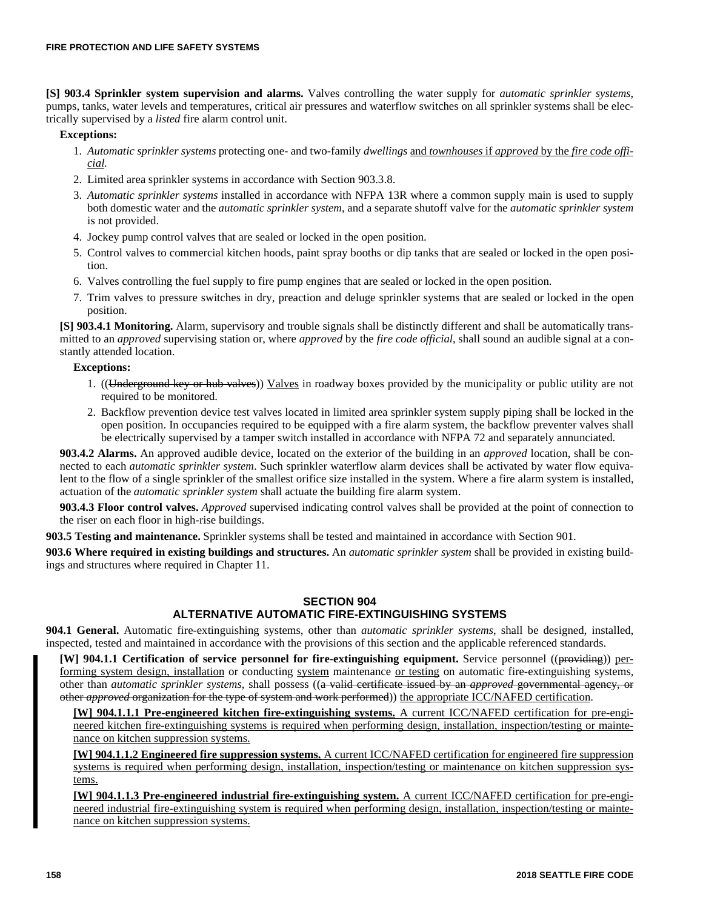**[S] 903.4 Sprinkler system supervision and alarms.** Valves controlling the water supply for *automatic sprinkler systems*, pumps, tanks, water levels and temperatures, critical air pressures and waterflow switches on all sprinkler systems shall be electrically supervised by a *listed* fire alarm control unit.

### **Exceptions:**

- 1. *Automatic sprinkler systems* protecting one- and two-family *dwellings* and *townhouses* if *approved* by the *fire code official.*
- 2. Limited area sprinkler systems in accordance with Section 903.3.8.
- 3. *Automatic sprinkler systems* installed in accordance with NFPA 13R where a common supply main is used to supply both domestic water and the *automatic sprinkler system*, and a separate shutoff valve for the *automatic sprinkler system* is not provided.
- 4. Jockey pump control valves that are sealed or locked in the open position.
- 5. Control valves to commercial kitchen hoods, paint spray booths or dip tanks that are sealed or locked in the open position.
- 6. Valves controlling the fuel supply to fire pump engines that are sealed or locked in the open position.
- 7. Trim valves to pressure switches in dry, preaction and deluge sprinkler systems that are sealed or locked in the open position.

**[S] 903.4.1 Monitoring.** Alarm, supervisory and trouble signals shall be distinctly different and shall be automatically transmitted to an *approved* supervising station or, where *approved* by the *fire code official*, shall sound an audible signal at a constantly attended location.

### **Exceptions:**

- 1. ((Underground key or hub valves)) Valves in roadway boxes provided by the municipality or public utility are not required to be monitored.
- 2. Backflow prevention device test valves located in limited area sprinkler system supply piping shall be locked in the open position. In occupancies required to be equipped with a fire alarm system, the backflow preventer valves shall be electrically supervised by a tamper switch installed in accordance with NFPA 72 and separately annunciated.

**903.4.2 Alarms.** An approved audible device, located on the exterior of the building in an *approved* location, shall be connected to each *automatic sprinkler system*. Such sprinkler waterflow alarm devices shall be activated by water flow equivalent to the flow of a single sprinkler of the smallest orifice size installed in the system. Where a fire alarm system is installed, actuation of the *automatic sprinkler system* shall actuate the building fire alarm system.

**903.4.3 Floor control valves.** *Approved* supervised indicating control valves shall be provided at the point of connection to the riser on each floor in high-rise buildings.

**903.5 Testing and maintenance.** Sprinkler systems shall be tested and maintained in accordance with Section 901.

**903.6 Where required in existing buildings and structures.** An *automatic sprinkler system* shall be provided in existing buildings and structures where required in Chapter 11.

# **SECTION 904**

# **ALTERNATIVE AUTOMATIC FIRE-EXTINGUISHING SYSTEMS**

**904.1 General.** Automatic fire-extinguishing systems, other than *automatic sprinkler systems*, shall be designed, installed, inspected, tested and maintained in accordance with the provisions of this section and the applicable referenced standards.

**[W] 904.1.1 Certification of service personnel for fire-extinguishing equipment.** Service personnel ((providing)) performing system design, installation or conducting system maintenance or testing on automatic fire-extinguishing systems, other than *automatic sprinkler systems,* shall possess ((a valid certificate issued by an *approved* governmental agency, or other *approved* organization for the type of system and work performed)) the appropriate ICC/NAFED certification.

**[W] 904.1.1.1 Pre-engineered kitchen fire-extinguishing systems.** A current ICC/NAFED certification for pre-engineered kitchen fire-extinguishing systems is required when performing design, installation, inspection/testing or maintenance on kitchen suppression systems.

**[W] 904.1.1.2 Engineered fire suppression systems.** A current ICC/NAFED certification for engineered fire suppression systems is required when performing design, installation, inspection/testing or maintenance on kitchen suppression systems.

**[W] 904.1.1.3 Pre-engineered industrial fire-extinguishing system.** A current ICC/NAFED certification for pre-engineered industrial fire-extinguishing system is required when performing design, installation, inspection/testing or maintenance on kitchen suppression systems.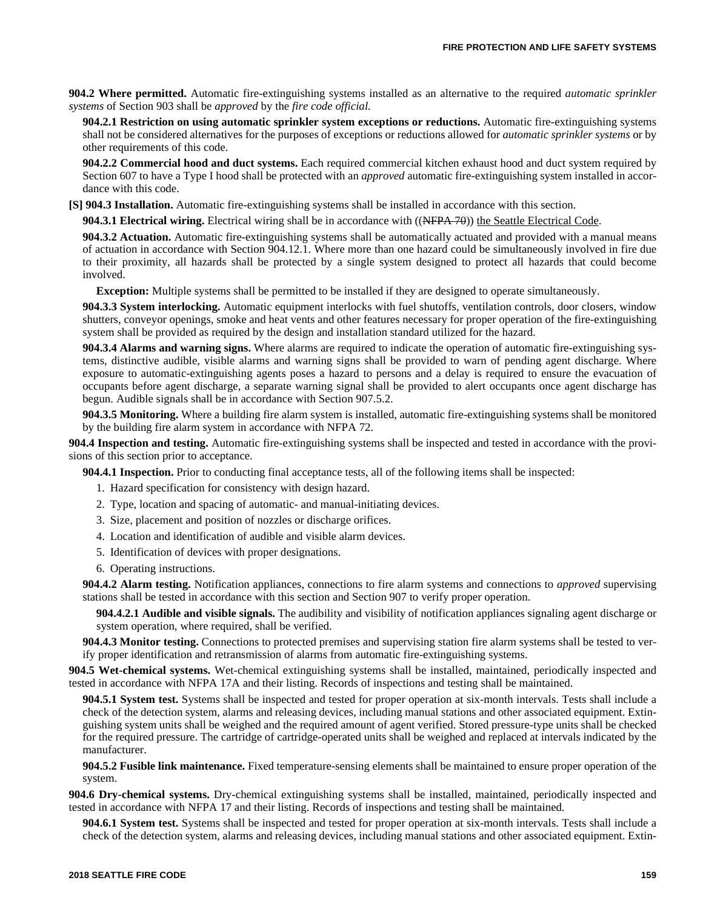**904.2 Where permitted.** Automatic fire-extinguishing systems installed as an alternative to the required *automatic sprinkler systems* of Section 903 shall be *approved* by the *fire code official.*

**904.2.1 Restriction on using automatic sprinkler system exceptions or reductions.** Automatic fire-extinguishing systems shall not be considered alternatives for the purposes of exceptions or reductions allowed for *automatic sprinkler systems* or by other requirements of this code.

**904.2.2 Commercial hood and duct systems.** Each required commercial kitchen exhaust hood and duct system required by Section 607 to have a Type I hood shall be protected with an *approved* automatic fire-extinguishing system installed in accordance with this code.

**[S] 904.3 Installation.** Automatic fire-extinguishing systems shall be installed in accordance with this section.

**904.3.1 Electrical wiring.** Electrical wiring shall be in accordance with ((NFPA 70)) the Seattle Electrical Code.

**904.3.2 Actuation.** Automatic fire-extinguishing systems shall be automatically actuated and provided with a manual means of actuation in accordance with Section 904.12.1. Where more than one hazard could be simultaneously involved in fire due to their proximity, all hazards shall be protected by a single system designed to protect all hazards that could become involved.

**Exception:** Multiple systems shall be permitted to be installed if they are designed to operate simultaneously.

**904.3.3 System interlocking.** Automatic equipment interlocks with fuel shutoffs, ventilation controls, door closers, window shutters, conveyor openings, smoke and heat vents and other features necessary for proper operation of the fire-extinguishing system shall be provided as required by the design and installation standard utilized for the hazard.

**904.3.4 Alarms and warning signs.** Where alarms are required to indicate the operation of automatic fire-extinguishing systems, distinctive audible, visible alarms and warning signs shall be provided to warn of pending agent discharge. Where exposure to automatic-extinguishing agents poses a hazard to persons and a delay is required to ensure the evacuation of occupants before agent discharge, a separate warning signal shall be provided to alert occupants once agent discharge has begun. Audible signals shall be in accordance with Section 907.5.2.

**904.3.5 Monitoring.** Where a building fire alarm system is installed, automatic fire-extinguishing systems shall be monitored by the building fire alarm system in accordance with NFPA 72.

**904.4 Inspection and testing.** Automatic fire-extinguishing systems shall be inspected and tested in accordance with the provisions of this section prior to acceptance.

**904.4.1 Inspection.** Prior to conducting final acceptance tests, all of the following items shall be inspected:

- 1. Hazard specification for consistency with design hazard.
- 2. Type, location and spacing of automatic- and manual-initiating devices.
- 3. Size, placement and position of nozzles or discharge orifices.
- 4. Location and identification of audible and visible alarm devices.
- 5. Identification of devices with proper designations.
- 6. Operating instructions.

**904.4.2 Alarm testing.** Notification appliances, connections to fire alarm systems and connections to *approved* supervising stations shall be tested in accordance with this section and Section 907 to verify proper operation.

**904.4.2.1 Audible and visible signals.** The audibility and visibility of notification appliances signaling agent discharge or system operation, where required, shall be verified.

**904.4.3 Monitor testing.** Connections to protected premises and supervising station fire alarm systems shall be tested to verify proper identification and retransmission of alarms from automatic fire-extinguishing systems.

**904.5 Wet-chemical systems.** Wet-chemical extinguishing systems shall be installed, maintained, periodically inspected and tested in accordance with NFPA 17A and their listing. Records of inspections and testing shall be maintained.

**904.5.1 System test.** Systems shall be inspected and tested for proper operation at six-month intervals. Tests shall include a check of the detection system, alarms and releasing devices, including manual stations and other associated equipment. Extinguishing system units shall be weighed and the required amount of agent verified. Stored pressure-type units shall be checked for the required pressure. The cartridge of cartridge-operated units shall be weighed and replaced at intervals indicated by the manufacturer.

**904.5.2 Fusible link maintenance.** Fixed temperature-sensing elements shall be maintained to ensure proper operation of the system.

**904.6 Dry-chemical systems.** Dry-chemical extinguishing systems shall be installed, maintained, periodically inspected and tested in accordance with NFPA 17 and their listing. Records of inspections and testing shall be maintained.

**904.6.1 System test.** Systems shall be inspected and tested for proper operation at six-month intervals. Tests shall include a check of the detection system, alarms and releasing devices, including manual stations and other associated equipment. Extin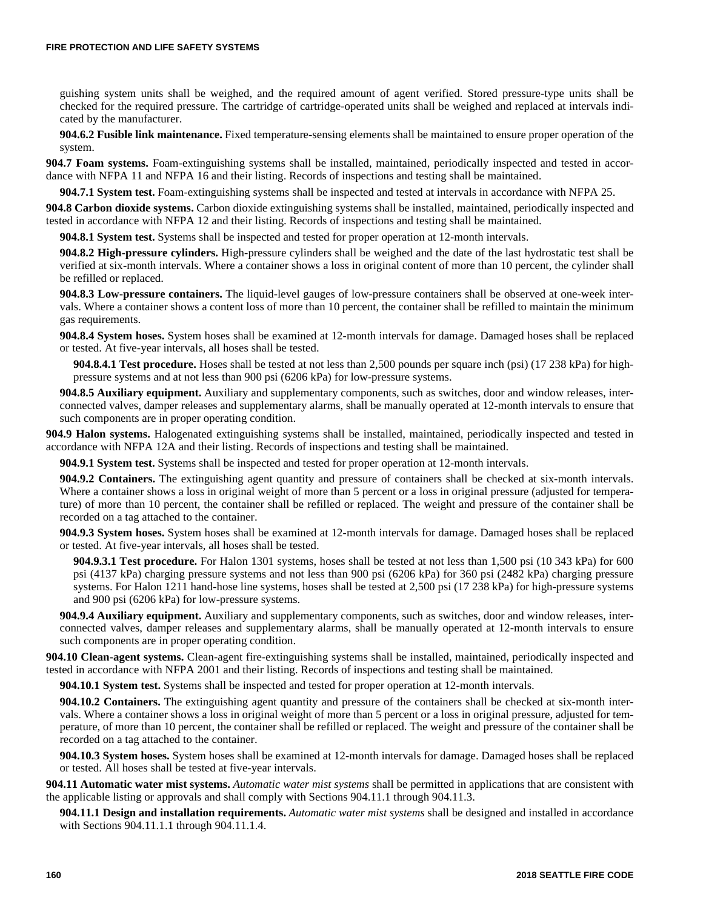guishing system units shall be weighed, and the required amount of agent verified. Stored pressure-type units shall be checked for the required pressure. The cartridge of cartridge-operated units shall be weighed and replaced at intervals indicated by the manufacturer.

**904.6.2 Fusible link maintenance.** Fixed temperature-sensing elements shall be maintained to ensure proper operation of the system.

**904.7 Foam systems.** Foam-extinguishing systems shall be installed, maintained, periodically inspected and tested in accordance with NFPA 11 and NFPA 16 and their listing. Records of inspections and testing shall be maintained.

**904.7.1 System test.** Foam-extinguishing systems shall be inspected and tested at intervals in accordance with NFPA 25.

**904.8 Carbon dioxide systems.** Carbon dioxide extinguishing systems shall be installed, maintained, periodically inspected and tested in accordance with NFPA 12 and their listing. Records of inspections and testing shall be maintained.

**904.8.1 System test.** Systems shall be inspected and tested for proper operation at 12-month intervals.

**904.8.2 High-pressure cylinders.** High-pressure cylinders shall be weighed and the date of the last hydrostatic test shall be verified at six-month intervals. Where a container shows a loss in original content of more than 10 percent, the cylinder shall be refilled or replaced.

**904.8.3 Low-pressure containers.** The liquid-level gauges of low-pressure containers shall be observed at one-week intervals. Where a container shows a content loss of more than 10 percent, the container shall be refilled to maintain the minimum gas requirements.

**904.8.4 System hoses.** System hoses shall be examined at 12-month intervals for damage. Damaged hoses shall be replaced or tested. At five-year intervals, all hoses shall be tested.

**904.8.4.1 Test procedure.** Hoses shall be tested at not less than 2,500 pounds per square inch (psi) (17 238 kPa) for highpressure systems and at not less than 900 psi (6206 kPa) for low-pressure systems.

**904.8.5 Auxiliary equipment.** Auxiliary and supplementary components, such as switches, door and window releases, interconnected valves, damper releases and supplementary alarms, shall be manually operated at 12-month intervals to ensure that such components are in proper operating condition.

**904.9 Halon systems.** Halogenated extinguishing systems shall be installed, maintained, periodically inspected and tested in accordance with NFPA 12A and their listing. Records of inspections and testing shall be maintained.

**904.9.1 System test.** Systems shall be inspected and tested for proper operation at 12-month intervals.

**904.9.2 Containers.** The extinguishing agent quantity and pressure of containers shall be checked at six-month intervals. Where a container shows a loss in original weight of more than 5 percent or a loss in original pressure (adjusted for temperature) of more than 10 percent, the container shall be refilled or replaced. The weight and pressure of the container shall be recorded on a tag attached to the container.

**904.9.3 System hoses.** System hoses shall be examined at 12-month intervals for damage. Damaged hoses shall be replaced or tested. At five-year intervals, all hoses shall be tested.

**904.9.3.1 Test procedure.** For Halon 1301 systems, hoses shall be tested at not less than 1,500 psi (10 343 kPa) for 600 psi (4137 kPa) charging pressure systems and not less than 900 psi (6206 kPa) for 360 psi (2482 kPa) charging pressure systems. For Halon 1211 hand-hose line systems, hoses shall be tested at 2,500 psi (17 238 kPa) for high-pressure systems and 900 psi (6206 kPa) for low-pressure systems.

**904.9.4 Auxiliary equipment.** Auxiliary and supplementary components, such as switches, door and window releases, interconnected valves, damper releases and supplementary alarms, shall be manually operated at 12-month intervals to ensure such components are in proper operating condition.

**904.10 Clean-agent systems.** Clean-agent fire-extinguishing systems shall be installed, maintained, periodically inspected and tested in accordance with NFPA 2001 and their listing. Records of inspections and testing shall be maintained.

**904.10.1 System test.** Systems shall be inspected and tested for proper operation at 12-month intervals.

**904.10.2 Containers.** The extinguishing agent quantity and pressure of the containers shall be checked at six-month intervals. Where a container shows a loss in original weight of more than 5 percent or a loss in original pressure, adjusted for temperature, of more than 10 percent, the container shall be refilled or replaced. The weight and pressure of the container shall be recorded on a tag attached to the container.

**904.10.3 System hoses.** System hoses shall be examined at 12-month intervals for damage. Damaged hoses shall be replaced or tested. All hoses shall be tested at five-year intervals.

**904.11 Automatic water mist systems.** *Automatic water mist systems* shall be permitted in applications that are consistent with the applicable listing or approvals and shall comply with Sections 904.11.1 through 904.11.3.

**904.11.1 Design and installation requirements.** *Automatic water mist systems* shall be designed and installed in accordance with Sections 904.11.1.1 through 904.11.1.4.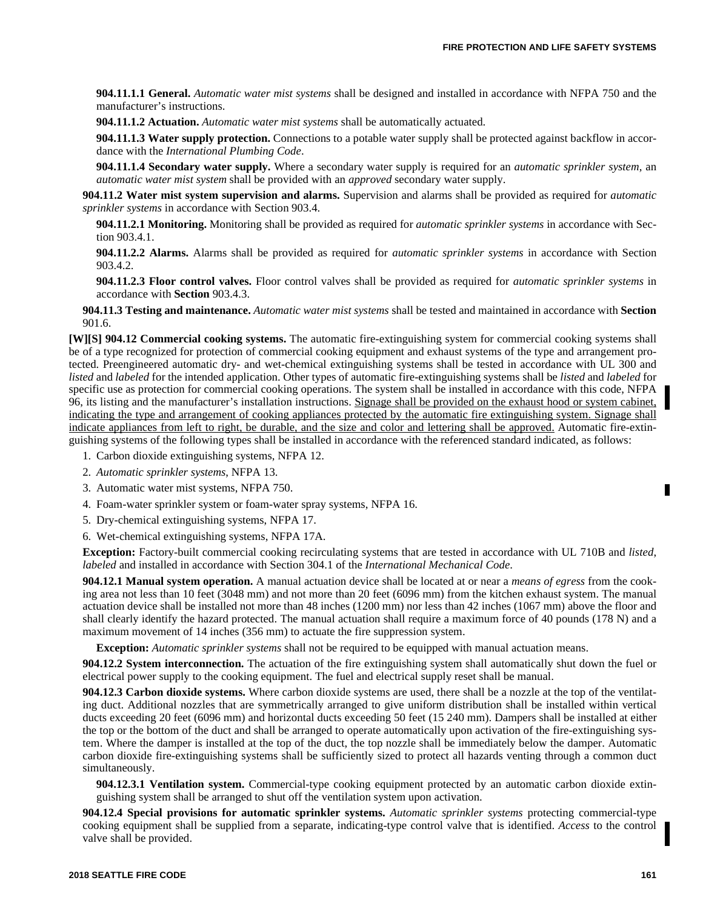**904.11.1.1 General.** *Automatic water mist systems* shall be designed and installed in accordance with NFPA 750 and the manufacturer's instructions.

**904.11.1.2 Actuation.** *Automatic water mist systems* shall be automatically actuated.

**904.11.1.3 Water supply protection.** Connections to a potable water supply shall be protected against backflow in accordance with the *International Plumbing Code*.

**904.11.1.4 Secondary water supply.** Where a secondary water supply is required for an *automatic sprinkler system*, an *automatic water mist system* shall be provided with an *approved* secondary water supply.

**904.11.2 Water mist system supervision and alarms.** Supervision and alarms shall be provided as required for *automatic sprinkler systems* in accordance with Section 903.4.

**904.11.2.1 Monitoring.** Monitoring shall be provided as required for *automatic sprinkler systems* in accordance with Section 903.4.1.

**904.11.2.2 Alarms.** Alarms shall be provided as required for *automatic sprinkler systems* in accordance with Section 903.4.2.

**904.11.2.3 Floor control valves.** Floor control valves shall be provided as required for *automatic sprinkler systems* in accordance with **Section** 903.4.3.

**904.11.3 Testing and maintenance.** *Automatic water mist systems* shall be tested and maintained in accordance with **Section** 901.6.

**[W][S] 904.12 Commercial cooking systems.** The automatic fire-extinguishing system for commercial cooking systems shall be of a type recognized for protection of commercial cooking equipment and exhaust systems of the type and arrangement protected. Preengineered automatic dry- and wet-chemical extinguishing systems shall be tested in accordance with UL 300 and *listed* and *labeled* for the intended application. Other types of automatic fire-extinguishing systems shall be *listed* and *labeled* for specific use as protection for commercial cooking operations. The system shall be installed in accordance with this code, NFPA 96, its listing and the manufacturer's installation instructions. Signage shall be provided on the exhaust hood or system cabinet, indicating the type and arrangement of cooking appliances protected by the automatic fire extinguishing system. Signage shall indicate appliances from left to right, be durable, and the size and color and lettering shall be approved. Automatic fire-extinguishing systems of the following types shall be installed in accordance with the referenced standard indicated, as follows:

- 1. Carbon dioxide extinguishing systems, NFPA 12.
- 2. *Automatic sprinkler systems*, NFPA 13.
- 3. Automatic water mist systems, NFPA 750.
- 4. Foam-water sprinkler system or foam-water spray systems, NFPA 16.
- 5. Dry-chemical extinguishing systems, NFPA 17.

6. Wet-chemical extinguishing systems, NFPA 17A.

**Exception:** Factory-built commercial cooking recirculating systems that are tested in accordance with UL 710B and *listed*, *labeled* and installed in accordance with Section 304.1 of the *International Mechanical Code*.

**904.12.1 Manual system operation.** A manual actuation device shall be located at or near a *means of egress* from the cooking area not less than 10 feet (3048 mm) and not more than 20 feet (6096 mm) from the kitchen exhaust system. The manual actuation device shall be installed not more than 48 inches (1200 mm) nor less than 42 inches (1067 mm) above the floor and shall clearly identify the hazard protected. The manual actuation shall require a maximum force of 40 pounds (178 N) and a maximum movement of 14 inches (356 mm) to actuate the fire suppression system.

**Exception:** *Automatic sprinkler systems* shall not be required to be equipped with manual actuation means.

**904.12.2 System interconnection.** The actuation of the fire extinguishing system shall automatically shut down the fuel or electrical power supply to the cooking equipment. The fuel and electrical supply reset shall be manual.

**904.12.3 Carbon dioxide systems.** Where carbon dioxide systems are used, there shall be a nozzle at the top of the ventilating duct. Additional nozzles that are symmetrically arranged to give uniform distribution shall be installed within vertical ducts exceeding 20 feet (6096 mm) and horizontal ducts exceeding 50 feet (15 240 mm). Dampers shall be installed at either the top or the bottom of the duct and shall be arranged to operate automatically upon activation of the fire-extinguishing system. Where the damper is installed at the top of the duct, the top nozzle shall be immediately below the damper. Automatic carbon dioxide fire-extinguishing systems shall be sufficiently sized to protect all hazards venting through a common duct simultaneously.

**904.12.3.1 Ventilation system.** Commercial-type cooking equipment protected by an automatic carbon dioxide extinguishing system shall be arranged to shut off the ventilation system upon activation.

**904.12.4 Special provisions for automatic sprinkler systems.** *Automatic sprinkler systems* protecting commercial-type cooking equipment shall be supplied from a separate, indicating-type control valve that is identified. *Access* to the control valve shall be provided.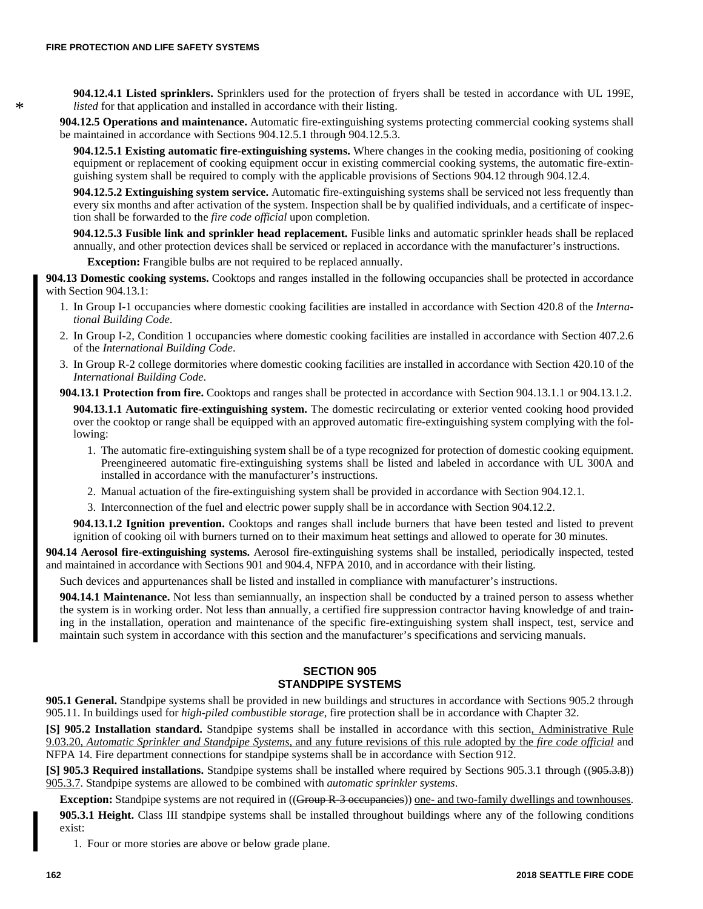\*

**904.12.4.1 Listed sprinklers.** Sprinklers used for the protection of fryers shall be tested in accordance with UL 199E, *listed* for that application and installed in accordance with their listing.

**904.12.5 Operations and maintenance.** Automatic fire-extinguishing systems protecting commercial cooking systems shall be maintained in accordance with Sections 904.12.5.1 through 904.12.5.3.

**904.12.5.1 Existing automatic fire-extinguishing systems.** Where changes in the cooking media, positioning of cooking equipment or replacement of cooking equipment occur in existing commercial cooking systems, the automatic fire-extinguishing system shall be required to comply with the applicable provisions of Sections 904.12 through 904.12.4.

**904.12.5.2 Extinguishing system service.** Automatic fire-extinguishing systems shall be serviced not less frequently than every six months and after activation of the system. Inspection shall be by qualified individuals, and a certificate of inspection shall be forwarded to the *fire code official* upon completion.

**904.12.5.3 Fusible link and sprinkler head replacement.** Fusible links and automatic sprinkler heads shall be replaced annually, and other protection devices shall be serviced or replaced in accordance with the manufacturer's instructions.

**Exception:** Frangible bulbs are not required to be replaced annually.

**904.13 Domestic cooking systems.** Cooktops and ranges installed in the following occupancies shall be protected in accordance with Section 904.13.1:

- 1. In Group I-1 occupancies where domestic cooking facilities are installed in accordance with Section 420.8 of the *International Building Code*.
- 2. In Group I-2, Condition 1 occupancies where domestic cooking facilities are installed in accordance with Section 407.2.6 of the *International Building Code*.
- 3. In Group R-2 college dormitories where domestic cooking facilities are installed in accordance with Section 420.10 of the *International Building Code*.

**904.13.1 Protection from fire.** Cooktops and ranges shall be protected in accordance with Section 904.13.1.1 or 904.13.1.2.

**904.13.1.1 Automatic fire-extinguishing system.** The domestic recirculating or exterior vented cooking hood provided over the cooktop or range shall be equipped with an approved automatic fire-extinguishing system complying with the following:

- 1. The automatic fire-extinguishing system shall be of a type recognized for protection of domestic cooking equipment. Preengineered automatic fire-extinguishing systems shall be listed and labeled in accordance with UL 300A and installed in accordance with the manufacturer's instructions.
- 2. Manual actuation of the fire-extinguishing system shall be provided in accordance with Section 904.12.1.
- 3. Interconnection of the fuel and electric power supply shall be in accordance with Section 904.12.2.

**904.13.1.2 Ignition prevention.** Cooktops and ranges shall include burners that have been tested and listed to prevent ignition of cooking oil with burners turned on to their maximum heat settings and allowed to operate for 30 minutes.

**904.14 Aerosol fire-extinguishing systems.** Aerosol fire-extinguishing systems shall be installed, periodically inspected, tested and maintained in accordance with Sections 901 and 904.4, NFPA 2010, and in accordance with their listing.

Such devices and appurtenances shall be listed and installed in compliance with manufacturer's instructions.

**904.14.1 Maintenance.** Not less than semiannually, an inspection shall be conducted by a trained person to assess whether the system is in working order. Not less than annually, a certified fire suppression contractor having knowledge of and training in the installation, operation and maintenance of the specific fire-extinguishing system shall inspect, test, service and maintain such system in accordance with this section and the manufacturer's specifications and servicing manuals.

### **SECTION 905 STANDPIPE SYSTEMS**

**905.1 General.** Standpipe systems shall be provided in new buildings and structures in accordance with Sections 905.2 through 905.11. In buildings used for *high-piled combustible storage*, fire protection shall be in accordance with Chapter 32.

**[S] 905.2 Installation standard.** Standpipe systems shall be installed in accordance with this section, Administrative Rule 9.03.20, *Automatic Sprinkler and Standpipe Systems,* and any future revisions of this rule adopted by the *fire code official* and NFPA 14. Fire department connections for standpipe systems shall be in accordance with Section 912.

**[S] 905.3 Required installations.** Standpipe systems shall be installed where required by Sections 905.3.1 through ((905.3.8)) 905.3.7. Standpipe systems are allowed to be combined with *automatic sprinkler systems*.

**Exception:** Standpipe systems are not required in ((Group R-3 occupancies)) one- and two-family dwellings and townhouses. **905.3.1 Height.** Class III standpipe systems shall be installed throughout buildings where any of the following conditions exist:

1. Four or more stories are above or below grade plane.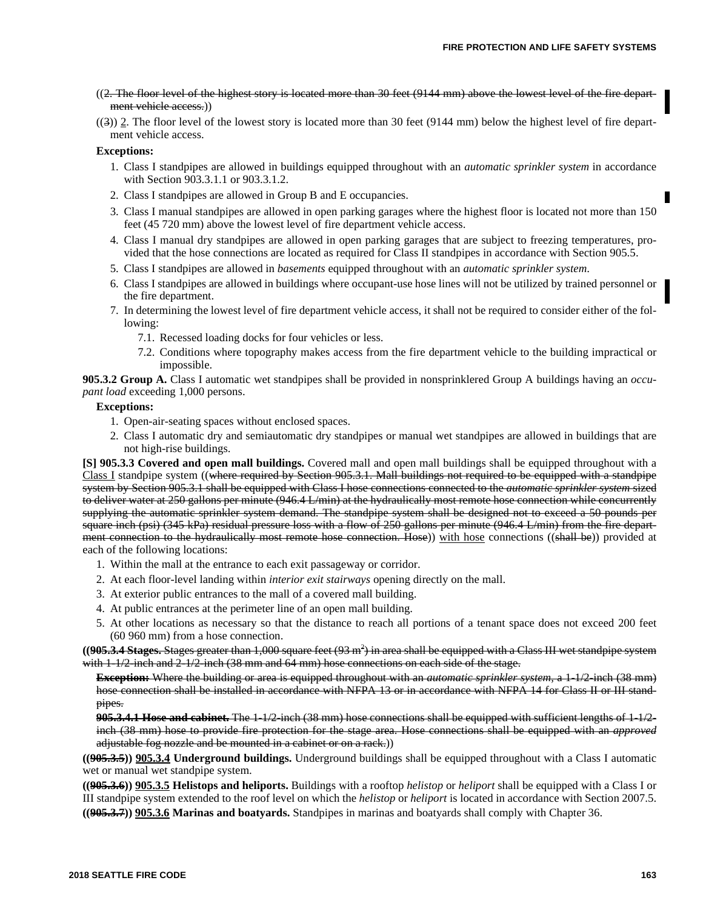- $(2.$  The floor level of the highest story is located more than 30 feet  $(9144 \text{ mm})$  above the lowest level of the fire department vehicle access.))
- $((3))$  2. The floor level of the lowest story is located more than 30 feet (9144 mm) below the highest level of fire department vehicle access.

### **Exceptions:**

- 1. Class I standpipes are allowed in buildings equipped throughout with an *automatic sprinkler system* in accordance with Section 903.3.1.1 or 903.3.1.2.
- 2. Class I standpipes are allowed in Group B and E occupancies.
- 3. Class I manual standpipes are allowed in open parking garages where the highest floor is located not more than 150 feet (45 720 mm) above the lowest level of fire department vehicle access.
- 4. Class I manual dry standpipes are allowed in open parking garages that are subject to freezing temperatures, provided that the hose connections are located as required for Class II standpipes in accordance with Section 905.5.
- 5. Class I standpipes are allowed in *basements* equipped throughout with an *automatic sprinkler system*.
- 6. Class I standpipes are allowed in buildings where occupant-use hose lines will not be utilized by trained personnel or the fire department.
- 7. In determining the lowest level of fire department vehicle access, it shall not be required to consider either of the following:
	- 7.1. Recessed loading docks for four vehicles or less.
	- 7.2. Conditions where topography makes access from the fire department vehicle to the building impractical or impossible.

**905.3.2 Group A.** Class I automatic wet standpipes shall be provided in nonsprinklered Group A buildings having an *occupant load* exceeding 1,000 persons.

### **Exceptions:**

- 1. Open-air-seating spaces without enclosed spaces.
- 2. Class I automatic dry and semiautomatic dry standpipes or manual wet standpipes are allowed in buildings that are not high-rise buildings.

**[S] 905.3.3 Covered and open mall buildings.** Covered mall and open mall buildings shall be equipped throughout with a Class I standpipe system ((where required by Section 905.3.1. Mall buildings not required to be equipped with a standpipe system by Section 905.3.1 shall be equipped with Class I hose connections connected to the *automatic sprinkler system* sized to deliver water at 250 gallons per minute (946.4 L/min) at the hydraulically most remote hose connection while concurrently supplying the automatic sprinkler system demand. The standpipe system shall be designed not to exceed a 50 pounds per square inch (psi) (345 kPa) residual pressure loss with a flow of 250 gallons per minute (946.4 L/min) from the fire department connection to the hydraulically most remote hose connection. Hose)) with hose connections ((shall be)) provided at each of the following locations:

- 1. Within the mall at the entrance to each exit passageway or corridor.
- 2. At each floor-level landing within *interior exit stairways* opening directly on the mall.
- 3. At exterior public entrances to the mall of a covered mall building.
- 4. At public entrances at the perimeter line of an open mall building.
- 5. At other locations as necessary so that the distance to reach all portions of a tenant space does not exceed 200 feet (60 960 mm) from a hose connection.

((**9<del>05.3.4 Stages.** Stages greater than 1,000 square feet (93 m<sup>2</sup>) in area shall be equipped with a Class III wet standpipe system</del> with  $1-1/2$ -inch and  $2-1/2$ -inch (38 mm and 64 mm) hose connections on each side of the stage.

**Exception:** Where the building or area is equipped throughout with an *automatic sprinkler system,* a 1-1/2-inch (38 mm) hose connection shall be installed in accordance with NFPA 13 or in accordance with NFPA 14 for Class II or III standpipes.

**905.3.4.1 Hose and cabinet.** The 1-1/2-inch (38 mm) hose connections shall be equipped with sufficient lengths of 1-1/2 inch (38 mm) hose to provide fire protection for the stage area. Hose connections shall be equipped with an *approved* adjustable fog nozzle and be mounted in a cabinet or on a rack.))

**((905.3.5)) 905.3.4 Underground buildings.** Underground buildings shall be equipped throughout with a Class I automatic wet or manual wet standpipe system.

**((905.3.6)) 905.3.5 Helistops and heliports.** Buildings with a rooftop *helistop* or *heliport* shall be equipped with a Class I or III standpipe system extended to the roof level on which the *helistop* or *heliport* is located in accordance with Section 2007.5. **((905.3.7)) 905.3.6 Marinas and boatyards.** Standpipes in marinas and boatyards shall comply with Chapter 36.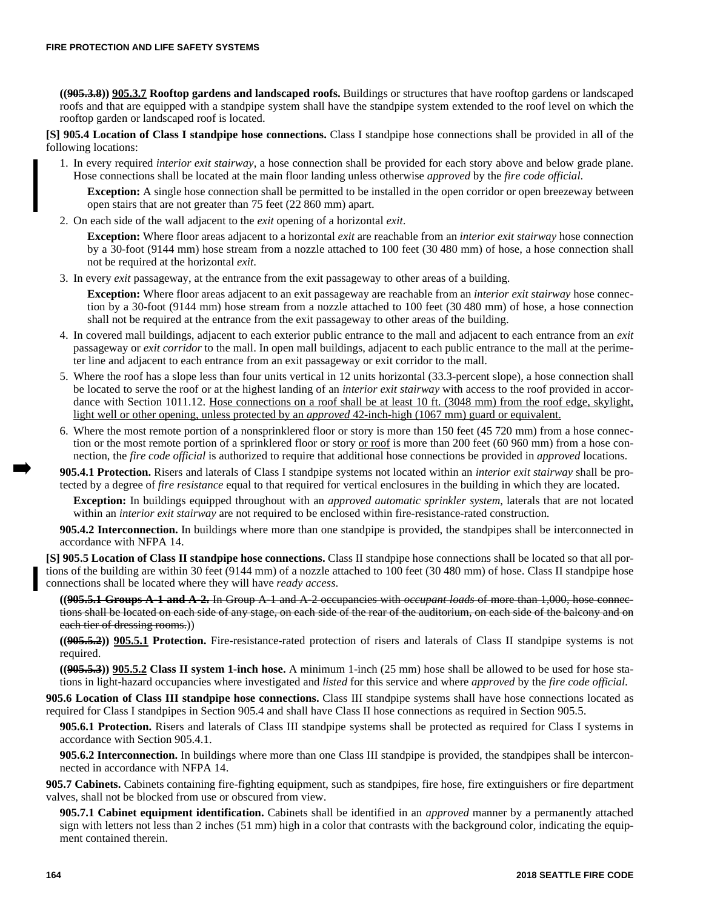**((905.3.8)) 905.3.7 Rooftop gardens and landscaped roofs.** Buildings or structures that have rooftop gardens or landscaped roofs and that are equipped with a standpipe system shall have the standpipe system extended to the roof level on which the rooftop garden or landscaped roof is located.

**[S] 905.4 Location of Class I standpipe hose connections.** Class I standpipe hose connections shall be provided in all of the following locations:

1. In every required *interior exit stairway*, a hose connection shall be provided for each story above and below grade plane. Hose connections shall be located at the main floor landing unless otherwise *approved* by the *fire code official*.

**Exception:** A single hose connection shall be permitted to be installed in the open corridor or open breezeway between open stairs that are not greater than 75 feet (22 860 mm) apart.

2. On each side of the wall adjacent to the *exit* opening of a horizontal *exit*.

**Exception:** Where floor areas adjacent to a horizontal *exit* are reachable from an *interior exit stairway* hose connection by a 30-foot (9144 mm) hose stream from a nozzle attached to 100 feet (30 480 mm) of hose, a hose connection shall not be required at the horizontal *exit*.

3. In every *exit* passageway, at the entrance from the exit passageway to other areas of a building.

**Exception:** Where floor areas adjacent to an exit passageway are reachable from an *interior exit stairway* hose connection by a 30-foot (9144 mm) hose stream from a nozzle attached to 100 feet (30 480 mm) of hose, a hose connection shall not be required at the entrance from the exit passageway to other areas of the building.

- 4. In covered mall buildings, adjacent to each exterior public entrance to the mall and adjacent to each entrance from an *exit* passageway or *exit corridor* to the mall. In open mall buildings, adjacent to each public entrance to the mall at the perimeter line and adjacent to each entrance from an exit passageway or exit corridor to the mall.
- 5. Where the roof has a slope less than four units vertical in 12 units horizontal (33.3-percent slope), a hose connection shall be located to serve the roof or at the highest landing of an *interior exit stairway* with access to the roof provided in accordance with Section 1011.12. Hose connections on a roof shall be at least 10 ft. (3048 mm) from the roof edge, skylight, light well or other opening, unless protected by an *approved* 42-inch-high (1067 mm) guard or equivalent.
- 6. Where the most remote portion of a nonsprinklered floor or story is more than 150 feet (45 720 mm) from a hose connection or the most remote portion of a sprinklered floor or story <u>or roof</u> is more than 200 feet (60 960 mm) from a hose connection, the *fire code official* is authorized to require that additional hose connections be provided in *approved* locations.

**905.4.1 Protection.** Risers and laterals of Class I standpipe systems not located within an *interior exit stairway* shall be protected by a degree of *fire resistance* equal to that required for vertical enclosures in the building in which they are located.

**Exception:** In buildings equipped throughout with an *approved automatic sprinkler system*, laterals that are not located within an *interior exit stairway* are not required to be enclosed within fire-resistance-rated construction.

**905.4.2 Interconnection.** In buildings where more than one standpipe is provided, the standpipes shall be interconnected in accordance with NFPA 14.

**[S] 905.5 Location of Class II standpipe hose connections.** Class II standpipe hose connections shall be located so that all portions of the building are within 30 feet (9144 mm) of a nozzle attached to 100 feet (30 480 mm) of hose. Class II standpipe hose connections shall be located where they will have *ready access*.

**((905.5.1 Groups A-1 and A-2.** In Group A-1 and A-2 occupancies with *occupant loads* of more than 1,000, hose connections shall be located on each side of any stage, on each side of the rear of the auditorium, on each side of the balcony and on each tier of dressing rooms.))

**((905.5.2)) 905.5.1 Protection.** Fire-resistance-rated protection of risers and laterals of Class II standpipe systems is not required.

**((905.5.3)) 905.5.2 Class II system 1-inch hose.** A minimum 1-inch (25 mm) hose shall be allowed to be used for hose stations in light-hazard occupancies where investigated and *listed* for this service and where *approved* by the *fire code official*.

**905.6 Location of Class III standpipe hose connections.** Class III standpipe systems shall have hose connections located as required for Class I standpipes in Section 905.4 and shall have Class II hose connections as required in Section 905.5.

**905.6.1 Protection.** Risers and laterals of Class III standpipe systems shall be protected as required for Class I systems in accordance with Section 905.4.1.

**905.6.2 Interconnection.** In buildings where more than one Class III standpipe is provided, the standpipes shall be interconnected in accordance with NFPA 14.

**905.7 Cabinets.** Cabinets containing fire-fighting equipment, such as standpipes, fire hose, fire extinguishers or fire department valves, shall not be blocked from use or obscured from view.

**905.7.1 Cabinet equipment identification.** Cabinets shall be identified in an *approved* manner by a permanently attached sign with letters not less than 2 inches (51 mm) high in a color that contrasts with the background color, indicating the equipment contained therein.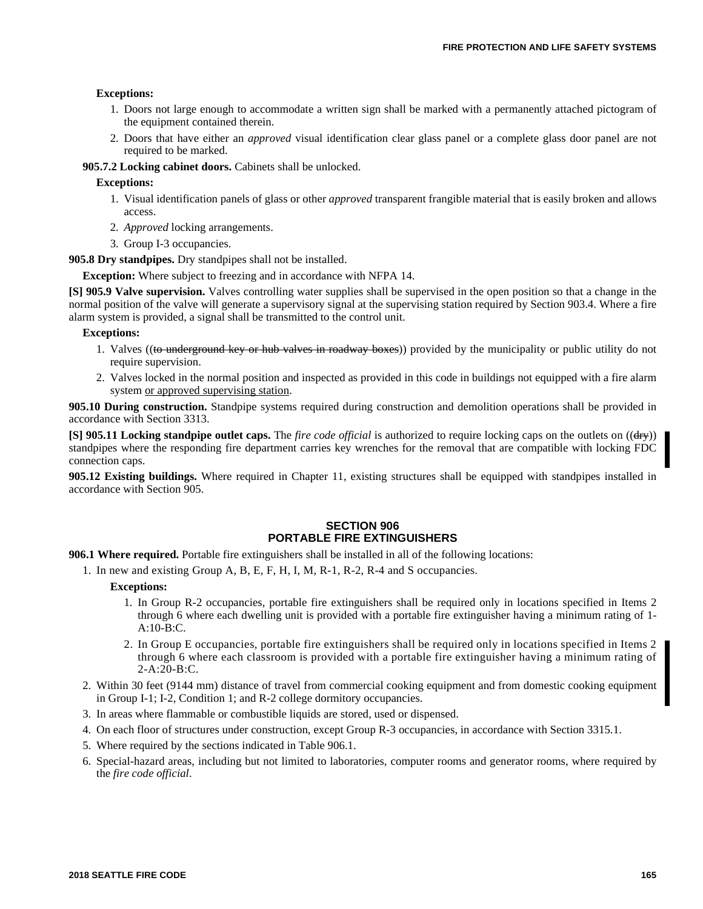### **Exceptions:**

- 1. Doors not large enough to accommodate a written sign shall be marked with a permanently attached pictogram of the equipment contained therein.
- 2. Doors that have either an *approved* visual identification clear glass panel or a complete glass door panel are not required to be marked.

**905.7.2 Locking cabinet doors.** Cabinets shall be unlocked.

**Exceptions:**

- 1. Visual identification panels of glass or other *approved* transparent frangible material that is easily broken and allows access.
- 2. *Approved* locking arrangements.
- 3. Group I-3 occupancies.

**905.8 Dry standpipes.** Dry standpipes shall not be installed.

**Exception:** Where subject to freezing and in accordance with NFPA 14.

**[S] 905.9 Valve supervision.** Valves controlling water supplies shall be supervised in the open position so that a change in the normal position of the valve will generate a supervisory signal at the supervising station required by Section 903.4. Where a fire alarm system is provided, a signal shall be transmitted to the control unit.

#### **Exceptions:**

- 1. Valves ((to underground key or hub valves in roadway boxes)) provided by the municipality or public utility do not require supervision.
- 2. Valves locked in the normal position and inspected as provided in this code in buildings not equipped with a fire alarm system or approved supervising station.

**905.10 During construction.** Standpipe systems required during construction and demolition operations shall be provided in accordance with Section 3313.

**[S] 905.11 Locking standpipe outlet caps.** The *fire code official* is authorized to require locking caps on the outlets on ((dry)) standpipes where the responding fire department carries key wrenches for the removal that are compatible with locking FDC connection caps.

**905.12 Existing buildings.** Where required in Chapter 11, existing structures shall be equipped with standpipes installed in accordance with Section 905.

### **SECTION 906 PORTABLE FIRE EXTINGUISHERS**

**906.1 Where required.** Portable fire extinguishers shall be installed in all of the following locations:

1. In new and existing Group A, B, E, F, H, I, M, R-1, R-2, R-4 and S occupancies.

### **Exceptions:**

- 1. In Group R-2 occupancies, portable fire extinguishers shall be required only in locations specified in Items 2 through 6 where each dwelling unit is provided with a portable fire extinguisher having a minimum rating of 1-  $A:10-B:C$ .
- 2. In Group E occupancies, portable fire extinguishers shall be required only in locations specified in Items 2 through 6 where each classroom is provided with a portable fire extinguisher having a minimum rating of 2-A:20-B:C.
- 2. Within 30 feet (9144 mm) distance of travel from commercial cooking equipment and from domestic cooking equipment in Group I-1; I-2, Condition 1; and R-2 college dormitory occupancies.
- 3. In areas where flammable or combustible liquids are stored, used or dispensed.
- 4. On each floor of structures under construction, except Group R-3 occupancies, in accordance with Section 3315.1.
- 5. Where required by the sections indicated in Table 906.1.
- 6. Special-hazard areas, including but not limited to laboratories, computer rooms and generator rooms, where required by the *fire code official*.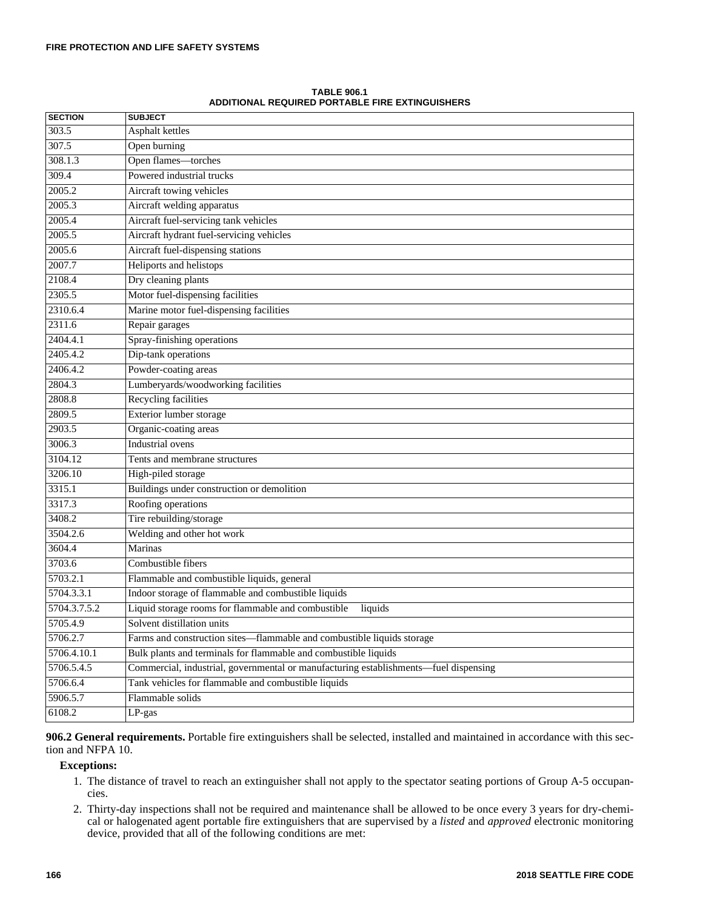| <b>SECTION</b> | <b>SUBJECT</b>                                                                       |
|----------------|--------------------------------------------------------------------------------------|
| 303.5          | Asphalt kettles                                                                      |
| 307.5          | Open burning                                                                         |
| 308.1.3        | Open flames-torches                                                                  |
| 309.4          | Powered industrial trucks                                                            |
| 2005.2         | Aircraft towing vehicles                                                             |
| 2005.3         | Aircraft welding apparatus                                                           |
| 2005.4         | Aircraft fuel-servicing tank vehicles                                                |
| 2005.5         | Aircraft hydrant fuel-servicing vehicles                                             |
| 2005.6         | Aircraft fuel-dispensing stations                                                    |
| 2007.7         | Heliports and helistops                                                              |
| 2108.4         | Dry cleaning plants                                                                  |
| 2305.5         | Motor fuel-dispensing facilities                                                     |
| 2310.6.4       | Marine motor fuel-dispensing facilities                                              |
| 2311.6         | Repair garages                                                                       |
| 2404.4.1       | Spray-finishing operations                                                           |
| 2405.4.2       | Dip-tank operations                                                                  |
| 2406.4.2       | Powder-coating areas                                                                 |
| 2804.3         | Lumberyards/woodworking facilities                                                   |
| 2808.8         | Recycling facilities                                                                 |
| 2809.5         | Exterior lumber storage                                                              |
| 2903.5         | Organic-coating areas                                                                |
| 3006.3         | <b>Industrial</b> ovens                                                              |
| 3104.12        | Tents and membrane structures                                                        |
| 3206.10        | High-piled storage                                                                   |
| 3315.1         | Buildings under construction or demolition                                           |
| 3317.3         | Roofing operations                                                                   |
| 3408.2         | Tire rebuilding/storage                                                              |
| 3504.2.6       | Welding and other hot work                                                           |
| 3604.4         | Marinas                                                                              |
| 3703.6         | Combustible fibers                                                                   |
| 5703.2.1       | Flammable and combustible liquids, general                                           |
| 5704.3.3.1     | Indoor storage of flammable and combustible liquids                                  |
| 5704.3.7.5.2   | Liquid storage rooms for flammable and combustible<br>liquids                        |
| 5705.4.9       | Solvent distillation units                                                           |
| 5706.2.7       | Farms and construction sites—flammable and combustible liquids storage               |
| 5706.4.10.1    | Bulk plants and terminals for flammable and combustible liquids                      |
| 5706.5.4.5     | Commercial, industrial, governmental or manufacturing establishments-fuel dispensing |
| 5706.6.4       | Tank vehicles for flammable and combustible liquids                                  |
| 5906.5.7       | Flammable solids                                                                     |
| 6108.2         | LP-gas                                                                               |

**TABLE 906.1 ADDITIONAL REQUIRED PORTABLE FIRE EXTINGUISHERS**

**906.2 General requirements.** Portable fire extinguishers shall be selected, installed and maintained in accordance with this section and NFPA 10.

# **Exceptions:**

- 1. The distance of travel to reach an extinguisher shall not apply to the spectator seating portions of Group A-5 occupancies.
- 2. Thirty-day inspections shall not be required and maintenance shall be allowed to be once every 3 years for dry-chemical or halogenated agent portable fire extinguishers that are supervised by a *listed* and *approved* electronic monitoring device, provided that all of the following conditions are met: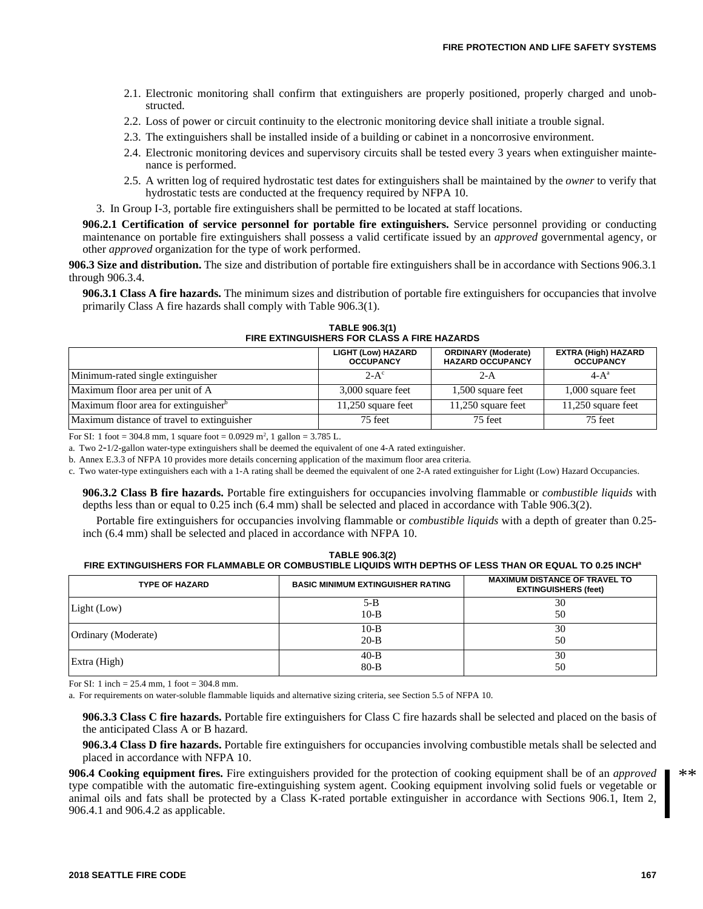- 2.1. Electronic monitoring shall confirm that extinguishers are properly positioned, properly charged and unobstructed.
- 2.2. Loss of power or circuit continuity to the electronic monitoring device shall initiate a trouble signal.
- 2.3. The extinguishers shall be installed inside of a building or cabinet in a noncorrosive environment.
- 2.4. Electronic monitoring devices and supervisory circuits shall be tested every 3 years when extinguisher maintenance is performed.
- 2.5. A written log of required hydrostatic test dates for extinguishers shall be maintained by the *owner* to verify that hydrostatic tests are conducted at the frequency required by NFPA 10.
- 3. In Group I-3, portable fire extinguishers shall be permitted to be located at staff locations.

**906.2.1 Certification of service personnel for portable fire extinguishers.** Service personnel providing or conducting maintenance on portable fire extinguishers shall possess a valid certificate issued by an *approved* governmental agency, or other *approved* organization for the type of work performed.

**906.3 Size and distribution.** The size and distribution of portable fire extinguishers shall be in accordance with Sections 906.3.1 through 906.3.4.

**906.3.1 Class A fire hazards.** The minimum sizes and distribution of portable fire extinguishers for occupancies that involve primarily Class A fire hazards shall comply with Table 906.3(1).

**TABLE 906.3(1) FIRE EXTINGUISHERS FOR CLASS A FIRE HAZARDS**

|                                                  | <b>LIGHT (Low) HAZARD</b><br><b>OCCUPANCY</b> | <b>ORDINARY (Moderate)</b><br><b>EXTRA (High) HAZARD</b><br><b>HAZARD OCCUPANCY</b><br><b>OCCUPANCY</b> |                      |
|--------------------------------------------------|-----------------------------------------------|---------------------------------------------------------------------------------------------------------|----------------------|
| Minimum-rated single extinguisher                | $2-A^c$                                       | 2-A                                                                                                     | $4-A^a$              |
| Maximum floor area per unit of A                 | 3,000 square feet                             | 1,500 square feet                                                                                       | 1,000 square feet    |
| Maximum floor area for extinguisher <sup>b</sup> | 11,250 square feet                            | $11,250$ square feet                                                                                    | $11,250$ square feet |
| Maximum distance of travel to extinguisher       | 75 feet                                       | 75 feet                                                                                                 | 75 feet              |

For SI: 1 foot = 304.8 mm, 1 square foot =  $0.0929$  m<sup>2</sup>, 1 gallon = 3.785 L.

a. Two 2-1/2-gallon water-type extinguishers shall be deemed the equivalent of one 4-A rated extinguisher.

b. Annex E.3.3 of NFPA 10 provides more details concerning application of the maximum floor area criteria.

c. Two water-type extinguishers each with a 1-A rating shall be deemed the equivalent of one 2-A rated extinguisher for Light (Low) Hazard Occupancies.

**906.3.2 Class B fire hazards.** Portable fire extinguishers for occupancies involving flammable or *combustible liquids* with depths less than or equal to 0.25 inch (6.4 mm) shall be selected and placed in accordance with Table 906.3(2).

Portable fire extinguishers for occupancies involving flammable or *combustible liquids* with a depth of greater than 0.25 inch (6.4 mm) shall be selected and placed in accordance with NFPA 10.

|                                                                                                          | TABLE 906.3(2) |                               |
|----------------------------------------------------------------------------------------------------------|----------------|-------------------------------|
| ™ FIRE EXTINGUISHERS FOR FLAMMABLE OR COMBUSTIBLE LIQUIDS WITH DEPTHS OF LESS THAN OR EQUAL TO 0.25 INCH |                |                               |
|                                                                                                          |                |                               |
|                                                                                                          |                | MAVIMUM DICTANCE OF TRAVEL TO |

| <b>TYPE OF HAZARD</b> | <b>BASIC MINIMUM EXTINGUISHER RATING</b> | <b>MAXIMUM DISTANCE OF TRAVEL TO</b><br><b>EXTINGUISHERS (feet)</b> |
|-----------------------|------------------------------------------|---------------------------------------------------------------------|
| Light (Low)           | $5 - B$<br>$10-B$                        | 30<br>50                                                            |
| Ordinary (Moderate)   | $10-B$<br>$20 - B$                       | 30<br>50                                                            |
| Extra (High)          | $40 - B$<br>$80 - B$                     | 30<br>50                                                            |

For SI: 1 inch = 25.4 mm, 1 foot = 304.8 mm.

a. For requirements on water-soluble flammable liquids and alternative sizing criteria, see Section 5.5 of NFPA 10.

**906.3.3 Class C fire hazards.** Portable fire extinguishers for Class C fire hazards shall be selected and placed on the basis of the anticipated Class A or B hazard.

**906.3.4 Class D fire hazards.** Portable fire extinguishers for occupancies involving combustible metals shall be selected and placed in accordance with NFPA 10.

**906.4 Cooking equipment fires.** Fire extinguishers provided for the protection of cooking equipment shall be of an *approved* type compatible with the automatic fire-extinguishing system agent. Cooking equipment involving solid fuels or vegetable or animal oils and fats shall be protected by a Class K-rated portable extinguisher in accordance with Sections 906.1, Item 2, 906.4.1 and 906.4.2 as applicable.

**2018 SEATTLE FIRE CODE 167**

 $**$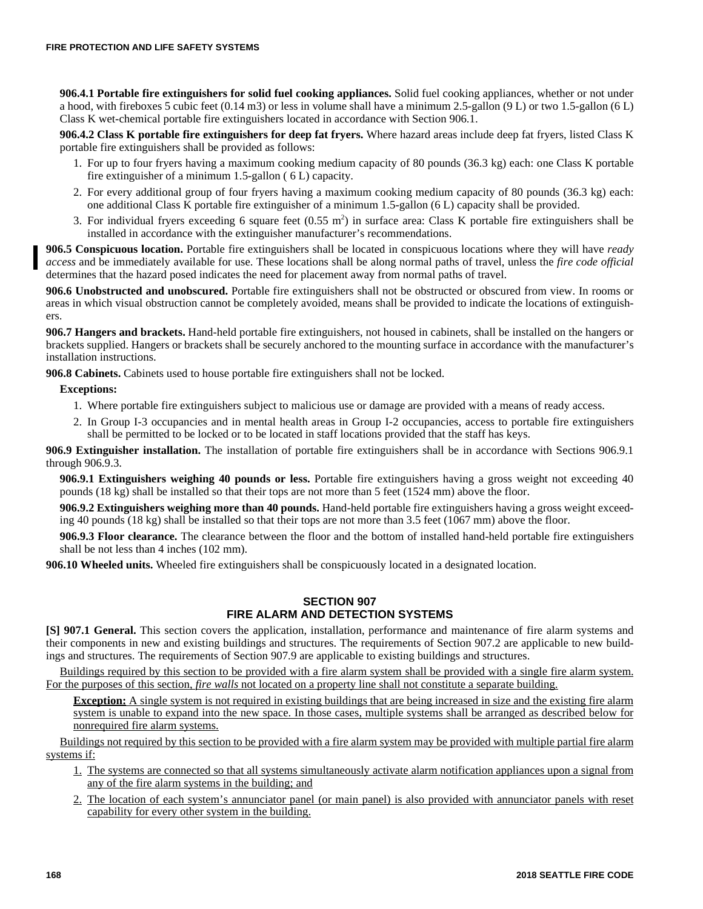**906.4.1 Portable fire extinguishers for solid fuel cooking appliances.** Solid fuel cooking appliances, whether or not under a hood, with fireboxes 5 cubic feet (0.14 m3) or less in volume shall have a minimum 2.5-gallon (9 L) or two 1.5-gallon (6 L) Class K wet-chemical portable fire extinguishers located in accordance with Section 906.1.

**906.4.2 Class K portable fire extinguishers for deep fat fryers.** Where hazard areas include deep fat fryers, listed Class K portable fire extinguishers shall be provided as follows:

- 1. For up to four fryers having a maximum cooking medium capacity of 80 pounds (36.3 kg) each: one Class K portable fire extinguisher of a minimum 1.5-gallon ( 6 L) capacity.
- 2. For every additional group of four fryers having a maximum cooking medium capacity of 80 pounds (36.3 kg) each: one additional Class K portable fire extinguisher of a minimum 1.5-gallon (6 L) capacity shall be provided.
- 3. For individual fryers exceeding 6 square feet  $(0.55 \text{ m}^2)$  in surface area: Class K portable fire extinguishers shall be installed in accordance with the extinguisher manufacturer's recommendations.

**906.5 Conspicuous location.** Portable fire extinguishers shall be located in conspicuous locations where they will have *ready access* and be immediately available for use. These locations shall be along normal paths of travel, unless the *fire code official* determines that the hazard posed indicates the need for placement away from normal paths of travel.

**906.6 Unobstructed and unobscured.** Portable fire extinguishers shall not be obstructed or obscured from view. In rooms or areas in which visual obstruction cannot be completely avoided, means shall be provided to indicate the locations of extinguishers.

**906.7 Hangers and brackets.** Hand-held portable fire extinguishers, not housed in cabinets, shall be installed on the hangers or brackets supplied. Hangers or brackets shall be securely anchored to the mounting surface in accordance with the manufacturer's installation instructions.

**906.8 Cabinets.** Cabinets used to house portable fire extinguishers shall not be locked.

# **Exceptions:**

- 1. Where portable fire extinguishers subject to malicious use or damage are provided with a means of ready access.
- 2. In Group I-3 occupancies and in mental health areas in Group I-2 occupancies, access to portable fire extinguishers shall be permitted to be locked or to be located in staff locations provided that the staff has keys.

**906.9 Extinguisher installation.** The installation of portable fire extinguishers shall be in accordance with Sections 906.9.1 through 906.9.3.

**906.9.1 Extinguishers weighing 40 pounds or less.** Portable fire extinguishers having a gross weight not exceeding 40 pounds (18 kg) shall be installed so that their tops are not more than 5 feet (1524 mm) above the floor.

**906.9.2 Extinguishers weighing more than 40 pounds.** Hand-held portable fire extinguishers having a gross weight exceeding 40 pounds (18 kg) shall be installed so that their tops are not more than 3.5 feet (1067 mm) above the floor.

**906.9.3 Floor clearance.** The clearance between the floor and the bottom of installed hand-held portable fire extinguishers shall be not less than 4 inches (102 mm).

**906.10 Wheeled units.** Wheeled fire extinguishers shall be conspicuously located in a designated location.

### **SECTION 907 FIRE ALARM AND DETECTION SYSTEMS**

**[S] 907.1 General.** This section covers the application, installation, performance and maintenance of fire alarm systems and their components in new and existing buildings and structures. The requirements of Section 907.2 are applicable to new buildings and structures. The requirements of Section 907.9 are applicable to existing buildings and structures.

Buildings required by this section to be provided with a fire alarm system shall be provided with a single fire alarm system. For the purposes of this section, *fire walls* not located on a property line shall not constitute a separate building.

**Exception:** A single system is not required in existing buildings that are being increased in size and the existing fire alarm system is unable to expand into the new space. In those cases, multiple systems shall be arranged as described below for nonrequired fire alarm systems.

Buildings not required by this section to be provided with a fire alarm system may be provided with multiple partial fire alarm systems if:

- 1. The systems are connected so that all systems simultaneously activate alarm notification appliances upon a signal from any of the fire alarm systems in the building; and
- 2. The location of each system's annunciator panel (or main panel) is also provided with annunciator panels with reset capability for every other system in the building.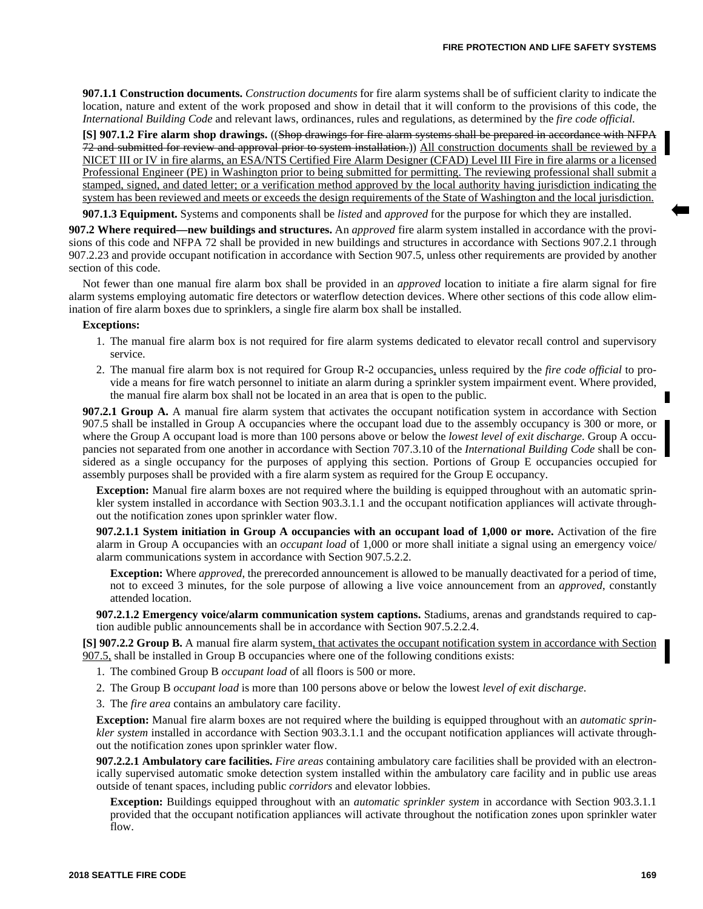**907.1.1 Construction documents.** *Construction documents* for fire alarm systems shall be of sufficient clarity to indicate the location, nature and extent of the work proposed and show in detail that it will conform to the provisions of this code, the *International Building Code* and relevant laws, ordinances, rules and regulations, as determined by the *fire code official*.

**[S] 907.1.2 Fire alarm shop drawings.** ((Shop drawings for fire alarm systems shall be prepared in accordance with NFPA 72 and submitted for review and approval prior to system installation.)) All construction documents shall be reviewed by a NICET III or IV in fire alarms, an ESA/NTS Certified Fire Alarm Designer (CFAD) Level III Fire in fire alarms or a licensed Professional Engineer (PE) in Washington prior to being submitted for permitting. The reviewing professional shall submit a stamped, signed, and dated letter; or a verification method approved by the local authority having jurisdiction indicating the system has been reviewed and meets or exceeds the design requirements of the State of Washington and the local jurisdiction.

**907.1.3 Equipment.** Systems and components shall be *listed* and *approved* for the purpose for which they are installed.

**907.2 Where required—new buildings and structures.** An *approved* fire alarm system installed in accordance with the provisions of this code and NFPA 72 shall be provided in new buildings and structures in accordance with Sections 907.2.1 through 907.2.23 and provide occupant notification in accordance with Section 907.5, unless other requirements are provided by another section of this code.

Not fewer than one manual fire alarm box shall be provided in an *approved* location to initiate a fire alarm signal for fire alarm systems employing automatic fire detectors or waterflow detection devices. Where other sections of this code allow elimination of fire alarm boxes due to sprinklers, a single fire alarm box shall be installed.

#### **Exceptions:**

- 1. The manual fire alarm box is not required for fire alarm systems dedicated to elevator recall control and supervisory service.
- 2. The manual fire alarm box is not required for Group R-2 occupancies, unless required by the *fire code official* to provide a means for fire watch personnel to initiate an alarm during a sprinkler system impairment event. Where provided, the manual fire alarm box shall not be located in an area that is open to the public.

**907.2.1 Group A.** A manual fire alarm system that activates the occupant notification system in accordance with Section 907.5 shall be installed in Group A occupancies where the occupant load due to the assembly occupancy is 300 or more, or where the Group A occupant load is more than 100 persons above or below the *lowest level of exit discharge*. Group A occupancies not separated from one another in accordance with Section 707.3.10 of the *International Building Code* shall be considered as a single occupancy for the purposes of applying this section. Portions of Group E occupancies occupied for assembly purposes shall be provided with a fire alarm system as required for the Group E occupancy.

**Exception:** Manual fire alarm boxes are not required where the building is equipped throughout with an automatic sprinkler system installed in accordance with Section 903.3.1.1 and the occupant notification appliances will activate throughout the notification zones upon sprinkler water flow.

**907.2.1.1 System initiation in Group A occupancies with an occupant load of 1,000 or more.** Activation of the fire alarm in Group A occupancies with an *occupant load* of 1,000 or more shall initiate a signal using an emergency voice/ alarm communications system in accordance with Section 907.5.2.2.

**Exception:** Where *approved*, the prerecorded announcement is allowed to be manually deactivated for a period of time, not to exceed 3 minutes, for the sole purpose of allowing a live voice announcement from an *approved*, constantly attended location.

**907.2.1.2 Emergency voice/alarm communication system captions.** Stadiums, arenas and grandstands required to caption audible public announcements shall be in accordance with Section 907.5.2.2.4.

**[S] 907.2.2 Group B.** A manual fire alarm system, that activates the occupant notification system in accordance with Section 907.5, shall be installed in Group B occupancies where one of the following conditions exists:

- 1. The combined Group B *occupant load* of all floors is 500 or more.
- 2. The Group B *occupant load* is more than 100 persons above or below the lowest *level of exit discharge*.
- 3. The *fire area* contains an ambulatory care facility.

**Exception:** Manual fire alarm boxes are not required where the building is equipped throughout with an *automatic sprinkler system* installed in accordance with Section 903.3.1.1 and the occupant notification appliances will activate throughout the notification zones upon sprinkler water flow.

**907.2.2.1 Ambulatory care facilities.** *Fire areas* containing ambulatory care facilities shall be provided with an electronically supervised automatic smoke detection system installed within the ambulatory care facility and in public use areas outside of tenant spaces, including public *corridors* and elevator lobbies.

**Exception:** Buildings equipped throughout with an *automatic sprinkler system* in accordance with Section 903.3.1.1 provided that the occupant notification appliances will activate throughout the notification zones upon sprinkler water flow.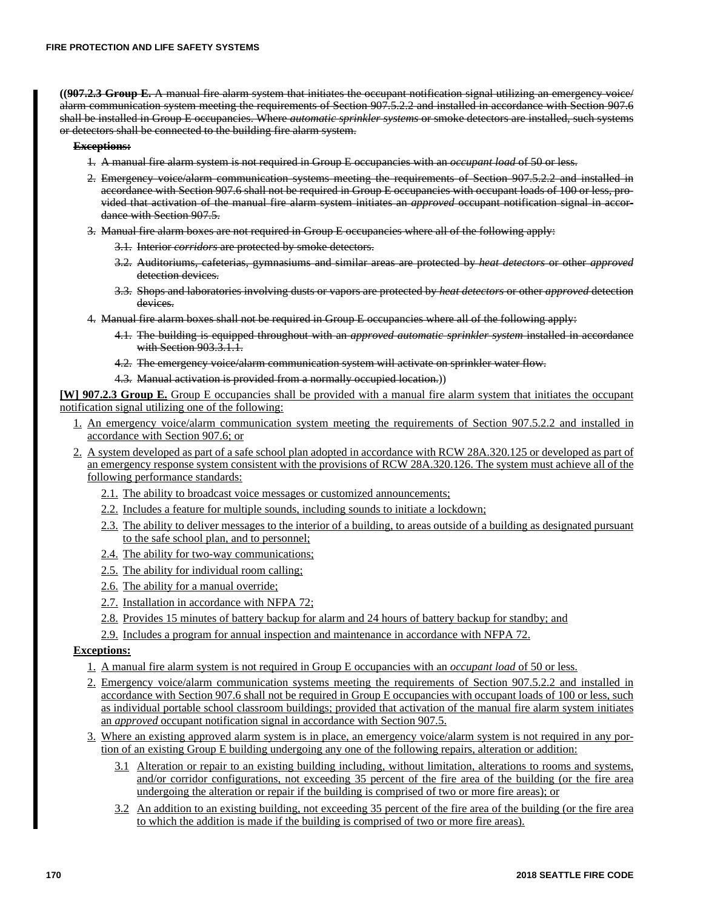**((907.2.3 Group E.** A manual fire alarm system that initiates the occupant notification signal utilizing an emergency voice/ alarm communication system meeting the requirements of Section 907.5.2.2 and installed in accordance with Section 907.6 shall be installed in Group E occupancies. Where *automatic sprinkler systems* or smoke detectors are installed, such systems or detectors shall be connected to the building fire alarm system.

#### **Exceptions:**

- 1. A manual fire alarm system is not required in Group E occupancies with an *occupant load* of 50 or less.
- 2. Emergency voice/alarm communication systems meeting the requirements of Section 907.5.2.2 and installed in accordance with Section 907.6 shall not be required in Group E occupancies with occupant loads of 100 or less, provided that activation of the manual fire alarm system initiates an *approved* occupant notification signal in accordance with Section 907.5.
- 3. Manual fire alarm boxes are not required in Group E occupancies where all of the following apply:
	- 3.1. Interior *corridors* are protected by smoke detectors.
	- 3.2. Auditoriums, cafeterias, gymnasiums and similar areas are protected by *heat detectors* or other *approved* detection devices.
	- 3.3. Shops and laboratories involving dusts or vapors are protected by *heat detectors* or other *approved* detection devices.
- 4. Manual fire alarm boxes shall not be required in Group E occupancies where all of the following apply:
	- 4.1. The building is equipped throughout with an *approved automatic sprinkler system* installed in accordance with Section 903.3.1.1.
	- 4.2. The emergency voice/alarm communication system will activate on sprinkler water flow.
	- 4.3. Manual activation is provided from a normally occupied location.))

**[W] 907.2.3 Group E.** Group E occupancies shall be provided with a manual fire alarm system that initiates the occupant notification signal utilizing one of the following:

- 1. An emergency voice/alarm communication system meeting the requirements of Section 907.5.2.2 and installed in accordance with Section 907.6; or
- 2. A system developed as part of a safe school plan adopted in accordance with RCW 28A.320.125 or developed as part of an emergency response system consistent with the provisions of RCW 28A.320.126. The system must achieve all of the following performance standards:
	- 2.1. The ability to broadcast voice messages or customized announcements;
	- 2.2. Includes a feature for multiple sounds, including sounds to initiate a lockdown;
	- 2.3. The ability to deliver messages to the interior of a building, to areas outside of a building as designated pursuant to the safe school plan, and to personnel;
	- 2.4. The ability for two-way communications;
	- 2.5. The ability for individual room calling;
	- 2.6. The ability for a manual override;
	- 2.7. Installation in accordance with NFPA 72;
	- 2.8. Provides 15 minutes of battery backup for alarm and 24 hours of battery backup for standby; and
	- 2.9. Includes a program for annual inspection and maintenance in accordance with NFPA 72.

# **Exceptions:**

- 1. A manual fire alarm system is not required in Group E occupancies with an *occupant load* of 50 or less.
- 2. Emergency voice/alarm communication systems meeting the requirements of Section 907.5.2.2 and installed in accordance with Section 907.6 shall not be required in Group E occupancies with occupant loads of 100 or less, such as individual portable school classroom buildings; provided that activation of the manual fire alarm system initiates an *approved* occupant notification signal in accordance with Section 907.5.
- 3. Where an existing approved alarm system is in place, an emergency voice/alarm system is not required in any portion of an existing Group E building undergoing any one of the following repairs, alteration or addition:
	- 3.1 Alteration or repair to an existing building including, without limitation, alterations to rooms and systems, and/or corridor configurations, not exceeding 35 percent of the fire area of the building (or the fire area undergoing the alteration or repair if the building is comprised of two or more fire areas); or
	- 3.2 An addition to an existing building, not exceeding 35 percent of the fire area of the building (or the fire area to which the addition is made if the building is comprised of two or more fire areas).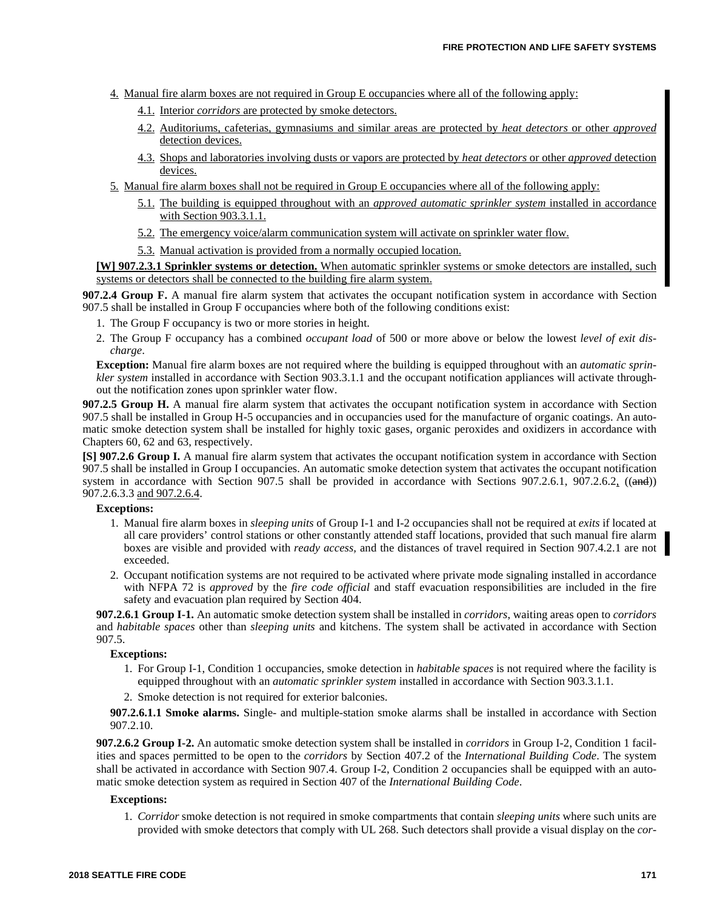- 4. Manual fire alarm boxes are not required in Group E occupancies where all of the following apply:
	- 4.1. Interior *corridors* are protected by smoke detectors.
	- 4.2. Auditoriums, cafeterias, gymnasiums and similar areas are protected by *heat detectors* or other *approved* detection devices.
	- 4.3. Shops and laboratories involving dusts or vapors are protected by *heat detectors* or other *approved* detection devices.
- 5. Manual fire alarm boxes shall not be required in Group E occupancies where all of the following apply:
	- 5.1. The building is equipped throughout with an *approved automatic sprinkler system* installed in accordance with Section 903.3.1.1.
	- 5.2. The emergency voice/alarm communication system will activate on sprinkler water flow.
	- 5.3. Manual activation is provided from a normally occupied location.

**[W] 907.2.3.1 Sprinkler systems or detection.** When automatic sprinkler systems or smoke detectors are installed, such systems or detectors shall be connected to the building fire alarm system.

**907.2.4 Group F.** A manual fire alarm system that activates the occupant notification system in accordance with Section 907.5 shall be installed in Group F occupancies where both of the following conditions exist:

- 1. The Group F occupancy is two or more stories in height.
- 2. The Group F occupancy has a combined *occupant load* of 500 or more above or below the lowest *level of exit discharge*.

**Exception:** Manual fire alarm boxes are not required where the building is equipped throughout with an *automatic sprinkler system* installed in accordance with Section 903.3.1.1 and the occupant notification appliances will activate throughout the notification zones upon sprinkler water flow.

**907.2.5 Group H.** A manual fire alarm system that activates the occupant notification system in accordance with Section 907.5 shall be installed in Group H-5 occupancies and in occupancies used for the manufacture of organic coatings. An automatic smoke detection system shall be installed for highly toxic gases, organic peroxides and oxidizers in accordance with Chapters 60, 62 and 63, respectively.

**[S] 907.2.6 Group I.** A manual fire alarm system that activates the occupant notification system in accordance with Section 907.5 shall be installed in Group I occupancies. An automatic smoke detection system that activates the occupant notification system in accordance with Section 907.5 shall be provided in accordance with Sections  $907.2.6.1$ ,  $907.2.6.2$ ,  $((\text{and}))$ 907.2.6.3.3 and 907.2.6.4.

### **Exceptions:**

- 1. Manual fire alarm boxes in *sleeping units* of Group I-1 and I-2 occupancies shall not be required at *exits* if located at all care providers' control stations or other constantly attended staff locations, provided that such manual fire alarm boxes are visible and provided with *ready access,* and the distances of travel required in Section 907.4.2.1 are not exceeded.
- 2. Occupant notification systems are not required to be activated where private mode signaling installed in accordance with NFPA 72 is *approved* by the *fire code official* and staff evacuation responsibilities are included in the fire safety and evacuation plan required by Section 404.

**907.2.6.1 Group I-1.** An automatic smoke detection system shall be installed in *corridors*, waiting areas open to *corridors* and *habitable spaces* other than *sleeping units* and kitchens. The system shall be activated in accordance with Section 907.5.

# **Exceptions:**

- 1. For Group I-1, Condition 1 occupancies, smoke detection in *habitable spaces* is not required where the facility is equipped throughout with an *automatic sprinkler system* installed in accordance with Section 903.3.1.1.
- 2. Smoke detection is not required for exterior balconies.

**907.2.6.1.1 Smoke alarms.** Single- and multiple-station smoke alarms shall be installed in accordance with Section 907.2.10.

**907.2.6.2 Group I-2.** An automatic smoke detection system shall be installed in *corridors* in Group I-2, Condition 1 facilities and spaces permitted to be open to the *corridors* by Section 407.2 of the *International Building Code*. The system shall be activated in accordance with Section 907.4. Group I-2, Condition 2 occupancies shall be equipped with an automatic smoke detection system as required in Section 407 of the *International Building Code*.

### **Exceptions:**

1. *Corridor* smoke detection is not required in smoke compartments that contain *sleeping units* where such units are provided with smoke detectors that comply with UL 268. Such detectors shall provide a visual display on the *cor-*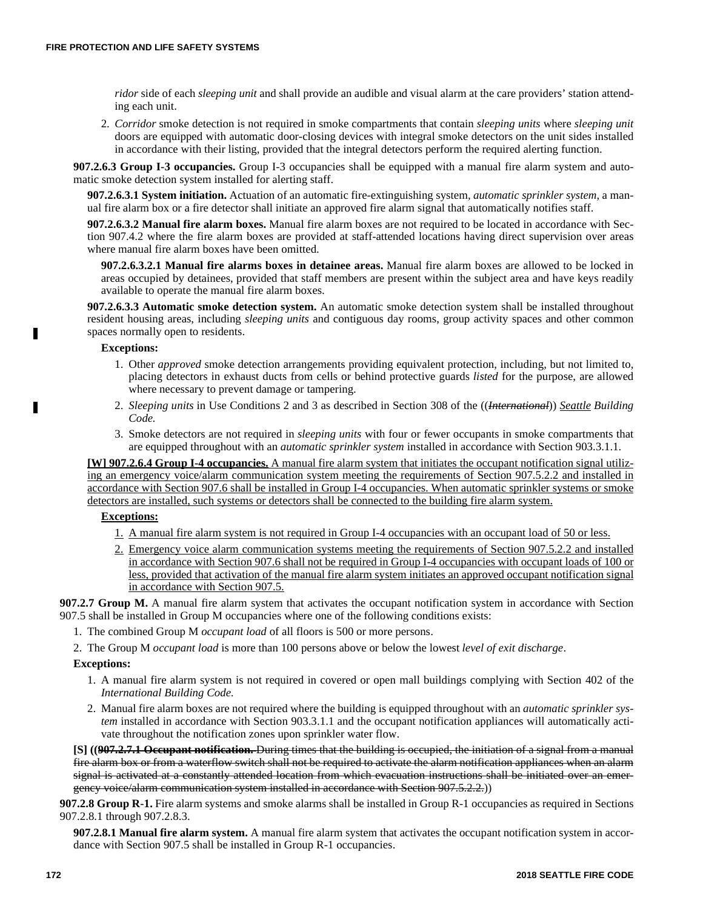*ridor* side of each *sleeping unit* and shall provide an audible and visual alarm at the care providers' station attending each unit.

2. *Corridor* smoke detection is not required in smoke compartments that contain *sleeping units* where *sleeping unit* doors are equipped with automatic door-closing devices with integral smoke detectors on the unit sides installed in accordance with their listing, provided that the integral detectors perform the required alerting function.

**907.2.6.3 Group I-3 occupancies.** Group I-3 occupancies shall be equipped with a manual fire alarm system and automatic smoke detection system installed for alerting staff.

**907.2.6.3.1 System initiation.** Actuation of an automatic fire-extinguishing system, *automatic sprinkler system*, a manual fire alarm box or a fire detector shall initiate an approved fire alarm signal that automatically notifies staff.

**907.2.6.3.2 Manual fire alarm boxes.** Manual fire alarm boxes are not required to be located in accordance with Section 907.4.2 where the fire alarm boxes are provided at staff-attended locations having direct supervision over areas where manual fire alarm boxes have been omitted.

**907.2.6.3.2.1 Manual fire alarms boxes in detainee areas.** Manual fire alarm boxes are allowed to be locked in areas occupied by detainees, provided that staff members are present within the subject area and have keys readily available to operate the manual fire alarm boxes.

**907.2.6.3.3 Automatic smoke detection system.** An automatic smoke detection system shall be installed throughout resident housing areas, including *sleeping units* and contiguous day rooms, group activity spaces and other common spaces normally open to residents.

# **Exceptions:**

п

- 1. Other *approved* smoke detection arrangements providing equivalent protection, including, but not limited to, placing detectors in exhaust ducts from cells or behind protective guards *listed* for the purpose, are allowed where necessary to prevent damage or tampering.
- 2. *Sleeping units* in Use Conditions 2 and 3 as described in Section 308 of the ((*International*)) *Seattle Building Code.*
- 3. Smoke detectors are not required in *sleeping units* with four or fewer occupants in smoke compartments that are equipped throughout with an *automatic sprinkler system* installed in accordance with Section 903.3.1.1.

**[W] 907.2.6.4 Group I-4 occupancies.** A manual fire alarm system that initiates the occupant notification signal utilizing an emergency voice/alarm communication system meeting the requirements of Section 907.5.2.2 and installed in accordance with Section 907.6 shall be installed in Group I-4 occupancies. When automatic sprinkler systems or smoke detectors are installed, such systems or detectors shall be connected to the building fire alarm system.

## **Exceptions:**

- 1. A manual fire alarm system is not required in Group I-4 occupancies with an occupant load of 50 or less.
- 2. Emergency voice alarm communication systems meeting the requirements of Section 907.5.2.2 and installed in accordance with Section 907.6 shall not be required in Group I-4 occupancies with occupant loads of 100 or less, provided that activation of the manual fire alarm system initiates an approved occupant notification signal in accordance with Section 907.5.

**907.2.7 Group M.** A manual fire alarm system that activates the occupant notification system in accordance with Section 907.5 shall be installed in Group M occupancies where one of the following conditions exists:

- 1. The combined Group M *occupant load* of all floors is 500 or more persons.
- 2. The Group M *occupant load* is more than 100 persons above or below the lowest *level of exit discharge*.

### **Exceptions:**

- 1. A manual fire alarm system is not required in covered or open mall buildings complying with Section 402 of the *International Building Code.*
- 2. Manual fire alarm boxes are not required where the building is equipped throughout with an *automatic sprinkler system* installed in accordance with Section 903.3.1.1 and the occupant notification appliances will automatically activate throughout the notification zones upon sprinkler water flow.

**[S] ((907.2.7.1 Occupant notification.** During times that the building is occupied, the initiation of a signal from a manual fire alarm box or from a waterflow switch shall not be required to activate the alarm notification appliances when an alarm signal is activated at a constantly attended location from which evacuation instructions shall be initiated over an emergency voice/alarm communication system installed in accordance with Section 907.5.2.2.))

**907.2.8 Group R-1.** Fire alarm systems and smoke alarms shall be installed in Group R-1 occupancies as required in Sections 907.2.8.1 through 907.2.8.3.

**907.2.8.1 Manual fire alarm system.** A manual fire alarm system that activates the occupant notification system in accordance with Section 907.5 shall be installed in Group R-1 occupancies.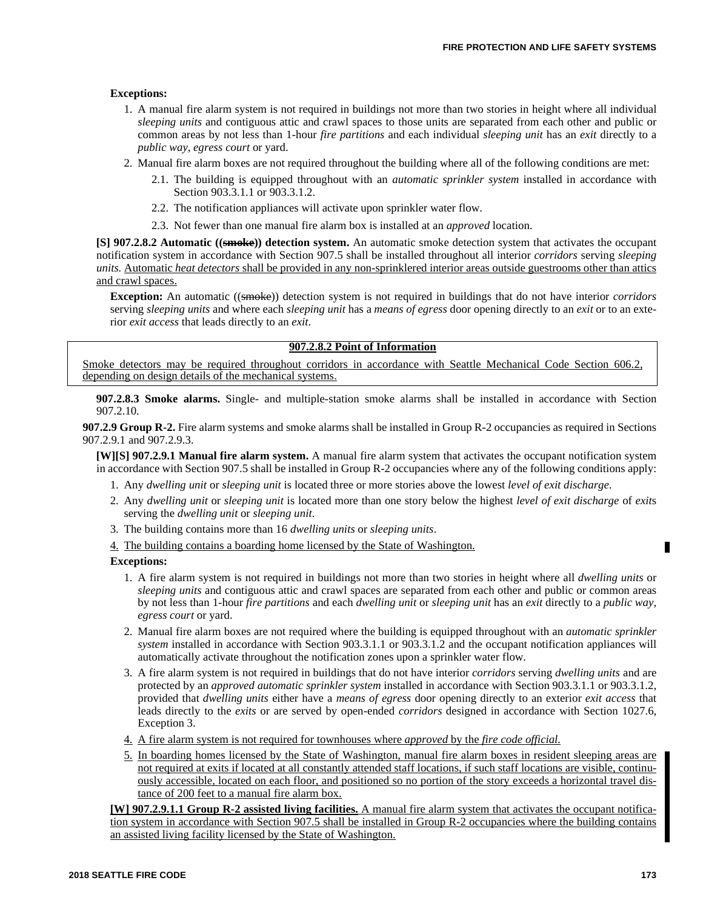### **Exceptions:**

- 1. A manual fire alarm system is not required in buildings not more than two stories in height where all individual *sleeping units* and contiguous attic and crawl spaces to those units are separated from each other and public or common areas by not less than 1-hour *fire partitions* and each individual *sleeping unit* has an *exit* directly to a *public way*, *egress court* or yard.
- 2. Manual fire alarm boxes are not required throughout the building where all of the following conditions are met:
	- 2.1. The building is equipped throughout with an *automatic sprinkler system* installed in accordance with Section 903.3.1.1 or 903.3.1.2.
	- 2.2. The notification appliances will activate upon sprinkler water flow.
	- 2.3. Not fewer than one manual fire alarm box is installed at an *approved* location.

**[S] 907.2.8.2 Automatic ((smoke)) detection system.** An automatic smoke detection system that activates the occupant notification system in accordance with Section 907.5 shall be installed throughout all interior *corridors* serving *sleeping units.* Automatic *heat detectors* shall be provided in any non-sprinklered interior areas outside guestrooms other than attics and crawl spaces.

**Exception:** An automatic ((smoke)) detection system is not required in buildings that do not have interior *corridors* serving *sleeping units* and where each *sleeping unit* has a *means of egress* door opening directly to an *exit* or to an exterior *exit access* that leads directly to an *exit*.

### **907.2.8.2 Point of Information**

Smoke detectors may be required throughout corridors in accordance with Seattle Mechanical Code Section 606.2, depending on design details of the mechanical systems.

**907.2.8.3 Smoke alarms.** Single- and multiple-station smoke alarms shall be installed in accordance with Section 907.2.10.

**907.2.9 Group R-2.** Fire alarm systems and smoke alarms shall be installed in Group R-2 occupancies as required in Sections 907.2.9.1 and 907.2.9.3.

**[W][S] 907.2.9.1 Manual fire alarm system.** A manual fire alarm system that activates the occupant notification system in accordance with Section 907.5 shall be installed in Group R-2 occupancies where any of the following conditions apply:

- 1. Any *dwelling unit* or *sleeping unit* is located three or more stories above the lowest *level of exit discharge*.
- 2. Any *dwelling unit* or *sleeping unit* is located more than one story below the highest *level of exit discharge* of *exit*s serving the *dwelling unit* or *sleeping unit*.
- 3. The building contains more than 16 *dwelling units* or *sleeping units*.
- 4. The building contains a boarding home licensed by the State of Washington.

#### **Exceptions:**

- 1. A fire alarm system is not required in buildings not more than two stories in height where all *dwelling units* or *sleeping units* and contiguous attic and crawl spaces are separated from each other and public or common areas by not less than 1-hour *fire partitions* and each *dwelling unit* or *sleeping unit* has an *exit* directly to a *public way*, *egress court* or yard.
- 2. Manual fire alarm boxes are not required where the building is equipped throughout with an *automatic sprinkler system* installed in accordance with Section 903.3.1.1 or 903.3.1.2 and the occupant notification appliances will automatically activate throughout the notification zones upon a sprinkler water flow.
- 3. A fire alarm system is not required in buildings that do not have interior *corridors* serving *dwelling units* and are protected by an *approved automatic sprinkler system* installed in accordance with Section 903.3.1.1 or 903.3.1.2, provided that *dwelling units* either have a *means of egress* door opening directly to an exterior *exit access* that leads directly to the *exits* or are served by open-ended *corridors* designed in accordance with Section 1027.6, Exception 3.
- 4. A fire alarm system is not required for townhouses where *approved* by the *fire code official.*
- 5. In boarding homes licensed by the State of Washington, manual fire alarm boxes in resident sleeping areas are not required at exits if located at all constantly attended staff locations, if such staff locations are visible, continuously accessible, located on each floor, and positioned so no portion of the story exceeds a horizontal travel distance of 200 feet to a manual fire alarm box.

**[W] 907.2.9.1.1 Group R-2 assisted living facilities.** A manual fire alarm system that activates the occupant notification system in accordance with Section 907.5 shall be installed in Group R-2 occupancies where the building contains an assisted living facility licensed by the State of Washington.

Г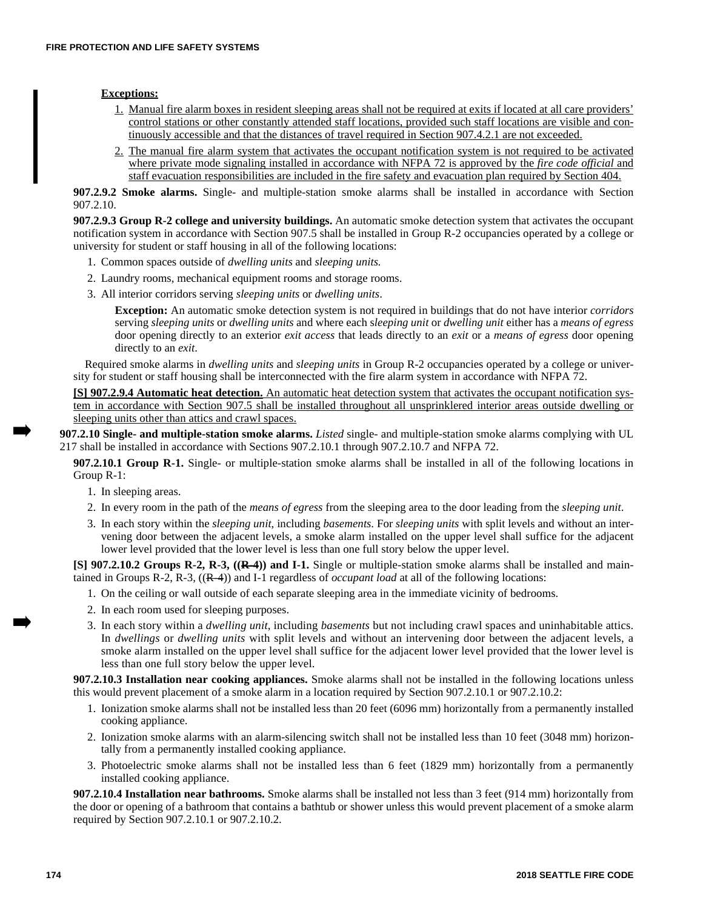# **Exceptions:**

- 1. Manual fire alarm boxes in resident sleeping areas shall not be required at exits if located at all care providers' control stations or other constantly attended staff locations, provided such staff locations are visible and continuously accessible and that the distances of travel required in Section 907.4.2.1 are not exceeded.
- 2. The manual fire alarm system that activates the occupant notification system is not required to be activated where private mode signaling installed in accordance with NFPA 72 is approved by the *fire code official* and staff evacuation responsibilities are included in the fire safety and evacuation plan required by Section 404.

**907.2.9.2 Smoke alarms.** Single- and multiple-station smoke alarms shall be installed in accordance with Section 907.2.10.

**907.2.9.3 Group R-2 college and university buildings.** An automatic smoke detection system that activates the occupant notification system in accordance with Section 907.5 shall be installed in Group R-2 occupancies operated by a college or university for student or staff housing in all of the following locations:

- 1. Common spaces outside of *dwelling units* and *sleeping units.*
- 2. Laundry rooms, mechanical equipment rooms and storage rooms.
- 3. All interior corridors serving *sleeping units* or *dwelling units*.

**Exception:** An automatic smoke detection system is not required in buildings that do not have interior *corridors* serving *sleeping units* or *dwelling units* and where each s*leeping unit* or *dwelling unit* either has a *means of egress* door opening directly to an exterior *exit access* that leads directly to an *exit* or a *means of egress* door opening directly to an *exit*.

Required smoke alarms in *dwelling units* and *sleeping units* in Group R-2 occupancies operated by a college or university for student or staff housing shall be interconnected with the fire alarm system in accordance with NFPA 72.

**[S] 907.2.9.4 Automatic heat detection.** An automatic heat detection system that activates the occupant notification system in accordance with Section 907.5 shall be installed throughout all unsprinklered interior areas outside dwelling or sleeping units other than attics and crawl spaces.

**907.2.10 Single- and multiple-station smoke alarms.** *Listed* single- and multiple-station smoke alarms complying with UL 217 shall be installed in accordance with Sections 907.2.10.1 through 907.2.10.7 and NFPA 72.

**907.2.10.1 Group R-1.** Single- or multiple-station smoke alarms shall be installed in all of the following locations in Group R-1:

- 1. In sleeping areas.
- 2. In every room in the path of the *means of egress* from the sleeping area to the door leading from the *sleeping unit*.
- 3. In each story within the *sleeping unit*, including *basements*. For *sleeping units* with split levels and without an intervening door between the adjacent levels, a smoke alarm installed on the upper level shall suffice for the adjacent lower level provided that the lower level is less than one full story below the upper level.

**[S] 907.2.10.2 Groups R-2, R-3, ((R-4)) and I-1.** Single or multiple-station smoke alarms shall be installed and maintained in Groups R-2, R-3, ((R-4)) and I-1 regardless of *occupant load* at all of the following locations:

- 1. On the ceiling or wall outside of each separate sleeping area in the immediate vicinity of bedrooms.
- 2. In each room used for sleeping purposes.
- 3. In each story within a *dwelling unit*, including *basements* but not including crawl spaces and uninhabitable attics. In *dwellings* or *dwelling units* with split levels and without an intervening door between the adjacent levels, a smoke alarm installed on the upper level shall suffice for the adjacent lower level provided that the lower level is less than one full story below the upper level.

**907.2.10.3 Installation near cooking appliances.** Smoke alarms shall not be installed in the following locations unless this would prevent placement of a smoke alarm in a location required by Section 907.2.10.1 or 907.2.10.2:

- 1. Ionization smoke alarms shall not be installed less than 20 feet (6096 mm) horizontally from a permanently installed cooking appliance.
- 2. Ionization smoke alarms with an alarm-silencing switch shall not be installed less than 10 feet (3048 mm) horizontally from a permanently installed cooking appliance.
- 3. Photoelectric smoke alarms shall not be installed less than 6 feet (1829 mm) horizontally from a permanently installed cooking appliance.

**907.2.10.4 Installation near bathrooms.** Smoke alarms shall be installed not less than 3 feet (914 mm) horizontally from the door or opening of a bathroom that contains a bathtub or shower unless this would prevent placement of a smoke alarm required by Section 907.2.10.1 or 907.2.10.2.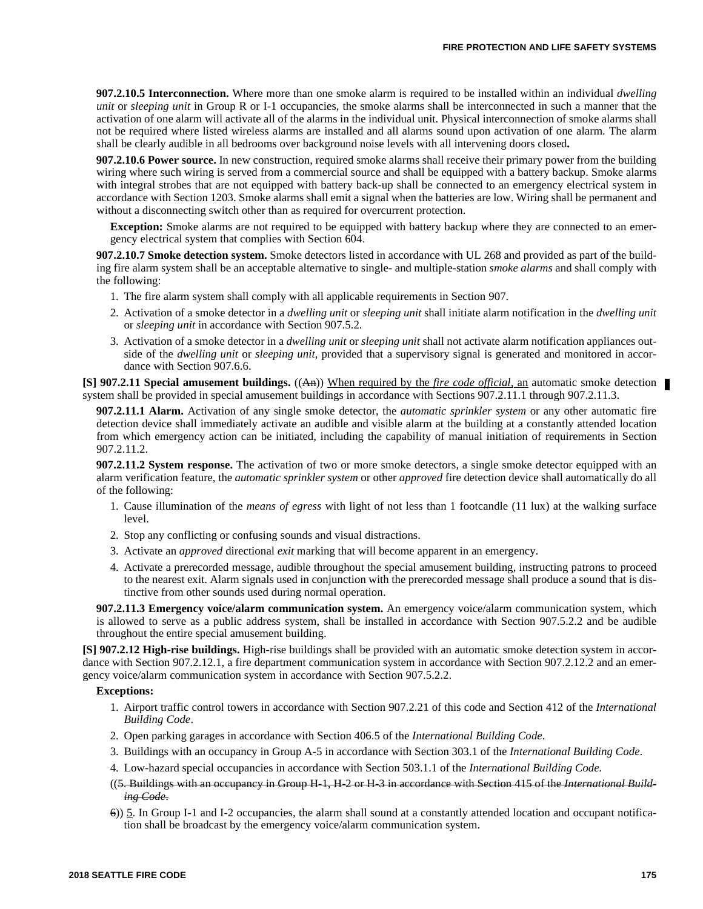**907.2.10.5 Interconnection.** Where more than one smoke alarm is required to be installed within an individual *dwelling unit* or *sleeping unit* in Group R or I-1 occupancies, the smoke alarms shall be interconnected in such a manner that the activation of one alarm will activate all of the alarms in the individual unit. Physical interconnection of smoke alarms shall not be required where listed wireless alarms are installed and all alarms sound upon activation of one alarm. The alarm shall be clearly audible in all bedrooms over background noise levels with all intervening doors closed**.**

**907.2.10.6 Power source.** In new construction, required smoke alarms shall receive their primary power from the building wiring where such wiring is served from a commercial source and shall be equipped with a battery backup. Smoke alarms with integral strobes that are not equipped with battery back-up shall be connected to an emergency electrical system in accordance with Section 1203. Smoke alarms shall emit a signal when the batteries are low. Wiring shall be permanent and without a disconnecting switch other than as required for overcurrent protection.

**Exception:** Smoke alarms are not required to be equipped with battery backup where they are connected to an emergency electrical system that complies with Section 604.

**907.2.10.7 Smoke detection system.** Smoke detectors listed in accordance with UL 268 and provided as part of the building fire alarm system shall be an acceptable alternative to single- and multiple-station *smoke alarms* and shall comply with the following:

- 1. The fire alarm system shall comply with all applicable requirements in Section 907.
- 2. Activation of a smoke detector in a *dwelling unit* or *sleeping unit* shall initiate alarm notification in the *dwelling unit* or *sleeping unit* in accordance with Section 907.5.2.
- 3. Activation of a smoke detector in a *dwelling unit* or *sleeping unit* shall not activate alarm notification appliances outside of the *dwelling unit* or *sleeping unit*, provided that a supervisory signal is generated and monitored in accordance with Section 907.6.6.

**[S] 907.2.11 Special amusement buildings.** ((An)) When required by the *fire code official,* an automatic smoke detection system shall be provided in special amusement buildings in accordance with Sections 907.2.11.1 through 907.2.11.3.

**907.2.11.1 Alarm.** Activation of any single smoke detector, the *automatic sprinkler system* or any other automatic fire detection device shall immediately activate an audible and visible alarm at the building at a constantly attended location from which emergency action can be initiated, including the capability of manual initiation of requirements in Section 907.2.11.2.

**907.2.11.2 System response.** The activation of two or more smoke detectors, a single smoke detector equipped with an alarm verification feature, the *automatic sprinkler system* or other *approved* fire detection device shall automatically do all of the following:

- 1. Cause illumination of the *means of egress* with light of not less than 1 footcandle (11 lux) at the walking surface level.
- 2. Stop any conflicting or confusing sounds and visual distractions.
- 3. Activate an *approved* directional *exit* marking that will become apparent in an emergency.
- 4. Activate a prerecorded message, audible throughout the special amusement building, instructing patrons to proceed to the nearest exit. Alarm signals used in conjunction with the prerecorded message shall produce a sound that is distinctive from other sounds used during normal operation.

**907.2.11.3 Emergency voice/alarm communication system.** An emergency voice/alarm communication system, which is allowed to serve as a public address system, shall be installed in accordance with Section 907.5.2.2 and be audible throughout the entire special amusement building.

**[S] 907.2.12 High-rise buildings.** High-rise buildings shall be provided with an automatic smoke detection system in accordance with Section 907.2.12.1, a fire department communication system in accordance with Section 907.2.12.2 and an emergency voice/alarm communication system in accordance with Section 907.5.2.2.

#### **Exceptions:**

- 1. Airport traffic control towers in accordance with Section 907.2.21 of this code and Section 412 of the *International Building Code*.
- 2. Open parking garages in accordance with Section 406.5 of the *International Building Code*.
- 3. Buildings with an occupancy in Group A-5 in accordance with Section 303.1 of the *International Building Code*.
- 4. Low-hazard special occupancies in accordance with Section 503.1.1 of the *International Building Code.*
- ((5. Buildings with an occupancy in Group H-1, H-2 or H-3 in accordance with Section 415 of the *International Building Code*.
- 6)) 5. In Group I-1 and I-2 occupancies, the alarm shall sound at a constantly attended location and occupant notification shall be broadcast by the emergency voice/alarm communication system.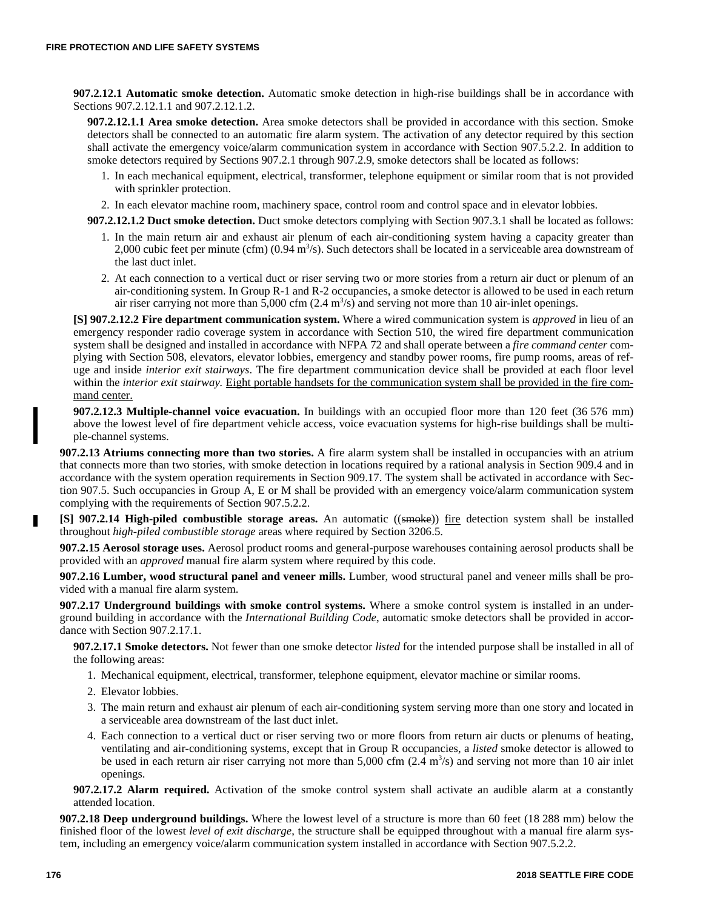**907.2.12.1 Automatic smoke detection.** Automatic smoke detection in high-rise buildings shall be in accordance with Sections 907.2.12.1.1 and 907.2.12.1.2.

**907.2.12.1.1 Area smoke detection.** Area smoke detectors shall be provided in accordance with this section. Smoke detectors shall be connected to an automatic fire alarm system. The activation of any detector required by this section shall activate the emergency voice/alarm communication system in accordance with Section 907.5.2.2. In addition to smoke detectors required by Sections 907.2.1 through 907.2.9, smoke detectors shall be located as follows:

- 1. In each mechanical equipment, electrical, transformer, telephone equipment or similar room that is not provided with sprinkler protection.
- 2. In each elevator machine room, machinery space, control room and control space and in elevator lobbies.
- **907.2.12.1.2 Duct smoke detection.** Duct smoke detectors complying with Section 907.3.1 shall be located as follows:
	- 1. In the main return air and exhaust air plenum of each air-conditioning system having a capacity greater than 2,000 cubic feet per minute (cfm)  $(0.94 \text{ m}^3/\text{s})$ . Such detectors shall be located in a serviceable area downstream of the last duct inlet.
	- 2. At each connection to a vertical duct or riser serving two or more stories from a return air duct or plenum of an air-conditioning system. In Group R-1 and R-2 occupancies, a smoke detector is allowed to be used in each return air riser carrying not more than  $5,000$  cfm  $(2.4 \text{ m}^3/\text{s})$  and serving not more than 10 air-inlet openings.

**[S] 907.2.12.2 Fire department communication system.** Where a wired communication system is *approved* in lieu of an emergency responder radio coverage system in accordance with Section 510, the wired fire department communication system shall be designed and installed in accordance with NFPA 72 and shall operate between a *fire command center* complying with Section 508, elevators, elevator lobbies, emergency and standby power rooms, fire pump rooms, areas of refuge and inside *interior exit stairways*. The fire department communication device shall be provided at each floor level within the *interior exit stairway.* Eight portable handsets for the communication system shall be provided in the fire command center.

**907.2.12.3 Multiple-channel voice evacuation.** In buildings with an occupied floor more than 120 feet (36 576 mm) above the lowest level of fire department vehicle access, voice evacuation systems for high-rise buildings shall be multiple-channel systems.

**907.2.13 Atriums connecting more than two stories.** A fire alarm system shall be installed in occupancies with an atrium that connects more than two stories, with smoke detection in locations required by a rational analysis in Section 909.4 and in accordance with the system operation requirements in Section 909.17. The system shall be activated in accordance with Section 907.5. Such occupancies in Group A, E or M shall be provided with an emergency voice/alarm communication system complying with the requirements of Section 907.5.2.2.

**[S] 907.2.14 High-piled combustible storage areas.** An automatic ((smoke)) fire detection system shall be installed throughout *high-piled combustible storage* areas where required by Section 3206.5.

**907.2.15 Aerosol storage uses.** Aerosol product rooms and general-purpose warehouses containing aerosol products shall be provided with an *approved* manual fire alarm system where required by this code.

**907.2.16 Lumber, wood structural panel and veneer mills.** Lumber, wood structural panel and veneer mills shall be provided with a manual fire alarm system.

**907.2.17 Underground buildings with smoke control systems.** Where a smoke control system is installed in an underground building in accordance with the *International Building Code*, automatic smoke detectors shall be provided in accordance with Section 907.2.17.1.

**907.2.17.1 Smoke detectors.** Not fewer than one smoke detector *listed* for the intended purpose shall be installed in all of the following areas:

- 1. Mechanical equipment, electrical, transformer, telephone equipment, elevator machine or similar rooms.
- 2. Elevator lobbies.
- 3. The main return and exhaust air plenum of each air-conditioning system serving more than one story and located in a serviceable area downstream of the last duct inlet.
- 4. Each connection to a vertical duct or riser serving two or more floors from return air ducts or plenums of heating, ventilating and air-conditioning systems, except that in Group R occupancies, a *listed* smoke detector is allowed to be used in each return air riser carrying not more than  $5,000$  cfm  $(2.4 \text{ m}^3/\text{s})$  and serving not more than 10 air inlet openings.

**907.2.17.2 Alarm required.** Activation of the smoke control system shall activate an audible alarm at a constantly attended location.

**907.2.18 Deep underground buildings.** Where the lowest level of a structure is more than 60 feet (18 288 mm) below the finished floor of the lowest *level of exit discharge*, the structure shall be equipped throughout with a manual fire alarm system, including an emergency voice/alarm communication system installed in accordance with Section 907.5.2.2.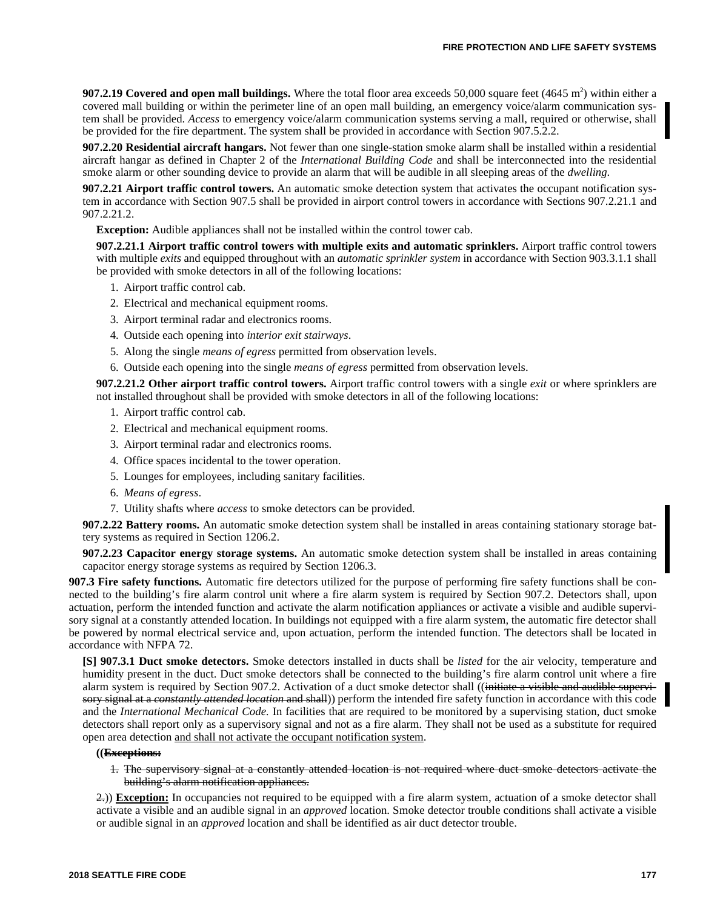**907.2.19 Covered and open mall buildings.** Where the total floor area exceeds  $50,000$  square feet  $(4645 \text{ m}^2)$  within either a covered mall building or within the perimeter line of an open mall building, an emergency voice/alarm communication system shall be provided. *Access* to emergency voice/alarm communication systems serving a mall, required or otherwise, shall be provided for the fire department. The system shall be provided in accordance with Section 907.5.2.2.

**907.2.20 Residential aircraft hangars.** Not fewer than one single-station smoke alarm shall be installed within a residential aircraft hangar as defined in Chapter 2 of the *International Building Code* and shall be interconnected into the residential smoke alarm or other sounding device to provide an alarm that will be audible in all sleeping areas of the *dwelling*.

**907.2.21 Airport traffic control towers.** An automatic smoke detection system that activates the occupant notification system in accordance with Section 907.5 shall be provided in airport control towers in accordance with Sections 907.2.21.1 and 907.2.21.2.

**Exception:** Audible appliances shall not be installed within the control tower cab.

**907.2.21.1 Airport traffic control towers with multiple exits and automatic sprinklers.** Airport traffic control towers with multiple *exits* and equipped throughout with an *automatic sprinkler system* in accordance with Section 903.3.1.1 shall be provided with smoke detectors in all of the following locations:

- 1. Airport traffic control cab.
- 2. Electrical and mechanical equipment rooms.
- 3. Airport terminal radar and electronics rooms.
- 4. Outside each opening into *interior exit stairways*.
- 5. Along the single *means of egress* permitted from observation levels.
- 6. Outside each opening into the single *means of egress* permitted from observation levels.

**907.2.21.2 Other airport traffic control towers.** Airport traffic control towers with a single *exit* or where sprinklers are not installed throughout shall be provided with smoke detectors in all of the following locations:

- 1. Airport traffic control cab.
- 2. Electrical and mechanical equipment rooms.
- 3. Airport terminal radar and electronics rooms.
- 4. Office spaces incidental to the tower operation.
- 5. Lounges for employees, including sanitary facilities.
- 6. *Means of egress*.
- 7. Utility shafts where *access* to smoke detectors can be provided.

**907.2.22 Battery rooms.** An automatic smoke detection system shall be installed in areas containing stationary storage battery systems as required in Section 1206.2.

**907.2.23 Capacitor energy storage systems.** An automatic smoke detection system shall be installed in areas containing capacitor energy storage systems as required by Section 1206.3.

**907.3 Fire safety functions.** Automatic fire detectors utilized for the purpose of performing fire safety functions shall be connected to the building's fire alarm control unit where a fire alarm system is required by Section 907.2. Detectors shall, upon actuation, perform the intended function and activate the alarm notification appliances or activate a visible and audible supervisory signal at a constantly attended location. In buildings not equipped with a fire alarm system, the automatic fire detector shall be powered by normal electrical service and, upon actuation, perform the intended function. The detectors shall be located in accordance with NFPA 72.

**[S] 907.3.1 Duct smoke detectors.** Smoke detectors installed in ducts shall be *listed* for the air velocity, temperature and humidity present in the duct. Duct smoke detectors shall be connected to the building's fire alarm control unit where a fire alarm system is required by Section 907.2. Activation of a duct smoke detector shall ((initiate a visible and audible supervisory signal at a *constantly attended location* and shall)) perform the intended fire safety function in accordance with this code and the *International Mechanical Code.* In facilities that are required to be monitored by a supervising station, duct smoke detectors shall report only as a supervisory signal and not as a fire alarm. They shall not be used as a substitute for required open area detection and shall not activate the occupant notification system.

#### **((Exceptions:**

1. The supervisory signal at a constantly attended location is not required where duct smoke detectors activate the building's alarm notification appliances.

2.)) **Exception:** In occupancies not required to be equipped with a fire alarm system, actuation of a smoke detector shall activate a visible and an audible signal in an *approved* location. Smoke detector trouble conditions shall activate a visible or audible signal in an *approved* location and shall be identified as air duct detector trouble.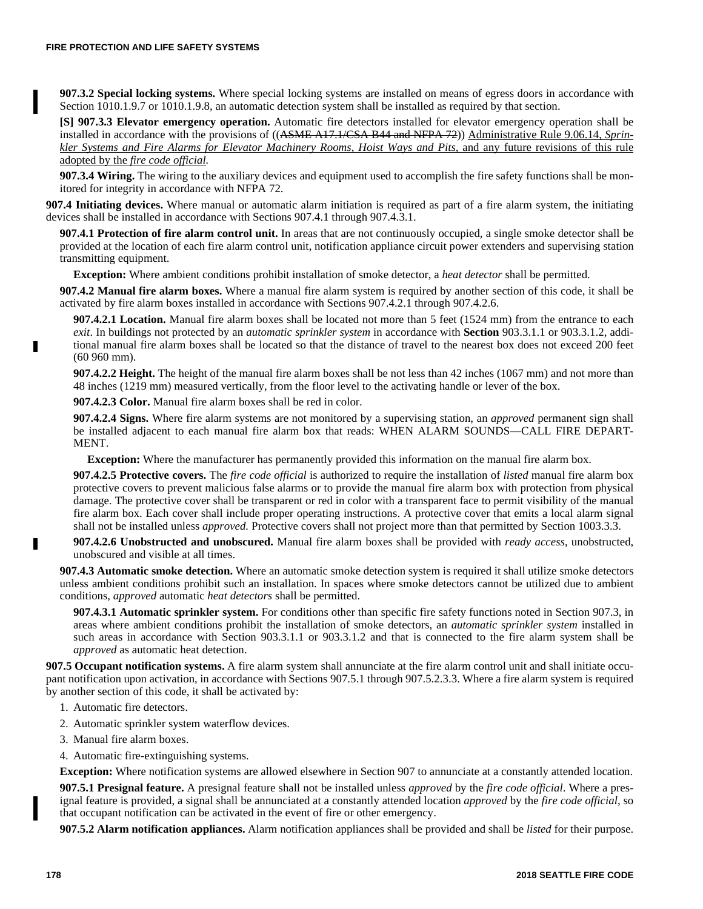**907.3.2 Special locking systems.** Where special locking systems are installed on means of egress doors in accordance with Section 1010.1.9.7 or 1010.1.9.8, an automatic detection system shall be installed as required by that section.

**[S] 907.3.3 Elevator emergency operation.** Automatic fire detectors installed for elevator emergency operation shall be installed in accordance with the provisions of ((ASME A17.1/CSA B44 and NFPA 72)) Administrative Rule 9.06.14, *Sprinkler Systems and Fire Alarms for Elevator Machinery Rooms, Hoist Ways and Pits,* and any future revisions of this rule adopted by the *fire code official.*

**907.3.4 Wiring.** The wiring to the auxiliary devices and equipment used to accomplish the fire safety functions shall be monitored for integrity in accordance with NFPA 72.

**907.4 Initiating devices.** Where manual or automatic alarm initiation is required as part of a fire alarm system, the initiating devices shall be installed in accordance with Sections 907.4.1 through 907.4.3.1.

**907.4.1 Protection of fire alarm control unit.** In areas that are not continuously occupied, a single smoke detector shall be provided at the location of each fire alarm control unit, notification appliance circuit power extenders and supervising station transmitting equipment.

**Exception:** Where ambient conditions prohibit installation of smoke detector, a *heat detector* shall be permitted.

**907.4.2 Manual fire alarm boxes.** Where a manual fire alarm system is required by another section of this code, it shall be activated by fire alarm boxes installed in accordance with Sections 907.4.2.1 through 907.4.2.6.

**907.4.2.1 Location.** Manual fire alarm boxes shall be located not more than 5 feet (1524 mm) from the entrance to each *exit*. In buildings not protected by an *automatic sprinkler system* in accordance with **Section** 903.3.1.1 or 903.3.1.2, additional manual fire alarm boxes shall be located so that the distance of travel to the nearest box does not exceed 200 feet (60 960 mm).

**907.4.2.2 Height.** The height of the manual fire alarm boxes shall be not less than 42 inches (1067 mm) and not more than 48 inches (1219 mm) measured vertically, from the floor level to the activating handle or lever of the box.

**907.4.2.3 Color.** Manual fire alarm boxes shall be red in color.

**907.4.2.4 Signs.** Where fire alarm systems are not monitored by a supervising station, an *approved* permanent sign shall be installed adjacent to each manual fire alarm box that reads: WHEN ALARM SOUNDS—CALL FIRE DEPART-MENT.

**Exception:** Where the manufacturer has permanently provided this information on the manual fire alarm box.

**907.4.2.5 Protective covers.** The *fire code official* is authorized to require the installation of *listed* manual fire alarm box protective covers to prevent malicious false alarms or to provide the manual fire alarm box with protection from physical damage. The protective cover shall be transparent or red in color with a transparent face to permit visibility of the manual fire alarm box. Each cover shall include proper operating instructions. A protective cover that emits a local alarm signal shall not be installed unless *approved.* Protective covers shall not project more than that permitted by Section 1003.3.3.

**907.4.2.6 Unobstructed and unobscured.** Manual fire alarm boxes shall be provided with *ready access*, unobstructed, unobscured and visible at all times.

**907.4.3 Automatic smoke detection.** Where an automatic smoke detection system is required it shall utilize smoke detectors unless ambient conditions prohibit such an installation. In spaces where smoke detectors cannot be utilized due to ambient conditions, *approved* automatic *heat detectors* shall be permitted.

**907.4.3.1 Automatic sprinkler system.** For conditions other than specific fire safety functions noted in Section 907.3, in areas where ambient conditions prohibit the installation of smoke detectors, an *automatic sprinkler system* installed in such areas in accordance with Section 903.3.1.1 or 903.3.1.2 and that is connected to the fire alarm system shall be *approved* as automatic heat detection.

**907.5 Occupant notification systems.** A fire alarm system shall annunciate at the fire alarm control unit and shall initiate occupant notification upon activation, in accordance with Sections 907.5.1 through 907.5.2.3.3. Where a fire alarm system is required by another section of this code, it shall be activated by:

- 1. Automatic fire detectors.
- 2. Automatic sprinkler system waterflow devices.
- 3. Manual fire alarm boxes.
- 4. Automatic fire-extinguishing systems.

**Exception:** Where notification systems are allowed elsewhere in Section 907 to annunciate at a constantly attended location.

**907.5.1 Presignal feature.** A presignal feature shall not be installed unless *approved* by the *fire code official*. Where a presignal feature is provided, a signal shall be annunciated at a constantly attended location *approved* by the *fire code official*, so that occupant notification can be activated in the event of fire or other emergency.

**907.5.2 Alarm notification appliances.** Alarm notification appliances shall be provided and shall be *listed* for their purpose.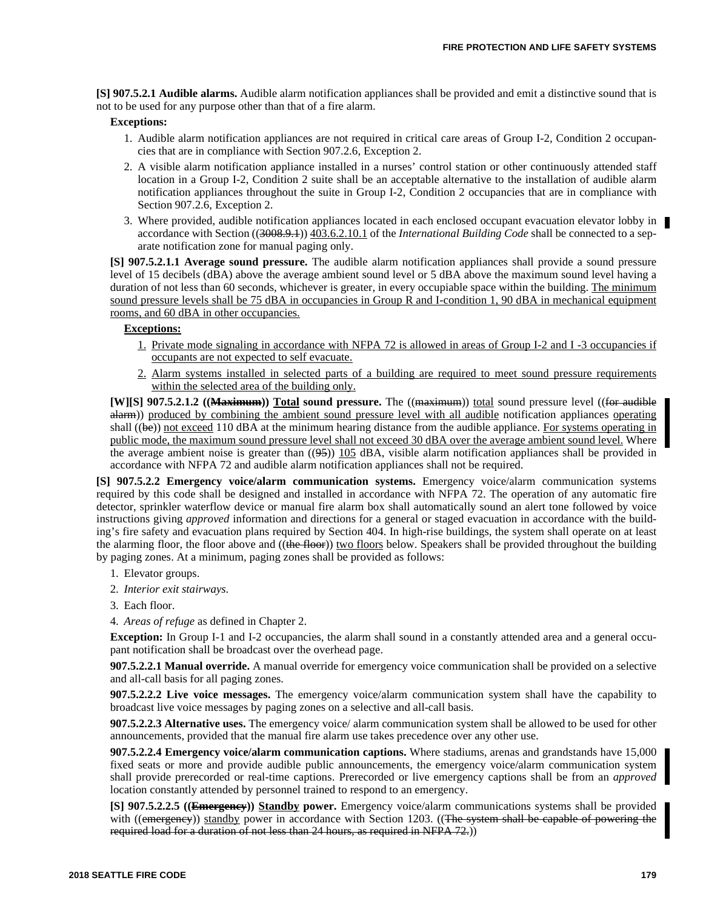**[S] 907.5.2.1 Audible alarms.** Audible alarm notification appliances shall be provided and emit a distinctive sound that is not to be used for any purpose other than that of a fire alarm.

### **Exceptions:**

- 1. Audible alarm notification appliances are not required in critical care areas of Group I-2, Condition 2 occupancies that are in compliance with Section 907.2.6, Exception 2.
- 2. A visible alarm notification appliance installed in a nurses' control station or other continuously attended staff location in a Group I-2, Condition 2 suite shall be an acceptable alternative to the installation of audible alarm notification appliances throughout the suite in Group I-2, Condition 2 occupancies that are in compliance with Section 907.2.6, Exception 2.
- 3. Where provided, audible notification appliances located in each enclosed occupant evacuation elevator lobby in accordance with Section ((3008.9.1)) 403.6.2.10.1 of the *International Building Code* shall be connected to a separate notification zone for manual paging only.

**[S] 907.5.2.1.1 Average sound pressure.** The audible alarm notification appliances shall provide a sound pressure level of 15 decibels (dBA) above the average ambient sound level or 5 dBA above the maximum sound level having a duration of not less than 60 seconds, whichever is greater, in every occupiable space within the building. The minimum sound pressure levels shall be 75 dBA in occupancies in Group R and I-condition 1, 90 dBA in mechanical equipment rooms, and 60 dBA in other occupancies.

# **Exceptions:**

- 1. Private mode signaling in accordance with NFPA 72 is allowed in areas of Group I-2 and I -3 occupancies if occupants are not expected to self evacuate.
- 2. Alarm systems installed in selected parts of a building are required to meet sound pressure requirements within the selected area of the building only.

**[W][S] 907.5.2.1.2 ((Maximum)) Total sound pressure.** The ((maximum)) total sound pressure level ((for audible alarm)) produced by combining the ambient sound pressure level with all audible notification appliances operating shall  $((be))$  not exceed 110 dBA at the minimum hearing distance from the audible appliance. For systems operating in public mode, the maximum sound pressure level shall not exceed 30 dBA over the average ambient sound level. Where the average ambient noise is greater than  $((95))$  105 dBA, visible alarm notification appliances shall be provided in accordance with NFPA 72 and audible alarm notification appliances shall not be required.

**[S] 907.5.2.2 Emergency voice/alarm communication systems.** Emergency voice/alarm communication systems required by this code shall be designed and installed in accordance with NFPA 72. The operation of any automatic fire detector, sprinkler waterflow device or manual fire alarm box shall automatically sound an alert tone followed by voice instructions giving *approved* information and directions for a general or staged evacuation in accordance with the building's fire safety and evacuation plans required by Section 404. In high-rise buildings, the system shall operate on at least the alarming floor, the floor above and ((the floor)) two floors below. Speakers shall be provided throughout the building by paging zones. At a minimum, paging zones shall be provided as follows:

- 1. Elevator groups.
- 2. *Interior exit stairways*.
- 3. Each floor.
- 4. *Areas of refuge* as defined in Chapter 2.

Exception: In Group I-1 and I-2 occupancies, the alarm shall sound in a constantly attended area and a general occupant notification shall be broadcast over the overhead page.

**907.5.2.2.1 Manual override.** A manual override for emergency voice communication shall be provided on a selective and all-call basis for all paging zones.

**907.5.2.2.2 Live voice messages.** The emergency voice/alarm communication system shall have the capability to broadcast live voice messages by paging zones on a selective and all-call basis.

**907.5.2.2.3 Alternative uses.** The emergency voice/ alarm communication system shall be allowed to be used for other announcements, provided that the manual fire alarm use takes precedence over any other use.

**907.5.2.2.4 Emergency voice/alarm communication captions.** Where stadiums, arenas and grandstands have 15,000 fixed seats or more and provide audible public announcements, the emergency voice/alarm communication system shall provide prerecorded or real-time captions. Prerecorded or live emergency captions shall be from an *approved* location constantly attended by personnel trained to respond to an emergency.

**[S] 907.5.2.2.5 ((Emergency)) Standby power.** Emergency voice/alarm communications systems shall be provided with ((emergency)) standby power in accordance with Section 1203. ((The system shall be capable of powering the required load for a duration of not less than 24 hours, as required in NFPA 72.))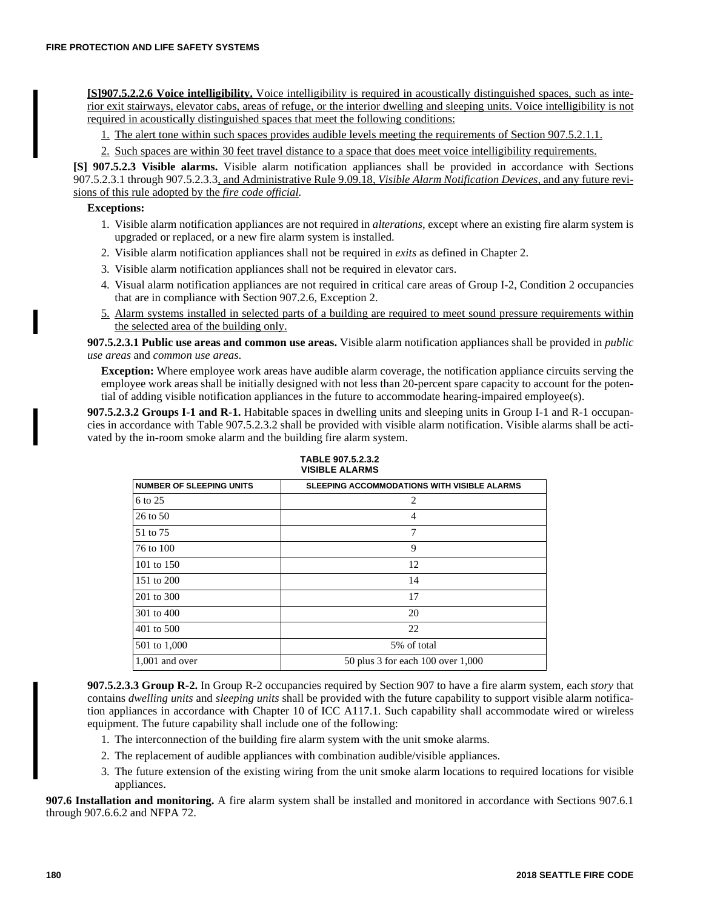**[S]907.5.2.2.6 Voice intelligibility.** Voice intelligibility is required in acoustically distinguished spaces, such as interior exit stairways, elevator cabs, areas of refuge, or the interior dwelling and sleeping units. Voice intelligibility is not required in acoustically distinguished spaces that meet the following conditions:

1. The alert tone within such spaces provides audible levels meeting the requirements of Section 907.5.2.1.1.

2. Such spaces are within 30 feet travel distance to a space that does meet voice intelligibility requirements.

**[S] 907.5.2.3 Visible alarms.** Visible alarm notification appliances shall be provided in accordance with Sections 907.5.2.3.1 through 907.5.2.3.3, and Administrative Rule 9.09.18, *Visible Alarm Notification Devices,* and any future revisions of this rule adopted by the *fire code official.*

# **Exceptions:**

- 1. Visible alarm notification appliances are not required in *alterations*, except where an existing fire alarm system is upgraded or replaced, or a new fire alarm system is installed.
- 2. Visible alarm notification appliances shall not be required in *exits* as defined in Chapter 2.
- 3. Visible alarm notification appliances shall not be required in elevator cars.
- 4. Visual alarm notification appliances are not required in critical care areas of Group I-2, Condition 2 occupancies that are in compliance with Section 907.2.6, Exception 2.
- 5. Alarm systems installed in selected parts of a building are required to meet sound pressure requirements within the selected area of the building only.

**907.5.2.3.1 Public use areas and common use areas.** Visible alarm notification appliances shall be provided in *public use areas* and *common use areas*.

**Exception:** Where employee work areas have audible alarm coverage, the notification appliance circuits serving the employee work areas shall be initially designed with not less than 20-percent spare capacity to account for the potential of adding visible notification appliances in the future to accommodate hearing-impaired employee(s).

**907.5.2.3.2 Groups I-1 and R-1.** Habitable spaces in dwelling units and sleeping units in Group I-1 and R-1 occupancies in accordance with Table 907.5.2.3.2 shall be provided with visible alarm notification. Visible alarms shall be activated by the in-room smoke alarm and the building fire alarm system.

| <b>SLEEPING ACCOMMODATIONS WITH VISIBLE ALARMS</b> |  |
|----------------------------------------------------|--|
| 2                                                  |  |
| $\overline{4}$                                     |  |
| 7                                                  |  |
| 9                                                  |  |
| 12                                                 |  |
| 14                                                 |  |
| 17                                                 |  |
| 20                                                 |  |
| 22                                                 |  |
| 5% of total                                        |  |
| 50 plus 3 for each 100 over 1,000                  |  |
|                                                    |  |

**TABLE 907.5.2.3.2 VISIBLE ALARMS**

**907.5.2.3.3 Group R-2.** In Group R-2 occupancies required by Section 907 to have a fire alarm system, each *story* that contains *dwelling units* and *sleeping units* shall be provided with the future capability to support visible alarm notification appliances in accordance with Chapter 10 of ICC A117.1. Such capability shall accommodate wired or wireless equipment. The future capability shall include one of the following:

- 1. The interconnection of the building fire alarm system with the unit smoke alarms.
- 2. The replacement of audible appliances with combination audible/visible appliances.
- 3. The future extension of the existing wiring from the unit smoke alarm locations to required locations for visible appliances.

**907.6 Installation and monitoring.** A fire alarm system shall be installed and monitored in accordance with Sections 907.6.1 through 907.6.6.2 and NFPA 72.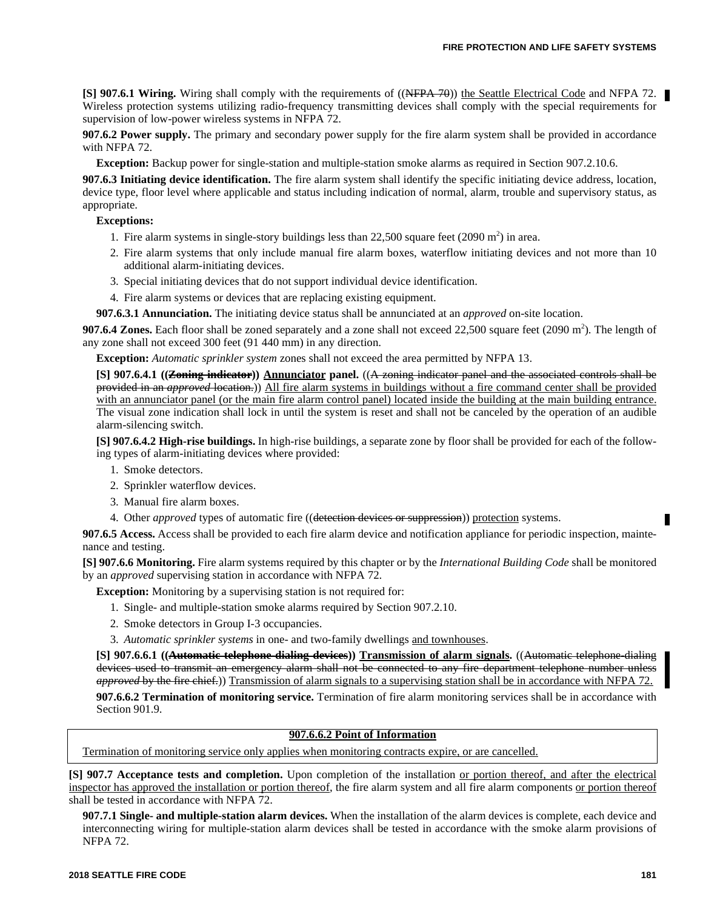**[S] 907.6.1 Wiring.** Wiring shall comply with the requirements of ((NFPA 70)) the Seattle Electrical Code and NFPA 72. Wireless protection systems utilizing radio-frequency transmitting devices shall comply with the special requirements for supervision of low-power wireless systems in NFPA 72.

**907.6.2 Power supply.** The primary and secondary power supply for the fire alarm system shall be provided in accordance with NFPA 72.

**Exception:** Backup power for single-station and multiple-station smoke alarms as required in Section 907.2.10.6.

**907.6.3 Initiating device identification.** The fire alarm system shall identify the specific initiating device address, location, device type, floor level where applicable and status including indication of normal, alarm, trouble and supervisory status, as appropriate.

### **Exceptions:**

- 1. Fire alarm systems in single-story buildings less than  $22,500$  square feet (2090 m<sup>2</sup>) in area.
- 2. Fire alarm systems that only include manual fire alarm boxes, waterflow initiating devices and not more than 10 additional alarm-initiating devices.
- 3. Special initiating devices that do not support individual device identification.
- 4. Fire alarm systems or devices that are replacing existing equipment.
- **907.6.3.1 Annunciation.** The initiating device status shall be annunciated at an *approved* on-site location.

**907.6.4 Zones.** Each floor shall be zoned separately and a zone shall not exceed 22,500 square feet (2090 m<sup>2</sup>). The length of any zone shall not exceed 300 feet (91 440 mm) in any direction.

**Exception:** *Automatic sprinkler system* zones shall not exceed the area permitted by NFPA 13.

**[S] 907.6.4.1 ((Zoning indicator)) Annunciator panel.** ((A zoning indicator panel and the associated controls shall be provided in an *approved* location.)) All fire alarm systems in buildings without a fire command center shall be provided with an annunciator panel (or the main fire alarm control panel) located inside the building at the main building entrance. The visual zone indication shall lock in until the system is reset and shall not be canceled by the operation of an audible alarm-silencing switch.

**[S] 907.6.4.2 High-rise buildings.** In high-rise buildings, a separate zone by floor shall be provided for each of the following types of alarm-initiating devices where provided:

1. Smoke detectors.

- 2. Sprinkler waterflow devices.
- 3. Manual fire alarm boxes.
- 4. Other *approved* types of automatic fire ((detection devices or suppression)) protection systems.

**907.6.5 Access.** Access shall be provided to each fire alarm device and notification appliance for periodic inspection, maintenance and testing.

**[S] 907.6.6 Monitoring.** Fire alarm systems required by this chapter or by the *International Building Code* shall be monitored by an *approved* supervising station in accordance with NFPA 72.

**Exception:** Monitoring by a supervising station is not required for:

- 1. Single- and multiple-station smoke alarms required by Section 907.2.10.
- 2. Smoke detectors in Group I-3 occupancies.
- 3. *Automatic sprinkler systems* in one- and two-family dwellings and townhouses.

**[S] 907.6.6.1 ((Automatic telephone-dialing devices)) Transmission of alarm signals.** ((Automatic telephone-dialing devices used to transmit an emergency alarm shall not be connected to any fire department telephone number unless *approved* by the fire chief.)) Transmission of alarm signals to a supervising station shall be in accordance with NFPA 72. **907.6.6.2 Termination of monitoring service.** Termination of fire alarm monitoring services shall be in accordance with

Section 901.9.

#### **907.6.6.2 Point of Information**

Termination of monitoring service only applies when monitoring contracts expire, or are cancelled.

**[S] 907.7 Acceptance tests and completion.** Upon completion of the installation or portion thereof, and after the electrical inspector has approved the installation or portion thereof, the fire alarm system and all fire alarm components or portion thereof shall be tested in accordance with NFPA 72.

**907.7.1 Single- and multiple-station alarm devices.** When the installation of the alarm devices is complete, each device and interconnecting wiring for multiple-station alarm devices shall be tested in accordance with the smoke alarm provisions of NFPA 72.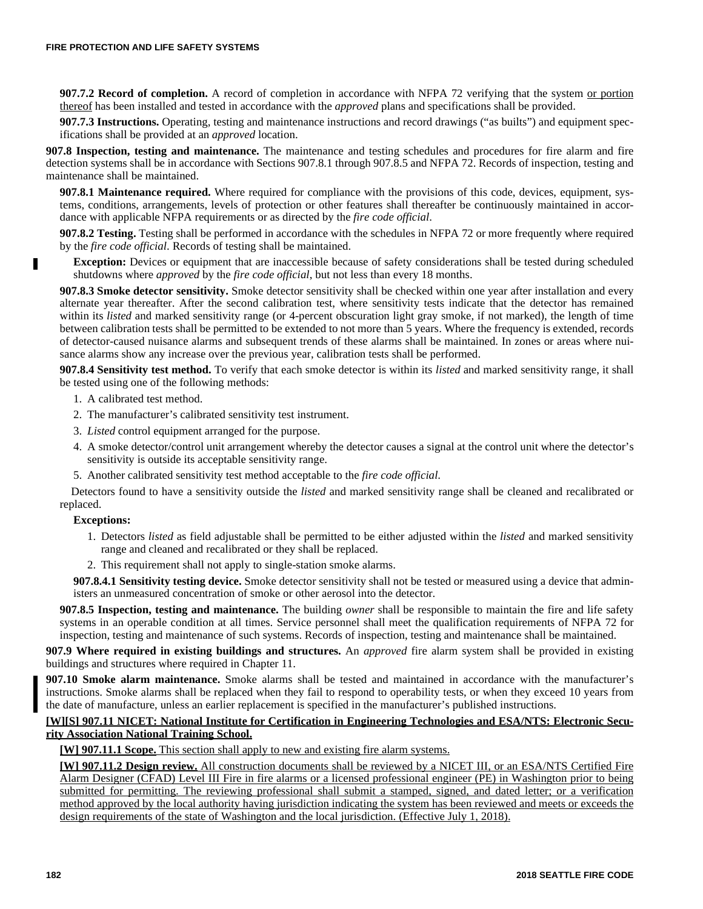**907.7.2 Record of completion.** A record of completion in accordance with NFPA 72 verifying that the system or portion thereof has been installed and tested in accordance with the *approved* plans and specifications shall be provided.

**907.7.3 Instructions.** Operating, testing and maintenance instructions and record drawings ("as builts") and equipment specifications shall be provided at an *approved* location.

**907.8 Inspection, testing and maintenance.** The maintenance and testing schedules and procedures for fire alarm and fire detection systems shall be in accordance with Sections 907.8.1 through 907.8.5 and NFPA 72. Records of inspection, testing and maintenance shall be maintained.

**907.8.1 Maintenance required.** Where required for compliance with the provisions of this code, devices, equipment, systems, conditions, arrangements, levels of protection or other features shall thereafter be continuously maintained in accordance with applicable NFPA requirements or as directed by the *fire code official*.

**907.8.2 Testing.** Testing shall be performed in accordance with the schedules in NFPA 72 or more frequently where required by the *fire code official*. Records of testing shall be maintained.

**Exception:** Devices or equipment that are inaccessible because of safety considerations shall be tested during scheduled shutdowns where *approved* by the *fire code official*, but not less than every 18 months.

**907.8.3 Smoke detector sensitivity.** Smoke detector sensitivity shall be checked within one year after installation and every alternate year thereafter. After the second calibration test, where sensitivity tests indicate that the detector has remained within its *listed* and marked sensitivity range (or 4-percent obscuration light gray smoke, if not marked), the length of time between calibration tests shall be permitted to be extended to not more than 5 years. Where the frequency is extended, records of detector-caused nuisance alarms and subsequent trends of these alarms shall be maintained. In zones or areas where nuisance alarms show any increase over the previous year, calibration tests shall be performed.

**907.8.4 Sensitivity test method.** To verify that each smoke detector is within its *listed* and marked sensitivity range, it shall be tested using one of the following methods:

- 1. A calibrated test method.
- 2. The manufacturer's calibrated sensitivity test instrument.
- 3. *Listed* control equipment arranged for the purpose.
- 4. A smoke detector/control unit arrangement whereby the detector causes a signal at the control unit where the detector's sensitivity is outside its acceptable sensitivity range.
- 5. Another calibrated sensitivity test method acceptable to the *fire code official*.

Detectors found to have a sensitivity outside the *listed* and marked sensitivity range shall be cleaned and recalibrated or replaced.

### **Exceptions:**

П

- 1. Detectors *listed* as field adjustable shall be permitted to be either adjusted within the *listed* and marked sensitivity range and cleaned and recalibrated or they shall be replaced.
- 2. This requirement shall not apply to single-station smoke alarms.

**907.8.4.1 Sensitivity testing device.** Smoke detector sensitivity shall not be tested or measured using a device that administers an unmeasured concentration of smoke or other aerosol into the detector.

**907.8.5 Inspection, testing and maintenance.** The building *owner* shall be responsible to maintain the fire and life safety systems in an operable condition at all times. Service personnel shall meet the qualification requirements of NFPA 72 for inspection, testing and maintenance of such systems. Records of inspection, testing and maintenance shall be maintained.

**907.9 Where required in existing buildings and structures.** An *approved* fire alarm system shall be provided in existing buildings and structures where required in Chapter 11.

**907.10 Smoke alarm maintenance.** Smoke alarms shall be tested and maintained in accordance with the manufacturer's instructions. Smoke alarms shall be replaced when they fail to respond to operability tests, or when they exceed 10 years from the date of manufacture, unless an earlier replacement is specified in the manufacturer's published instructions.

### **[W][S] 907.11 NICET: National Institute for Certification in Engineering Technologies and ESA/NTS: Electronic Security Association National Training School.**

**[W] 907.11.1 Scope.** This section shall apply to new and existing fire alarm systems.

**[W] 907.11.2 Design review.** All construction documents shall be reviewed by a NICET III, or an ESA/NTS Certified Fire Alarm Designer (CFAD) Level III Fire in fire alarms or a licensed professional engineer (PE) in Washington prior to being submitted for permitting. The reviewing professional shall submit a stamped, signed, and dated letter; or a verification method approved by the local authority having jurisdiction indicating the system has been reviewed and meets or exceeds the design requirements of the state of Washington and the local jurisdiction. (Effective July 1, 2018).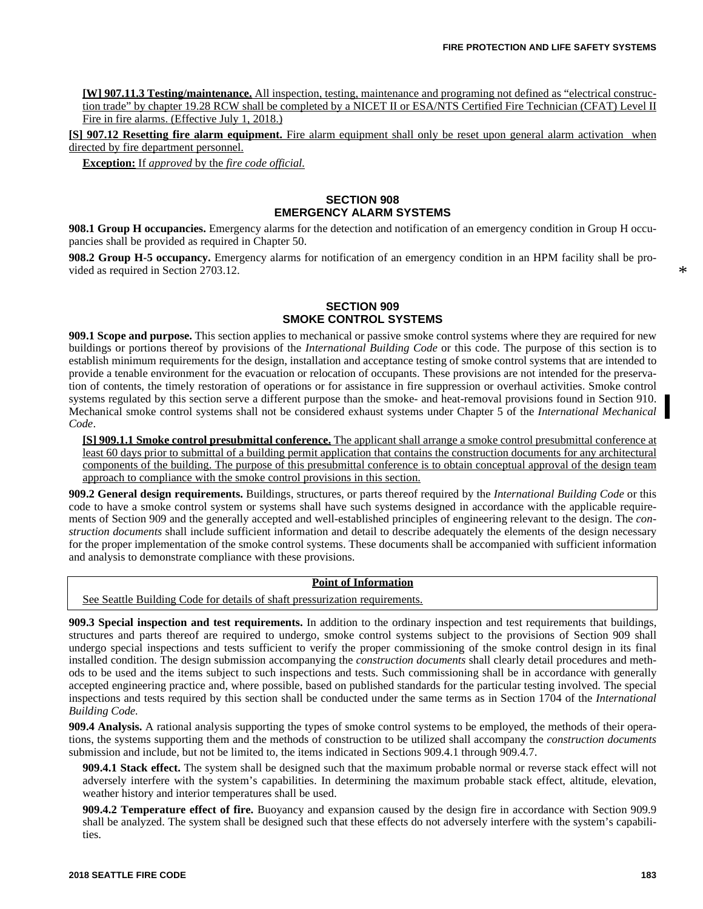**[W] 907.11.3 Testing/maintenance.** All inspection, testing, maintenance and programing not defined as "electrical construction trade" by chapter 19.28 RCW shall be completed by a NICET II or ESA/NTS Certified Fire Technician (CFAT) Level II Fire in fire alarms. (Effective July 1, 2018.)

**[S] 907.12 Resetting fire alarm equipment.** Fire alarm equipment shall only be reset upon general alarm activation when directed by fire department personnel.

**Exception:** If *approved* by the *fire code official.*

# **SECTION 908 EMERGENCY ALARM SYSTEMS**

**908.1 Group H occupancies.** Emergency alarms for the detection and notification of an emergency condition in Group H occupancies shall be provided as required in Chapter 50.

**908.2 Group H-5 occupancy.** Emergency alarms for notification of an emergency condition in an HPM facility shall be provided as required in Section 2703.12.

\*

# **SECTION 909 SMOKE CONTROL SYSTEMS**

**909.1 Scope and purpose.** This section applies to mechanical or passive smoke control systems where they are required for new buildings or portions thereof by provisions of the *International Building Code* or this code. The purpose of this section is to establish minimum requirements for the design, installation and acceptance testing of smoke control systems that are intended to provide a tenable environment for the evacuation or relocation of occupants. These provisions are not intended for the preservation of contents, the timely restoration of operations or for assistance in fire suppression or overhaul activities. Smoke control systems regulated by this section serve a different purpose than the smoke- and heat-removal provisions found in Section 910. Mechanical smoke control systems shall not be considered exhaust systems under Chapter 5 of the *International Mechanical Code*.

**[S] 909.1.1 Smoke control presubmittal conference.** The applicant shall arrange a smoke control presubmittal conference at least 60 days prior to submittal of a building permit application that contains the construction documents for any architectural components of the building. The purpose of this presubmittal conference is to obtain conceptual approval of the design team approach to compliance with the smoke control provisions in this section.

**909.2 General design requirements.** Buildings, structures, or parts thereof required by the *International Building Code* or this code to have a smoke control system or systems shall have such systems designed in accordance with the applicable requirements of Section 909 and the generally accepted and well-established principles of engineering relevant to the design. The *construction documents* shall include sufficient information and detail to describe adequately the elements of the design necessary for the proper implementation of the smoke control systems. These documents shall be accompanied with sufficient information and analysis to demonstrate compliance with these provisions.

# **Point of Information**

See Seattle Building Code for details of shaft pressurization requirements.

**909.3 Special inspection and test requirements.** In addition to the ordinary inspection and test requirements that buildings, structures and parts thereof are required to undergo, smoke control systems subject to the provisions of Section 909 shall undergo special inspections and tests sufficient to verify the proper commissioning of the smoke control design in its final installed condition. The design submission accompanying the *construction documents* shall clearly detail procedures and methods to be used and the items subject to such inspections and tests. Such commissioning shall be in accordance with generally accepted engineering practice and, where possible, based on published standards for the particular testing involved. The special inspections and tests required by this section shall be conducted under the same terms as in Section 1704 of the *International Building Code.*

**909.4 Analysis.** A rational analysis supporting the types of smoke control systems to be employed, the methods of their operations, the systems supporting them and the methods of construction to be utilized shall accompany the *construction documents* submission and include, but not be limited to, the items indicated in Sections 909.4.1 through 909.4.7.

**909.4.1 Stack effect.** The system shall be designed such that the maximum probable normal or reverse stack effect will not adversely interfere with the system's capabilities. In determining the maximum probable stack effect, altitude, elevation, weather history and interior temperatures shall be used.

**909.4.2 Temperature effect of fire.** Buoyancy and expansion caused by the design fire in accordance with Section 909.9 shall be analyzed. The system shall be designed such that these effects do not adversely interfere with the system's capabilities.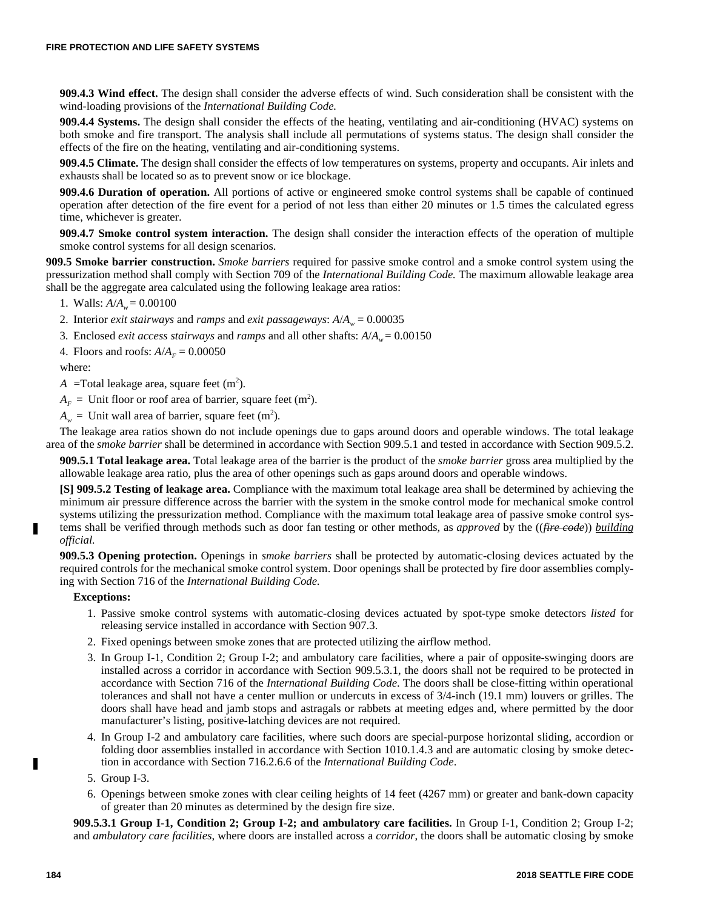**909.4.3 Wind effect.** The design shall consider the adverse effects of wind. Such consideration shall be consistent with the wind-loading provisions of the *International Building Code.*

**909.4.4 Systems.** The design shall consider the effects of the heating, ventilating and air-conditioning (HVAC) systems on both smoke and fire transport. The analysis shall include all permutations of systems status. The design shall consider the effects of the fire on the heating, ventilating and air-conditioning systems.

**909.4.5 Climate.** The design shall consider the effects of low temperatures on systems, property and occupants. Air inlets and exhausts shall be located so as to prevent snow or ice blockage.

**909.4.6 Duration of operation.** All portions of active or engineered smoke control systems shall be capable of continued operation after detection of the fire event for a period of not less than either 20 minutes or 1.5 times the calculated egress time, whichever is greater.

**909.4.7 Smoke control system interaction.** The design shall consider the interaction effects of the operation of multiple smoke control systems for all design scenarios.

**909.5 Smoke barrier construction.** *Smoke barriers* required for passive smoke control and a smoke control system using the pressurization method shall comply with Section 709 of the *International Building Code.* The maximum allowable leakage area shall be the aggregate area calculated using the following leakage area ratios:

1. Walls:  $A/A_w = 0.00100$ 

- 2. Interior *exit stairways* and *ramps* and *exit passageways*:  $A/A_w = 0.00035$
- 3. Enclosed *exit access stairways* and *ramps* and all other shafts: *A*/*A<sup>w</sup>* = 0.00150

4. Floors and roofs:  $A/A<sub>F</sub> = 0.00050$ 

where:

 $A = \text{Total leakage area}, \text{ square feet } (\text{m}^2).$ 

 $A_F$  = Unit floor or roof area of barrier, square feet (m<sup>2</sup>).

 $A_w$  = Unit wall area of barrier, square feet (m<sup>2</sup>).

The leakage area ratios shown do not include openings due to gaps around doors and operable windows. The total leakage area of the *smoke barrier* shall be determined in accordance with Section 909.5.1 and tested in accordance with Section 909.5.2.

**909.5.1 Total leakage area.** Total leakage area of the barrier is the product of the *smoke barrier* gross area multiplied by the allowable leakage area ratio, plus the area of other openings such as gaps around doors and operable windows.

**[S] 909.5.2 Testing of leakage area.** Compliance with the maximum total leakage area shall be determined by achieving the minimum air pressure difference across the barrier with the system in the smoke control mode for mechanical smoke control systems utilizing the pressurization method. Compliance with the maximum total leakage area of passive smoke control systems shall be verified through methods such as door fan testing or other methods, as *approved* by the ((*fire code*)) *building*

*official.*

г

**909.5.3 Opening protection.** Openings in *smoke barriers* shall be protected by automatic-closing devices actuated by the required controls for the mechanical smoke control system. Door openings shall be protected by fire door assemblies complying with Section 716 of the *International Building Code.*

### **Exceptions:**

- 1. Passive smoke control systems with automatic-closing devices actuated by spot-type smoke detectors *listed* for releasing service installed in accordance with Section 907.3.
- 2. Fixed openings between smoke zones that are protected utilizing the airflow method.
- 3. In Group I-1, Condition 2; Group I-2; and ambulatory care facilities, where a pair of opposite-swinging doors are installed across a corridor in accordance with Section 909.5.3.1, the doors shall not be required to be protected in accordance with Section 716 of the *International Building Code*. The doors shall be close-fitting within operational tolerances and shall not have a center mullion or undercuts in excess of 3/4-inch (19.1 mm) louvers or grilles. The doors shall have head and jamb stops and astragals or rabbets at meeting edges and, where permitted by the door manufacturer's listing, positive-latching devices are not required.
- 4. In Group I-2 and ambulatory care facilities, where such doors are special-purpose horizontal sliding, accordion or folding door assemblies installed in accordance with Section 1010.1.4.3 and are automatic closing by smoke detection in accordance with Section 716.2.6.6 of the *International Building Code*.
- 5. Group I-3.
- 6. Openings between smoke zones with clear ceiling heights of 14 feet (4267 mm) or greater and bank-down capacity of greater than 20 minutes as determined by the design fire size.

**909.5.3.1 Group I-1, Condition 2; Group I-2; and ambulatory care facilities.** In Group I-1, Condition 2; Group I-2; and *ambulatory care facilities*, where doors are installed across a *corridor*, the doors shall be automatic closing by smoke

П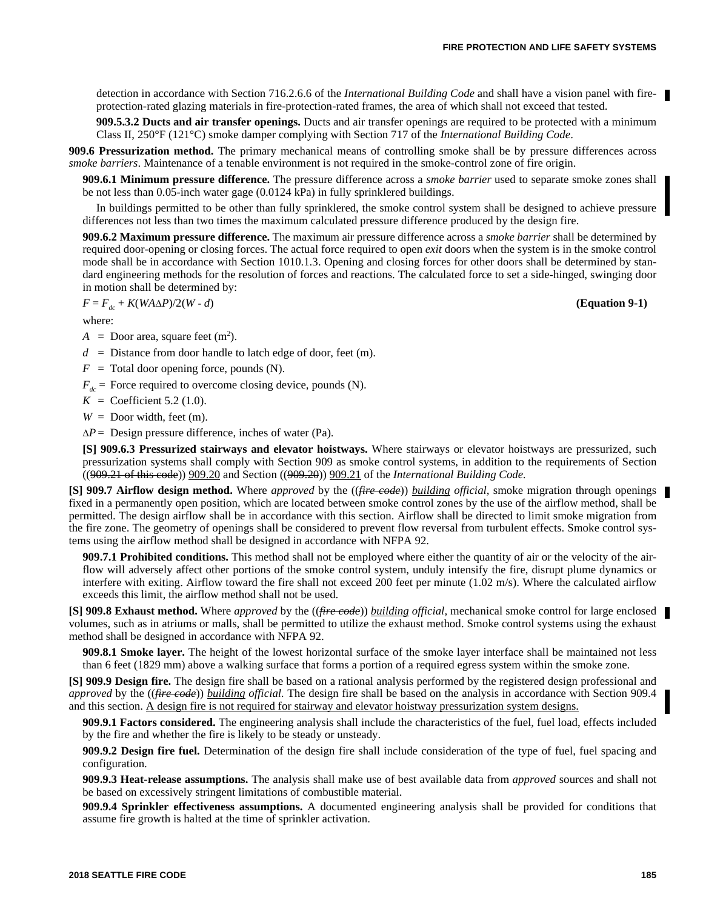detection in accordance with Section 716.2.6.6 of the *International Building Code* and shall have a vision panel with fireprotection-rated glazing materials in fire-protection-rated frames, the area of which shall not exceed that tested.

**909.5.3.2 Ducts and air transfer openings.** Ducts and air transfer openings are required to be protected with a minimum Class II, 250°F (121°C) smoke damper complying with Section 717 of the *International Building Code*.

**909.6 Pressurization method.** The primary mechanical means of controlling smoke shall be by pressure differences across *smoke barriers*. Maintenance of a tenable environment is not required in the smoke-control zone of fire origin.

**909.6.1 Minimum pressure difference.** The pressure difference across a *smoke barrier* used to separate smoke zones shall be not less than 0.05-inch water gage (0.0124 kPa) in fully sprinklered buildings.

In buildings permitted to be other than fully sprinklered, the smoke control system shall be designed to achieve pressure differences not less than two times the maximum calculated pressure difference produced by the design fire.

**909.6.2 Maximum pressure difference.** The maximum air pressure difference across a *smoke barrier* shall be determined by required door-opening or closing forces. The actual force required to open *exit* doors when the system is in the smoke control mode shall be in accordance with Section 1010.1.3. Opening and closing forces for other doors shall be determined by standard engineering methods for the resolution of forces and reactions. The calculated force to set a side-hinged, swinging door in motion shall be determined by:

$$
F = F_{dc} + K(WA\Delta P)/2(W - d)
$$

where:

 $A =$  Door area, square feet  $(m^2)$ .

 $d =$  Distance from door handle to latch edge of door, feet (m).

 $F =$  Total door opening force, pounds (N).

 $F_{dc}$  = Force required to overcome closing device, pounds (N).

 $K = \text{Coefficient } 5.2 (1.0).$ 

 $W =$  Door width, feet (m).

 $\Delta P$  = Design pressure difference, inches of water (Pa).

**[S] 909.6.3 Pressurized stairways and elevator hoistways.** Where stairways or elevator hoistways are pressurized, such pressurization systems shall comply with Section 909 as smoke control systems, in addition to the requirements of Section ((909.21 of this code)) 909.20 and Section ((909.20)) 909.21 of the *International Building Code.*

**[S] 909.7 Airflow design method.** Where *approved* by the ((*fire code*)) *building official,* smoke migration through openings fixed in a permanently open position, which are located between smoke control zones by the use of the airflow method, shall be permitted. The design airflow shall be in accordance with this section. Airflow shall be directed to limit smoke migration from the fire zone. The geometry of openings shall be considered to prevent flow reversal from turbulent effects. Smoke control systems using the airflow method shall be designed in accordance with NFPA 92.

**909.7.1 Prohibited conditions.** This method shall not be employed where either the quantity of air or the velocity of the airflow will adversely affect other portions of the smoke control system, unduly intensify the fire, disrupt plume dynamics or interfere with exiting. Airflow toward the fire shall not exceed 200 feet per minute (1.02 m/s). Where the calculated airflow exceeds this limit, the airflow method shall not be used.

**[S] 909.8 Exhaust method.** Where *approved* by the ((*fire code*)) *building official,* mechanical smoke control for large enclosed volumes, such as in atriums or malls, shall be permitted to utilize the exhaust method. Smoke control systems using the exhaust method shall be designed in accordance with NFPA 92.

**909.8.1 Smoke layer.** The height of the lowest horizontal surface of the smoke layer interface shall be maintained not less than 6 feet (1829 mm) above a walking surface that forms a portion of a required egress system within the smoke zone.

**[S] 909.9 Design fire.** The design fire shall be based on a rational analysis performed by the registered design professional and *approved* by the ((*fire code*)) *building official.* The design fire shall be based on the analysis in accordance with Section 909.4 and this section. A design fire is not required for stairway and elevator hoistway pressurization system designs.

**909.9.1 Factors considered.** The engineering analysis shall include the characteristics of the fuel, fuel load, effects included by the fire and whether the fire is likely to be steady or unsteady.

**909.9.2 Design fire fuel.** Determination of the design fire shall include consideration of the type of fuel, fuel spacing and configuration.

**909.9.3 Heat-release assumptions.** The analysis shall make use of best available data from *approved* sources and shall not be based on excessively stringent limitations of combustible material.

**909.9.4 Sprinkler effectiveness assumptions.** A documented engineering analysis shall be provided for conditions that assume fire growth is halted at the time of sprinkler activation.

*F* = *Fdc* + *K*(*WAP*)/2(*W* - *d*) **(Equation 9-1)**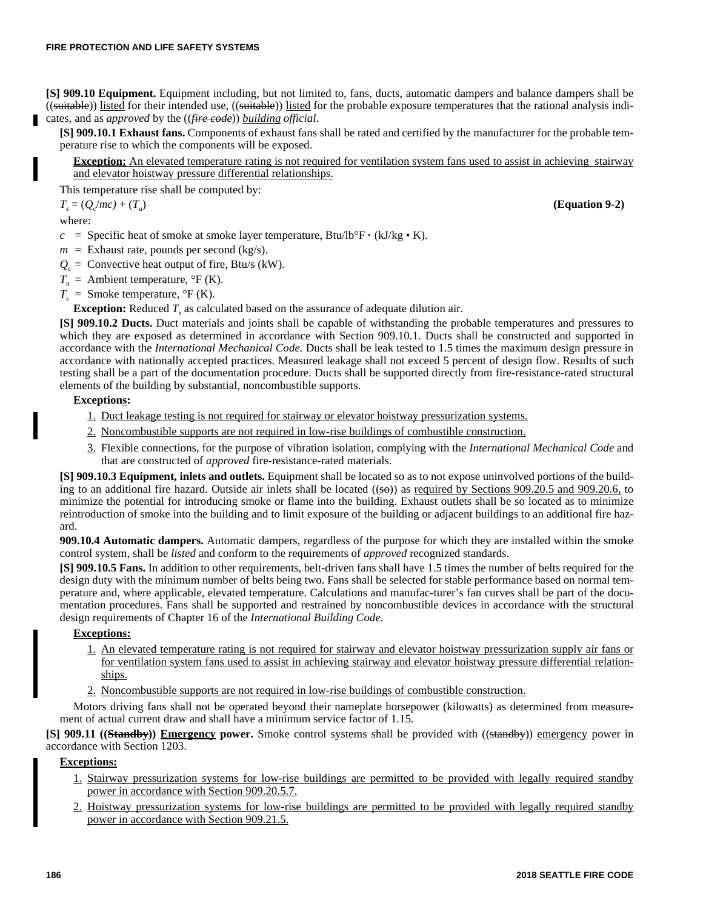**[S] 909.10 Equipment.** Equipment including, but not limited to, fans, ducts, automatic dampers and balance dampers shall be ((suitable)) listed for their intended use, ((suitable)) listed for the probable exposure temperatures that the rational analysis indicates, and as *approved* by the ((*fire code*)) *building official*.

**[S] 909.10.1 Exhaust fans.** Components of exhaust fans shall be rated and certified by the manufacturer for the probable temperature rise to which the components will be exposed.

**Exception:** An elevated temperature rating is not required for ventilation system fans used to assist in achieving stairway and elevator hoistway pressure differential relationships.

This temperature rise shall be computed by:

 $T_s = (Q_c/mc) + (T_a)$ 

where:

Н

*c* = Specific heat of smoke at smoke layer temperature, Btu/lb°F  $\cdot$  (kJ/kg  $\cdot$  K).

- $m =$  Exhaust rate, pounds per second (kg/s).
- $Q_c$  = Convective heat output of fire, Btu/s (kW).
- $T_a$  = Ambient temperature,  ${}^{\circ}$ F (K).
- $T<sub>s</sub>$  = Smoke temperature,  $\rm{P}F(K)$ .

**Exception:** Reduced *T<sup>s</sup>* as calculated based on the assurance of adequate dilution air.

**[S] 909.10.2 Ducts.** Duct materials and joints shall be capable of withstanding the probable temperatures and pressures to which they are exposed as determined in accordance with Section 909.10.1. Ducts shall be constructed and supported in accordance with the *International Mechanical Code.* Ducts shall be leak tested to 1.5 times the maximum design pressure in accordance with nationally accepted practices. Measured leakage shall not exceed 5 percent of design flow. Results of such testing shall be a part of the documentation procedure. Ducts shall be supported directly from fire-resistance-rated structural elements of the building by substantial, noncombustible supports.

# **Exceptions:**

- 1. Duct leakage testing is not required for stairway or elevator hoistway pressurization systems.
- 2. Noncombustible supports are not required in low-rise buildings of combustible construction.
- 3. Flexible connections, for the purpose of vibration isolation, complying with the *International Mechanical Code* and that are constructed of *approved* fire-resistance-rated materials.

**[S] 909.10.3 Equipment, inlets and outlets.** Equipment shall be located so as to not expose uninvolved portions of the building to an additional fire hazard. Outside air inlets shall be located  $((\frac{1}{50}))$  as <u>required by Sections 909.20.5</u> and 909.20.6, to minimize the potential for introducing smoke or flame into the building. Exhaust outlets shall be so located as to minimize reintroduction of smoke into the building and to limit exposure of the building or adjacent buildings to an additional fire hazard.

**909.10.4 Automatic dampers.** Automatic dampers, regardless of the purpose for which they are installed within the smoke control system, shall be *listed* and conform to the requirements of *approved* recognized standards.

**[S] 909.10.5 Fans.** In addition to other requirements, belt-driven fans shall have 1.5 times the number of belts required for the design duty with the minimum number of belts being two. Fans shall be selected for stable performance based on normal temperature and, where applicable, elevated temperature. Calculations and manufac-turer's fan curves shall be part of the documentation procedures. Fans shall be supported and restrained by noncombustible devices in accordance with the structural design requirements of Chapter 16 of the *International Building Code.*

### **Exceptions:**

- 1. An elevated temperature rating is not required for stairway and elevator hoistway pressurization supply air fans or for ventilation system fans used to assist in achieving stairway and elevator hoistway pressure differential relationships.
- 2. Noncombustible supports are not required in low-rise buildings of combustible construction.

Motors driving fans shall not be operated beyond their nameplate horsepower (kilowatts) as determined from measurement of actual current draw and shall have a minimum service factor of 1.15.

**[S] 909.11 ((Standby)) Emergency power.** Smoke control systems shall be provided with ((standby)) emergency power in accordance with Section 1203.

# **Exceptions:**

- 1. Stairway pressurization systems for low-rise buildings are permitted to be provided with legally required standby power in accordance with Section 909.20.5.7.
- 2. Hoistway pressurization systems for low-rise buildings are permitted to be provided with legally required standby power in accordance with Section 909.21.5.

) **(Equation 9-2)**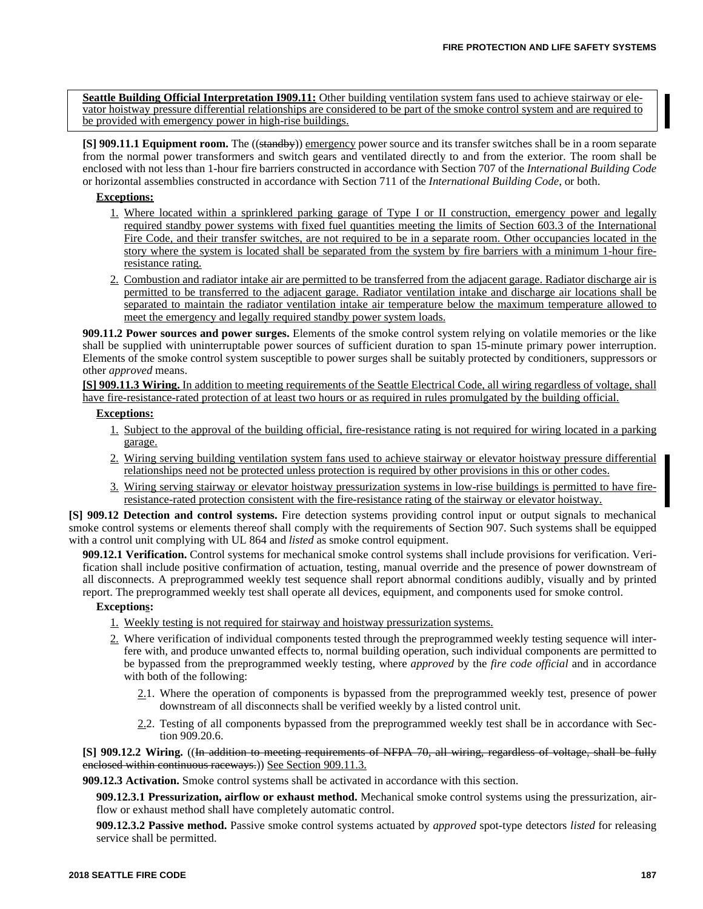**Seattle Building Official Interpretation I909.11:** Other building ventilation system fans used to achieve stairway or elevator hoistway pressure differential relationships are considered to be part of the smoke control system and are required to be provided with emergency power in high-rise buildings.

**[S] 909.11.1 Equipment room.** The ((standby)) emergency power source and its transfer switches shall be in a room separate from the normal power transformers and switch gears and ventilated directly to and from the exterior. The room shall be enclosed with not less than 1-hour fire barriers constructed in accordance with Section 707 of the *International Building Code* or horizontal assemblies constructed in accordance with Section 711 of the *International Building Code*, or both.

# **Exceptions:**

- 1. Where located within a sprinklered parking garage of Type I or II construction, emergency power and legally required standby power systems with fixed fuel quantities meeting the limits of Section 603.3 of the International Fire Code, and their transfer switches, are not required to be in a separate room. Other occupancies located in the story where the system is located shall be separated from the system by fire barriers with a minimum 1-hour fireresistance rating.
- 2. Combustion and radiator intake air are permitted to be transferred from the adjacent garage. Radiator discharge air is permitted to be transferred to the adjacent garage. Radiator ventilation intake and discharge air locations shall be separated to maintain the radiator ventilation intake air temperature below the maximum temperature allowed to meet the emergency and legally required standby power system loads.

**909.11.2 Power sources and power surges.** Elements of the smoke control system relying on volatile memories or the like shall be supplied with uninterruptable power sources of sufficient duration to span 15-minute primary power interruption. Elements of the smoke control system susceptible to power surges shall be suitably protected by conditioners, suppressors or other *approved* means.

**[S] 909.11.3 Wiring.** In addition to meeting requirements of the Seattle Electrical Code, all wiring regardless of voltage, shall have fire-resistance-rated protection of at least two hours or as required in rules promulgated by the building official.

### **Exceptions:**

- 1. Subject to the approval of the building official, fire-resistance rating is not required for wiring located in a parking garage.
- 2. Wiring serving building ventilation system fans used to achieve stairway or elevator hoistway pressure differential relationships need not be protected unless protection is required by other provisions in this or other codes.
- 3. Wiring serving stairway or elevator hoistway pressurization systems in low-rise buildings is permitted to have fireresistance-rated protection consistent with the fire-resistance rating of the stairway or elevator hoistway.

**[S] 909.12 Detection and control systems.** Fire detection systems providing control input or output signals to mechanical smoke control systems or elements thereof shall comply with the requirements of Section 907. Such systems shall be equipped with a control unit complying with UL 864 and *listed* as smoke control equipment.

**909.12.1 Verification.** Control systems for mechanical smoke control systems shall include provisions for verification. Verification shall include positive confirmation of actuation, testing, manual override and the presence of power downstream of all disconnects. A preprogrammed weekly test sequence shall report abnormal conditions audibly, visually and by printed report. The preprogrammed weekly test shall operate all devices, equipment, and components used for smoke control.

### **Exceptions:**

- 1. Weekly testing is not required for stairway and hoistway pressurization systems.
- 2. Where verification of individual components tested through the preprogrammed weekly testing sequence will interfere with, and produce unwanted effects to, normal building operation, such individual components are permitted to be bypassed from the preprogrammed weekly testing, where *approved* by the *fire code official* and in accordance with both of the following:
	- 2.1. Where the operation of components is bypassed from the preprogrammed weekly test, presence of power downstream of all disconnects shall be verified weekly by a listed control unit.
	- 2.2. Testing of all components bypassed from the preprogrammed weekly test shall be in accordance with Section 909.20.6.

**[S] 909.12.2 Wiring.** ((In addition to meeting requirements of NFPA 70, all wiring, regardless of voltage, shall be fully enclosed within continuous raceways.)) See Section 909.11.3.

**909.12.3 Activation.** Smoke control systems shall be activated in accordance with this section.

**909.12.3.1 Pressurization, airflow or exhaust method.** Mechanical smoke control systems using the pressurization, airflow or exhaust method shall have completely automatic control.

**909.12.3.2 Passive method.** Passive smoke control systems actuated by *approved* spot-type detectors *listed* for releasing service shall be permitted.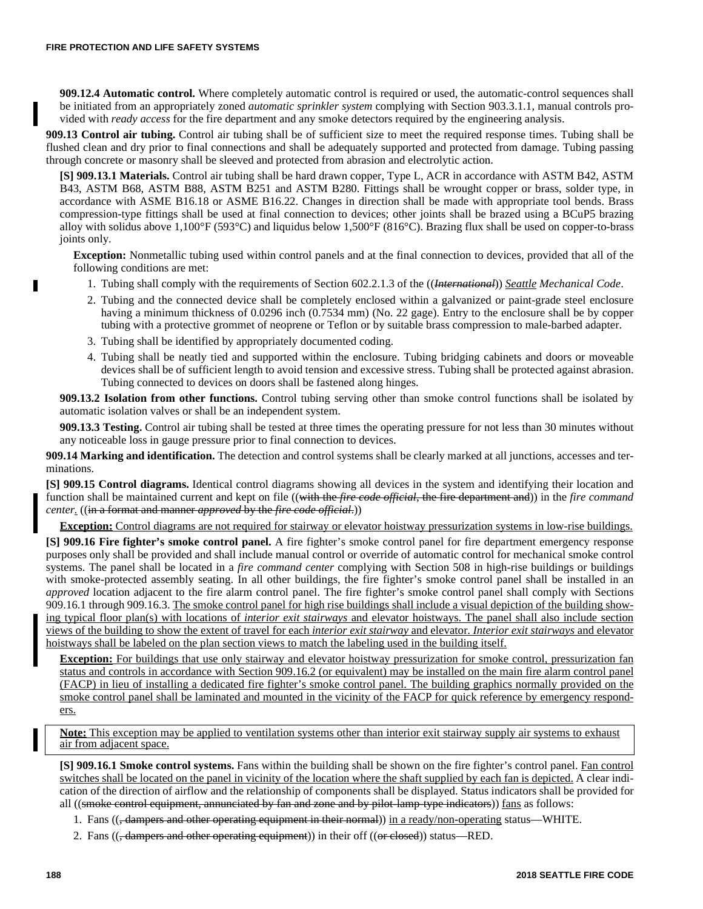**909.12.4 Automatic control.** Where completely automatic control is required or used, the automatic-control sequences shall be initiated from an appropriately zoned *automatic sprinkler system* complying with Section 903.3.1.1, manual controls provided with *ready access* for the fire department and any smoke detectors required by the engineering analysis.

**909.13 Control air tubing.** Control air tubing shall be of sufficient size to meet the required response times. Tubing shall be flushed clean and dry prior to final connections and shall be adequately supported and protected from damage. Tubing passing through concrete or masonry shall be sleeved and protected from abrasion and electrolytic action.

**[S] 909.13.1 Materials.** Control air tubing shall be hard drawn copper, Type L, ACR in accordance with ASTM B42, ASTM B43, ASTM B68, ASTM B88, ASTM B251 and ASTM B280. Fittings shall be wrought copper or brass, solder type, in accordance with ASME B16.18 or ASME B16.22. Changes in direction shall be made with appropriate tool bends. Brass compression-type fittings shall be used at final connection to devices; other joints shall be brazed using a BCuP5 brazing alloy with solidus above 1,100°F (593°C) and liquidus below 1,500°F (816°C). Brazing flux shall be used on copper-to-brass joints only.

**Exception:** Nonmetallic tubing used within control panels and at the final connection to devices, provided that all of the following conditions are met:

- 1. Tubing shall comply with the requirements of Section 602.2.1.3 of the ((*International*)) *Seattle Mechanical Code*.
- 2. Tubing and the connected device shall be completely enclosed within a galvanized or paint-grade steel enclosure having a minimum thickness of 0.0296 inch (0.7534 mm) (No. 22 gage). Entry to the enclosure shall be by copper tubing with a protective grommet of neoprene or Teflon or by suitable brass compression to male-barbed adapter.
- 3. Tubing shall be identified by appropriately documented coding.
- 4. Tubing shall be neatly tied and supported within the enclosure. Tubing bridging cabinets and doors or moveable devices shall be of sufficient length to avoid tension and excessive stress. Tubing shall be protected against abrasion. Tubing connected to devices on doors shall be fastened along hinges.

**909.13.2 Isolation from other functions.** Control tubing serving other than smoke control functions shall be isolated by automatic isolation valves or shall be an independent system.

**909.13.3 Testing.** Control air tubing shall be tested at three times the operating pressure for not less than 30 minutes without any noticeable loss in gauge pressure prior to final connection to devices.

**909.14 Marking and identification.** The detection and control systems shall be clearly marked at all junctions, accesses and terminations.

**[S] 909.15 Control diagrams.** Identical control diagrams showing all devices in the system and identifying their location and function shall be maintained current and kept on file ((with the *fire code official*, the fire department and)) in the *fire command center.* ((in a format and manner *approved* by the *fire code official*.))

**Exception:** Control diagrams are not required for stairway or elevator hoistway pressurization systems in low-rise buildings.

**[S] 909.16 Fire fighter's smoke control panel.** A fire fighter's smoke control panel for fire department emergency response purposes only shall be provided and shall include manual control or override of automatic control for mechanical smoke control systems. The panel shall be located in a *fire command center* complying with Section 508 in high-rise buildings or buildings with smoke-protected assembly seating. In all other buildings, the fire fighter's smoke control panel shall be installed in an *approved* location adjacent to the fire alarm control panel. The fire fighter's smoke control panel shall comply with Sections 909.16.1 through 909.16.3. The smoke control panel for high rise buildings shall include a visual depiction of the building showing typical floor plan(s) with locations of *interior exit stairways* and elevator hoistways. The panel shall also include section views of the building to show the extent of travel for each *interior exit stairway* and elevator. *Interior exit stairways* and elevator hoistways shall be labeled on the plan section views to match the labeling used in the building itself.

**Exception:** For buildings that use only stairway and elevator hoistway pressurization for smoke control, pressurization fan status and controls in accordance with Section 909.16.2 (or equivalent) may be installed on the main fire alarm control panel (FACP) in lieu of installing a dedicated fire fighter's smoke control panel. The building graphics normally provided on the smoke control panel shall be laminated and mounted in the vicinity of the FACP for quick reference by emergency responders.

**Note:** This exception may be applied to ventilation systems other than interior exit stairway supply air systems to exhaust air from adjacent space.

**[S] 909.16.1 Smoke control systems.** Fans within the building shall be shown on the fire fighter's control panel. Fan control switches shall be located on the panel in vicinity of the location where the shaft supplied by each fan is depicted. A clear indication of the direction of airflow and the relationship of components shall be displayed. Status indicators shall be provided for all ((smoke control equipment, annunciated by fan and zone and by pilot-lamp-type indicators)) fans as follows:

- 1. Fans ((, dampers and other operating equipment in their normal)) in a ready/non-operating status—WHITE.
- 2. Fans  $((,$  dampers and other operating equipment)) in their off  $((or closed))$  status—RED.

г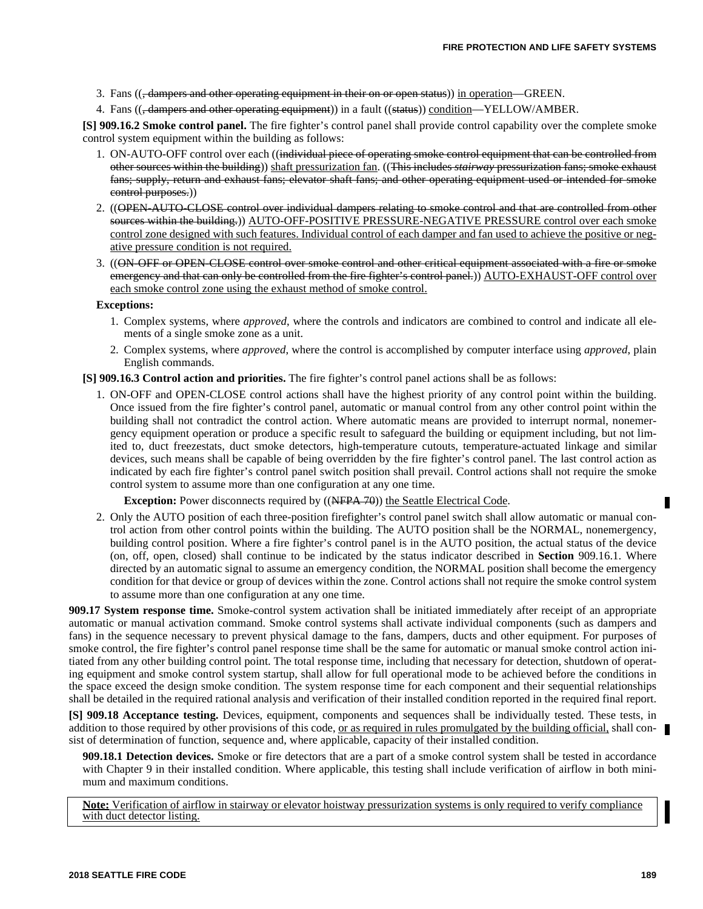3. Fans ((<del>, dampers and other operating equipment in their on or open status</del>)) in operation—GREEN.

4. Fans ((<del>, dampers and other operating equipment</del>)) in a fault ((status)) condition—YELLOW/AMBER.

**[S] 909.16.2 Smoke control panel.** The fire fighter's control panel shall provide control capability over the complete smoke control system equipment within the building as follows:

- 1. ON-AUTO-OFF control over each ((individual piece of operating smoke control equipment that can be controlled from other sources within the building)) shaft pressurization fan. ((This includes *stairway* pressurization fans; smoke exhaust fans; supply, return and exhaust fans; elevator shaft fans; and other operating equipment used or intended for smoke control purposes.))
- 2. ((OPEN-AUTO-CLOSE control over individual dampers relating to smoke control and that are controlled from other sources within the building.)) AUTO-OFF-POSITIVE PRESSURE-NEGATIVE PRESSURE control over each smoke control zone designed with such features. Individual control of each damper and fan used to achieve the positive or negative pressure condition is not required.
- 3. ((ON-OFF or OPEN-CLOSE control over smoke control and other critical equipment associated with a fire or smoke emergency and that can only be controlled from the fire fighter's control panel.)) AUTO-EXHAUST-OFF control over each smoke control zone using the exhaust method of smoke control.

### **Exceptions:**

- 1. Complex systems, where *approved*, where the controls and indicators are combined to control and indicate all elements of a single smoke zone as a unit.
- 2. Complex systems, where *approved*, where the control is accomplished by computer interface using *approved*, plain English commands.

**[S] 909.16.3 Control action and priorities.** The fire fighter's control panel actions shall be as follows:

1. ON-OFF and OPEN-CLOSE control actions shall have the highest priority of any control point within the building. Once issued from the fire fighter's control panel, automatic or manual control from any other control point within the building shall not contradict the control action. Where automatic means are provided to interrupt normal, nonemergency equipment operation or produce a specific result to safeguard the building or equipment including, but not limited to, duct freezestats, duct smoke detectors, high-temperature cutouts, temperature-actuated linkage and similar devices, such means shall be capable of being overridden by the fire fighter's control panel. The last control action as indicated by each fire fighter's control panel switch position shall prevail. Control actions shall not require the smoke control system to assume more than one configuration at any one time.

**Exception:** Power disconnects required by ((NFPA 70)) the Seattle Electrical Code.

2. Only the AUTO position of each three-position firefighter's control panel switch shall allow automatic or manual control action from other control points within the building. The AUTO position shall be the NORMAL, nonemergency, building control position. Where a fire fighter's control panel is in the AUTO position, the actual status of the device (on, off, open, closed) shall continue to be indicated by the status indicator described in **Section** 909.16.1. Where directed by an automatic signal to assume an emergency condition, the NORMAL position shall become the emergency condition for that device or group of devices within the zone. Control actions shall not require the smoke control system to assume more than one configuration at any one time.

**909.17 System response time.** Smoke-control system activation shall be initiated immediately after receipt of an appropriate automatic or manual activation command. Smoke control systems shall activate individual components (such as dampers and fans) in the sequence necessary to prevent physical damage to the fans, dampers, ducts and other equipment. For purposes of smoke control, the fire fighter's control panel response time shall be the same for automatic or manual smoke control action initiated from any other building control point. The total response time, including that necessary for detection, shutdown of operating equipment and smoke control system startup, shall allow for full operational mode to be achieved before the conditions in the space exceed the design smoke condition. The system response time for each component and their sequential relationships shall be detailed in the required rational analysis and verification of their installed condition reported in the required final report.

**[S] 909.18 Acceptance testing.** Devices, equipment, components and sequences shall be individually tested. These tests, in addition to those required by other provisions of this code, <u>or as required in rules promulgated by the building official</u>, shall consist of determination of function, sequence and, where applicable, capacity of their installed condition.

**909.18.1 Detection devices.** Smoke or fire detectors that are a part of a smoke control system shall be tested in accordance with Chapter 9 in their installed condition. Where applicable, this testing shall include verification of airflow in both minimum and maximum conditions.

**Note:** Verification of airflow in stairway or elevator hoistway pressurization systems is only required to verify compliance with duct detector listing.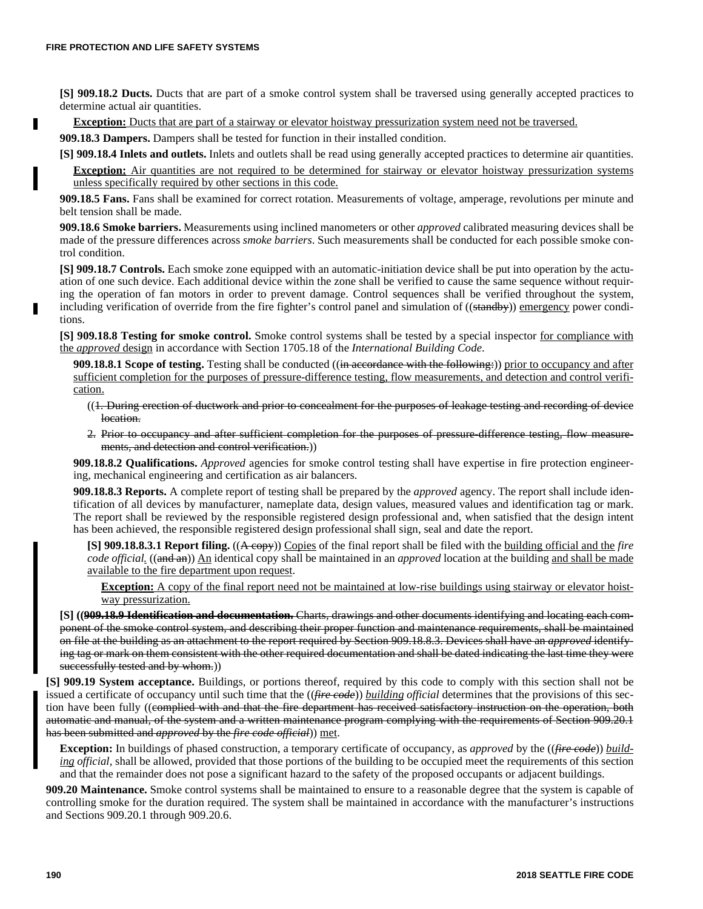п

**[S] 909.18.2 Ducts.** Ducts that are part of a smoke control system shall be traversed using generally accepted practices to determine actual air quantities.

**Exception:** Ducts that are part of a stairway or elevator hoistway pressurization system need not be traversed.

**909.18.3 Dampers.** Dampers shall be tested for function in their installed condition.

**[S] 909.18.4 Inlets and outlets.** Inlets and outlets shall be read using generally accepted practices to determine air quantities.

**Exception:** Air quantities are not required to be determined for stairway or elevator hoistway pressurization systems unless specifically required by other sections in this code.

**909.18.5 Fans.** Fans shall be examined for correct rotation. Measurements of voltage, amperage, revolutions per minute and belt tension shall be made.

**909.18.6 Smoke barriers.** Measurements using inclined manometers or other *approved* calibrated measuring devices shall be made of the pressure differences across *smoke barriers*. Such measurements shall be conducted for each possible smoke control condition.

**[S] 909.18.7 Controls.** Each smoke zone equipped with an automatic-initiation device shall be put into operation by the actuation of one such device. Each additional device within the zone shall be verified to cause the same sequence without requiring the operation of fan motors in order to prevent damage. Control sequences shall be verified throughout the system, including verification of override from the fire fighter's control panel and simulation of ((standby)) emergency power conditions.

**[S] 909.18.8 Testing for smoke control.** Smoke control systems shall be tested by a special inspector for compliance with the *approved* design in accordance with Section 1705.18 of the *International Building Code*.

**909.18.8.1 Scope of testing.** Testing shall be conducted ((in accordance with the following:)) prior to occupancy and after sufficient completion for the purposes of pressure-difference testing, flow measurements, and detection and control verification.

- ((1. During erection of ductwork and prior to concealment for the purposes of leakage testing and recording of device location.
- 2. Prior to occupancy and after sufficient completion for the purposes of pressure-difference testing, flow measurements, and detection and control verification.))

**909.18.8.2 Qualifications.** *Approved* agencies for smoke control testing shall have expertise in fire protection engineering, mechanical engineering and certification as air balancers.

**909.18.8.3 Reports.** A complete report of testing shall be prepared by the *approved* agency. The report shall include identification of all devices by manufacturer, nameplate data, design values, measured values and identification tag or mark. The report shall be reviewed by the responsible registered design professional and, when satisfied that the design intent has been achieved, the responsible registered design professional shall sign, seal and date the report.

**[S] 909.18.8.3.1 Report filing.** ((A copy)) Copies of the final report shall be filed with the building official and the *fire code official.* ((and an)) An identical copy shall be maintained in an *approved* location at the building and shall be made available to the fire department upon request.

**Exception:** A copy of the final report need not be maintained at low-rise buildings using stairway or elevator hoistway pressurization.

**[S] ((909.18.9 Identification and documentation.** Charts, drawings and other documents identifying and locating each component of the smoke control system, and describing their proper function and maintenance requirements, shall be maintained on file at the building as an attachment to the report required by Section 909.18.8.3. Devices shall have an *approved* identifying tag or mark on them consistent with the other required documentation and shall be dated indicating the last time they were successfully tested and by whom.))

**[S] 909.19 System acceptance.** Buildings, or portions thereof, required by this code to comply with this section shall not be issued a certificate of occupancy until such time that the ((*fire code*)) *building official* determines that the provisions of this section have been fully ((complied with and that the fire department has received satisfactory instruction on the operation, both automatic and manual, of the system and a written maintenance program complying with the requirements of Section 909.20.1 has been submitted and *approved* by the *fire code official*)) met.

**Exception:** In buildings of phased construction, a temporary certificate of occupancy, as *approved* by the ((*fire code*)) *building official,* shall be allowed, provided that those portions of the building to be occupied meet the requirements of this section and that the remainder does not pose a significant hazard to the safety of the proposed occupants or adjacent buildings.

**909.20 Maintenance.** Smoke control systems shall be maintained to ensure to a reasonable degree that the system is capable of controlling smoke for the duration required. The system shall be maintained in accordance with the manufacturer's instructions and Sections 909.20.1 through 909.20.6.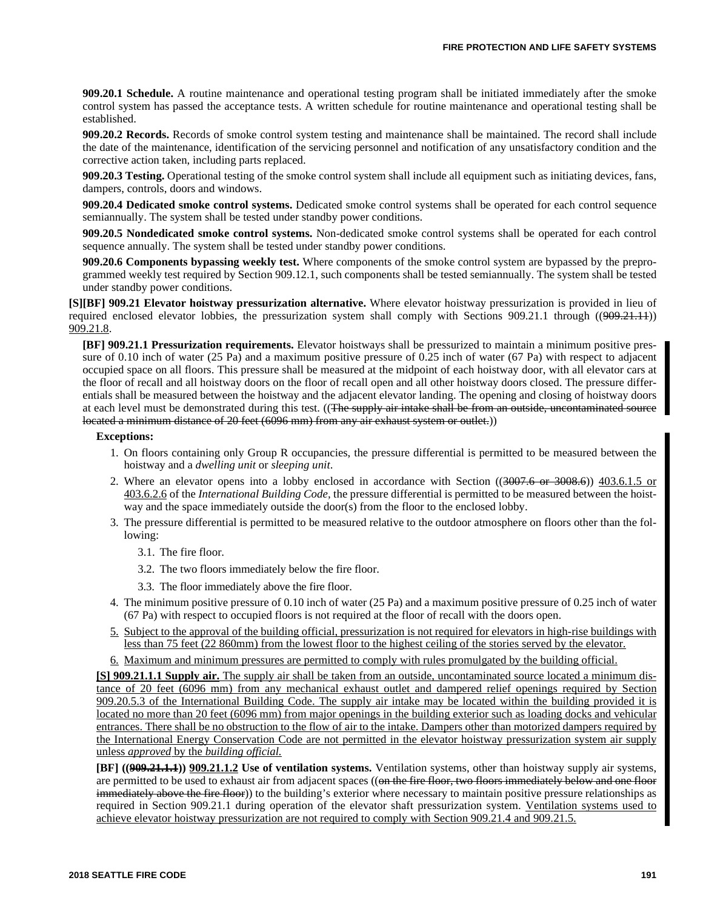**909.20.1 Schedule.** A routine maintenance and operational testing program shall be initiated immediately after the smoke control system has passed the acceptance tests. A written schedule for routine maintenance and operational testing shall be established.

**909.20.2 Records.** Records of smoke control system testing and maintenance shall be maintained. The record shall include the date of the maintenance, identification of the servicing personnel and notification of any unsatisfactory condition and the corrective action taken, including parts replaced.

**909.20.3 Testing.** Operational testing of the smoke control system shall include all equipment such as initiating devices, fans, dampers, controls, doors and windows.

**909.20.4 Dedicated smoke control systems.** Dedicated smoke control systems shall be operated for each control sequence semiannually. The system shall be tested under standby power conditions.

**909.20.5 Nondedicated smoke control systems.** Non-dedicated smoke control systems shall be operated for each control sequence annually. The system shall be tested under standby power conditions.

**909.20.6 Components bypassing weekly test.** Where components of the smoke control system are bypassed by the preprogrammed weekly test required by Section 909.12.1, such components shall be tested semiannually. The system shall be tested under standby power conditions.

**[S][BF] 909.21 Elevator hoistway pressurization alternative.** Where elevator hoistway pressurization is provided in lieu of required enclosed elevator lobbies, the pressurization system shall comply with Sections 909.21.1 through ((909.21.11)) 909.21.8.

**[BF] 909.21.1 Pressurization requirements.** Elevator hoistways shall be pressurized to maintain a minimum positive pressure of 0.10 inch of water (25 Pa) and a maximum positive pressure of 0.25 inch of water (67 Pa) with respect to adjacent occupied space on all floors. This pressure shall be measured at the midpoint of each hoistway door, with all elevator cars at the floor of recall and all hoistway doors on the floor of recall open and all other hoistway doors closed. The pressure differentials shall be measured between the hoistway and the adjacent elevator landing. The opening and closing of hoistway doors at each level must be demonstrated during this test. ((The supply air intake shall be from an outside, uncontaminated source located a minimum distance of 20 feet (6096 mm) from any air exhaust system or outlet.)

### **Exceptions:**

- 1. On floors containing only Group R occupancies, the pressure differential is permitted to be measured between the hoistway and a *dwelling unit* or *sleeping unit*.
- 2. Where an elevator opens into a lobby enclosed in accordance with Section ((3007.6 or 3008.6)) 403.6.1.5 or 403.6.2.6 of the *International Building Code,* the pressure differential is permitted to be measured between the hoistway and the space immediately outside the door(s) from the floor to the enclosed lobby.
- 3. The pressure differential is permitted to be measured relative to the outdoor atmosphere on floors other than the following:
	- 3.1. The fire floor.
	- 3.2. The two floors immediately below the fire floor.
	- 3.3. The floor immediately above the fire floor.
- 4. The minimum positive pressure of 0.10 inch of water (25 Pa) and a maximum positive pressure of 0.25 inch of water (67 Pa) with respect to occupied floors is not required at the floor of recall with the doors open.
- 5. Subject to the approval of the building official, pressurization is not required for elevators in high-rise buildings with less than 75 feet (22 860mm) from the lowest floor to the highest ceiling of the stories served by the elevator.
- 6. Maximum and minimum pressures are permitted to comply with rules promulgated by the building official.

**[S] 909.21.1.1 Supply air.** The supply air shall be taken from an outside, uncontaminated source located a minimum distance of 20 feet (6096 mm) from any mechanical exhaust outlet and dampered relief openings required by Section 909.20.5.3 of the International Building Code. The supply air intake may be located within the building provided it is located no more than 20 feet (6096 mm) from major openings in the building exterior such as loading docks and vehicular entrances. There shall be no obstruction to the flow of air to the intake. Dampers other than motorized dampers required by the International Energy Conservation Code are not permitted in the elevator hoistway pressurization system air supply unless *approved* by the *building official.*

**[BF] ((909.21.1.1)) 909.21.1.2 Use of ventilation systems.** Ventilation systems, other than hoistway supply air systems, are permitted to be used to exhaust air from adjacent spaces ((on the fire floor, two floors immediately below and one floor immediately above the fire floor)) to the building's exterior where necessary to maintain positive pressure relationships as required in Section 909.21.1 during operation of the elevator shaft pressurization system. Ventilation systems used to achieve elevator hoistway pressurization are not required to comply with Section 909.21.4 and 909.21.5.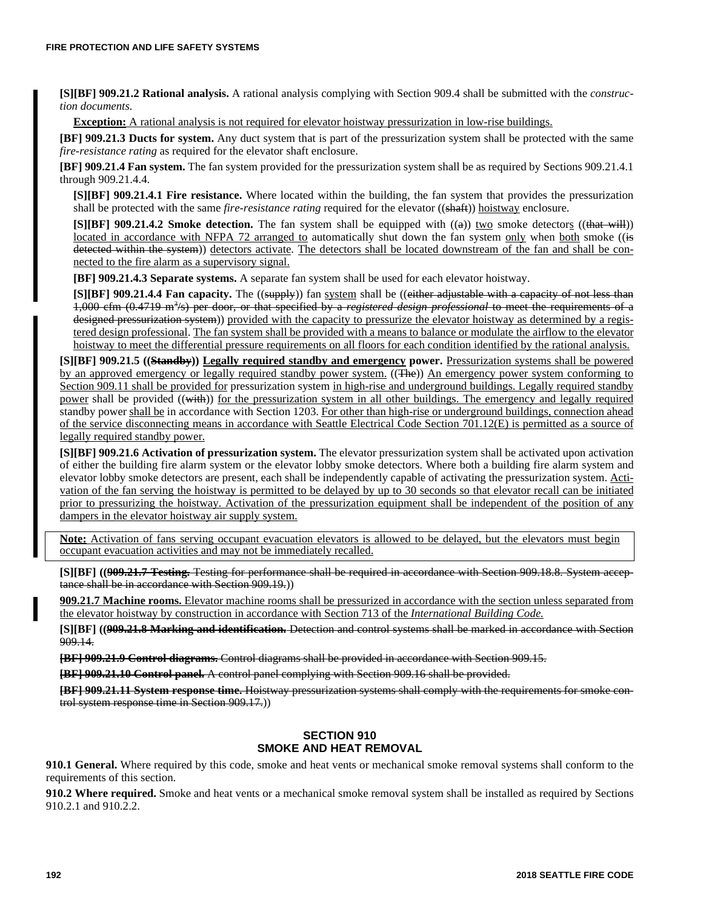**[S][BF] 909.21.2 Rational analysis.** A rational analysis complying with Section 909.4 shall be submitted with the *construction documents*.

**Exception:** A rational analysis is not required for elevator hoistway pressurization in low-rise buildings.

**[BF] 909.21.3 Ducts for system.** Any duct system that is part of the pressurization system shall be protected with the same *fire-resistance rating* as required for the elevator shaft enclosure.

**[BF] 909.21.4 Fan system.** The fan system provided for the pressurization system shall be as required by Sections 909.21.4.1 through 909.21.4.4.

**[S][BF] 909.21.4.1 Fire resistance.** Where located within the building, the fan system that provides the pressurization shall be protected with the same *fire-resistance rating* required for the elevator ((shaft)) hoistway enclosure.

**[S][BF] 909.21.4.2 Smoke detection.** The fan system shall be equipped with ((a)) two smoke detectors ((that will)) located in accordance with NFPA 72 arranged to automatically shut down the fan system only when both smoke ((is detected within the system)) detectors activate. The detectors shall be located downstream of the fan and shall be connected to the fire alarm as a supervisory signal.

**[BF] 909.21.4.3 Separate systems.** A separate fan system shall be used for each elevator hoistway.

**[S][BF] 909.21.4.4 Fan capacity.** The ((supply) fan system shall be ((either adjustable with a capacity of not less than 1,000 cfm (0.4719 m<sup>3</sup>/s) per door, or that specified by a *registered design professional* to meet the requirements of a designed pressurization system)) provided with the capacity to pressurize the elevator hoistway as determined by a registered design professional. The fan system shall be provided with a means to balance or modulate the airflow to the elevator hoistway to meet the differential pressure requirements on all floors for each condition identified by the rational analysis.

**[S][BF] 909.21.5 ((Standby)) Legally required standby and emergency power.** Pressurization systems shall be powered by an approved emergency or legally required standby power system. ((The)) An emergency power system conforming to Section 909.11 shall be provided for pressurization system in high-rise and underground buildings. Legally required standby power shall be provided ((with)) for the pressurization system in all other buildings. The emergency and legally required standby power shall be in accordance with Section 1203. For other than high-rise or underground buildings, connection ahead of the service disconnecting means in accordance with Seattle Electrical Code Section 701.12(E) is permitted as a source of legally required standby power.

**[S][BF] 909.21.6 Activation of pressurization system.** The elevator pressurization system shall be activated upon activation of either the building fire alarm system or the elevator lobby smoke detectors. Where both a building fire alarm system and elevator lobby smoke detectors are present, each shall be independently capable of activating the pressurization system. Activation of the fan serving the hoistway is permitted to be delayed by up to 30 seconds so that elevator recall can be initiated prior to pressurizing the hoistway. Activation of the pressurization equipment shall be independent of the position of any dampers in the elevator hoistway air supply system.

**Note:** Activation of fans serving occupant evacuation elevators is allowed to be delayed, but the elevators must begin occupant evacuation activities and may not be immediately recalled.

**[S][BF] ((909.21.7 Testing.** Testing for performance shall be required in accordance with Section 909.18.8. System acceptance shall be in accordance with Section 909.19.))

**909.21.7 Machine rooms.** Elevator machine rooms shall be pressurized in accordance with the section unless separated from the elevator hoistway by construction in accordance with Section 713 of the *International Building Code.*

**[S][BF] ((909.21.8 Marking and identification.** Detection and control systems shall be marked in accordance with Section 909.14.

**[BF] 909.21.9 Control diagrams.** Control diagrams shall be provided in accordance with Section 909.15.

**[BF] 909.21.10 Control panel.** A control panel complying with Section 909.16 shall be provided.

**[BF] 909.21.11 System response time.** Hoistway pressurization systems shall comply with the requirements for smoke control system response time in Section 909.17.))

### **SECTION 910 SMOKE AND HEAT REMOVAL**

**910.1 General.** Where required by this code, smoke and heat vents or mechanical smoke removal systems shall conform to the requirements of this section.

**910.2 Where required.** Smoke and heat vents or a mechanical smoke removal system shall be installed as required by Sections 910.2.1 and 910.2.2.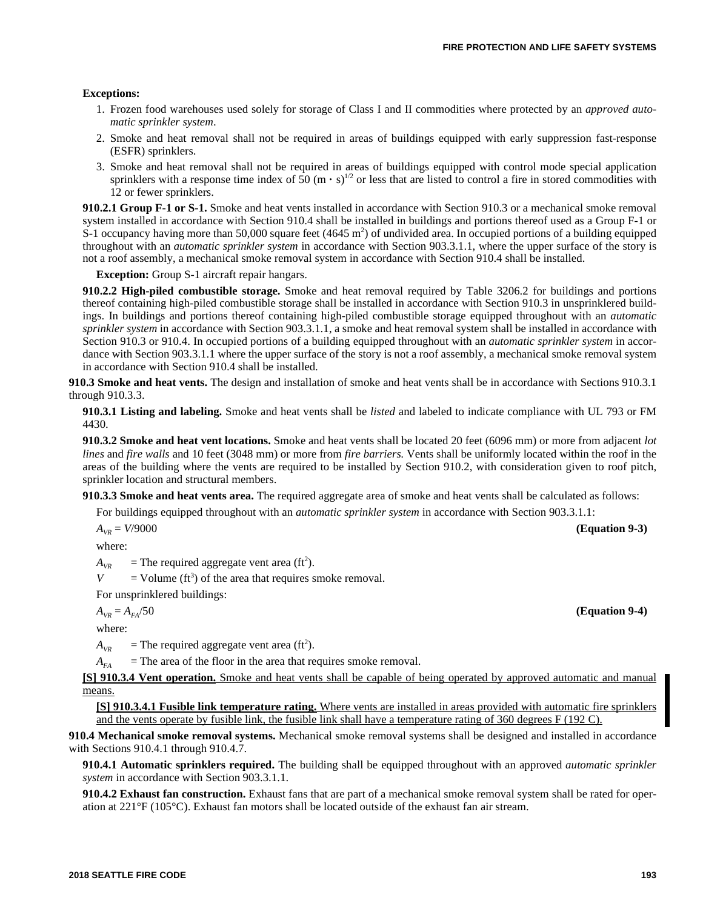### **Exceptions:**

- 1. Frozen food warehouses used solely for storage of Class I and II commodities where protected by an *approved automatic sprinkler system*.
- 2. Smoke and heat removal shall not be required in areas of buildings equipped with early suppression fast-response (ESFR) sprinklers.
- 3. Smoke and heat removal shall not be required in areas of buildings equipped with control mode special application sprinklers with a response time index of 50  $(m \cdot s)^{1/2}$  or less that are listed to control a fire in stored commodities with 12 or fewer sprinklers.

**910.2.1 Group F-1 or S-1.** Smoke and heat vents installed in accordance with Section 910.3 or a mechanical smoke removal system installed in accordance with Section 910.4 shall be installed in buildings and portions thereof used as a Group F-1 or S-1 occupancy having more than 50,000 square feet (4645 m<sup>2</sup>) of undivided area. In occupied portions of a building equipped throughout with an *automatic sprinkler system* in accordance with Section 903.3.1.1, where the upper surface of the story is not a roof assembly, a mechanical smoke removal system in accordance with Section 910.4 shall be installed.

**Exception:** Group S-1 aircraft repair hangars.

**910.2.2 High-piled combustible storage.** Smoke and heat removal required by Table 3206.2 for buildings and portions thereof containing high-piled combustible storage shall be installed in accordance with Section 910.3 in unsprinklered buildings. In buildings and portions thereof containing high-piled combustible storage equipped throughout with an *automatic sprinkler system* in accordance with Section 903.3.1.1, a smoke and heat removal system shall be installed in accordance with Section 910.3 or 910.4. In occupied portions of a building equipped throughout with an *automatic sprinkler system* in accordance with Section 903.3.1.1 where the upper surface of the story is not a roof assembly, a mechanical smoke removal system in accordance with Section 910.4 shall be installed.

**910.3 Smoke and heat vents.** The design and installation of smoke and heat vents shall be in accordance with Sections 910.3.1 through 910.3.3.

**910.3.1 Listing and labeling.** Smoke and heat vents shall be *listed* and labeled to indicate compliance with UL 793 or FM 4430.

**910.3.2 Smoke and heat vent locations.** Smoke and heat vents shall be located 20 feet (6096 mm) or more from adjacent *lot lines* and *fire walls* and 10 feet (3048 mm) or more from *fire barriers.* Vents shall be uniformly located within the roof in the areas of the building where the vents are required to be installed by Section 910.2, with consideration given to roof pitch, sprinkler location and structural members.

**910.3.3 Smoke and heat vents area.** The required aggregate area of smoke and heat vents shall be calculated as follows:

For buildings equipped throughout with an *automatic sprinkler system* in accordance with Section 903.3.1.1:

 $A_{VR} = V/9000$  **(Equation 9-3)** 

where:

 $A_{VR}$  = The required aggregate vent area (ft<sup>2</sup>).

 $V =$  Volume (ft<sup>3</sup>) of the area that requires smoke removal.

For unsprinklered buildings:

where:

 $A_{VR}$  = The required aggregate vent area (ft<sup>2</sup>).

 $A_{FA}$  = The area of the floor in the area that requires smoke removal.

**[S] 910.3.4 Vent operation.** Smoke and heat vents shall be capable of being operated by approved automatic and manual means.

**[S] 910.3.4.1 Fusible link temperature rating.** Where vents are installed in areas provided with automatic fire sprinklers and the vents operate by fusible link, the fusible link shall have a temperature rating of 360 degrees F (192 C).

**910.4 Mechanical smoke removal systems.** Mechanical smoke removal systems shall be designed and installed in accordance with Sections 910.4.1 through 910.4.7.

**910.4.1 Automatic sprinklers required.** The building shall be equipped throughout with an approved *automatic sprinkler system* in accordance with Section 903.3.1.1.

**910.4.2 Exhaust fan construction.** Exhaust fans that are part of a mechanical smoke removal system shall be rated for operation at 221°F (105°C). Exhaust fan motors shall be located outside of the exhaust fan air stream.

 $A_{VR} = A_{FA}/50$  (Equation 9-4)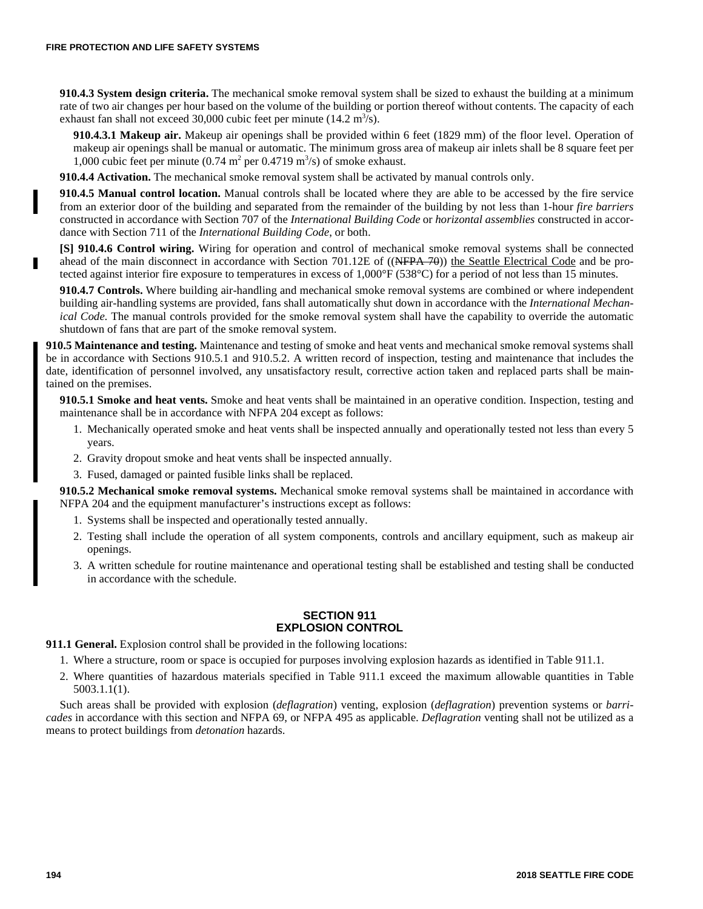**910.4.3 System design criteria.** The mechanical smoke removal system shall be sized to exhaust the building at a minimum rate of two air changes per hour based on the volume of the building or portion thereof without contents. The capacity of each exhaust fan shall not exceed 30,000 cubic feet per minute  $(14.2 \text{ m}^3/\text{s})$ .

**910.4.3.1 Makeup air.** Makeup air openings shall be provided within 6 feet (1829 mm) of the floor level. Operation of makeup air openings shall be manual or automatic. The minimum gross area of makeup air inlets shall be 8 square feet per 1,000 cubic feet per minute  $(0.74 \text{ m}^2 \text{ per } 0.4719 \text{ m}^3/\text{s})$  of smoke exhaust.

**910.4.4 Activation.** The mechanical smoke removal system shall be activated by manual controls only.

**910.4.5 Manual control location.** Manual controls shall be located where they are able to be accessed by the fire service from an exterior door of the building and separated from the remainder of the building by not less than 1-hour *fire barriers* constructed in accordance with Section 707 of the *International Building Code* or *horizontal assemblies* constructed in accordance with Section 711 of the *International Building Code*, or both.

**[S] 910.4.6 Control wiring.** Wiring for operation and control of mechanical smoke removal systems shall be connected ahead of the main disconnect in accordance with Section 701.12E of ((NFPA 70)) the Seattle Electrical Code and be protected against interior fire exposure to temperatures in excess of 1,000°F (538°C) for a period of not less than 15 minutes.

**910.4.7 Controls.** Where building air-handling and mechanical smoke removal systems are combined or where independent building air-handling systems are provided, fans shall automatically shut down in accordance with the *International Mechanical Code*. The manual controls provided for the smoke removal system shall have the capability to override the automatic shutdown of fans that are part of the smoke removal system.

**910.5 Maintenance and testing.** Maintenance and testing of smoke and heat vents and mechanical smoke removal systems shall be in accordance with Sections 910.5.1 and 910.5.2. A written record of inspection, testing and maintenance that includes the date, identification of personnel involved, any unsatisfactory result, corrective action taken and replaced parts shall be maintained on the premises.

**910.5.1 Smoke and heat vents.** Smoke and heat vents shall be maintained in an operative condition. Inspection, testing and maintenance shall be in accordance with NFPA 204 except as follows:

- 1. Mechanically operated smoke and heat vents shall be inspected annually and operationally tested not less than every 5 years.
- 2. Gravity dropout smoke and heat vents shall be inspected annually.
- 3. Fused, damaged or painted fusible links shall be replaced.

**910.5.2 Mechanical smoke removal systems.** Mechanical smoke removal systems shall be maintained in accordance with NFPA 204 and the equipment manufacturer's instructions except as follows:

- 1. Systems shall be inspected and operationally tested annually.
- 2. Testing shall include the operation of all system components, controls and ancillary equipment, such as makeup air openings.
- 3. A written schedule for routine maintenance and operational testing shall be established and testing shall be conducted in accordance with the schedule.

# **SECTION 911 EXPLOSION CONTROL**

**911.1 General.** Explosion control shall be provided in the following locations:

- 1. Where a structure, room or space is occupied for purposes involving explosion hazards as identified in Table 911.1.
- 2. Where quantities of hazardous materials specified in Table 911.1 exceed the maximum allowable quantities in Table 5003.1.1(1).

Such areas shall be provided with explosion (*deflagration*) venting, explosion (*deflagration*) prevention systems or *barricades* in accordance with this section and NFPA 69, or NFPA 495 as applicable. *Deflagration* venting shall not be utilized as a means to protect buildings from *detonation* hazards.

г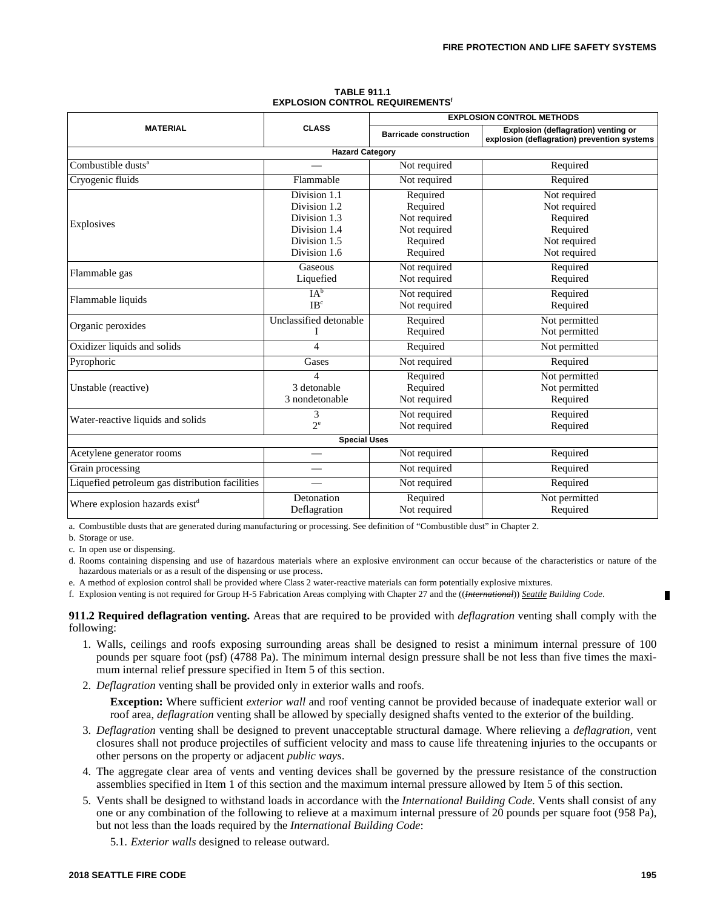|                                                           |                                                                                              | <b>EXPLOSION CONTROL METHODS</b>                                             |                                                                                      |  |  |
|-----------------------------------------------------------|----------------------------------------------------------------------------------------------|------------------------------------------------------------------------------|--------------------------------------------------------------------------------------|--|--|
| <b>MATERIAL</b>                                           | <b>CLASS</b>                                                                                 | <b>Barricade construction</b>                                                | Explosion (deflagration) venting or<br>explosion (deflagration) prevention systems   |  |  |
|                                                           | <b>Hazard Category</b>                                                                       |                                                                              |                                                                                      |  |  |
| Combustible dusts <sup>a</sup>                            |                                                                                              | Not required                                                                 | Required                                                                             |  |  |
| Cryogenic fluids                                          | Flammable                                                                                    | Not required                                                                 | Required                                                                             |  |  |
| Explosives                                                | Division 1.1<br>Division 1.2<br>Division 1.3<br>Division 1.4<br>Division 1.5<br>Division 1.6 | Required<br>Required<br>Not required<br>Not required<br>Required<br>Required | Not required<br>Not required<br>Required<br>Required<br>Not required<br>Not required |  |  |
| Flammable gas                                             | Gaseous<br>Liquefied                                                                         | Not required<br>Not required                                                 | Required<br>Required                                                                 |  |  |
| Flammable liquids                                         | IA <sup>b</sup><br>$\mathbf{IR}^c$                                                           | Not required<br>Not required                                                 | Required<br>Required                                                                 |  |  |
| Organic peroxides                                         | Unclassified detonable<br>I                                                                  | Required<br>Required                                                         | Not permitted<br>Not permitted                                                       |  |  |
| Oxidizer liquids and solids<br>$\overline{\mathcal{A}}$   |                                                                                              | Required                                                                     | Not permitted                                                                        |  |  |
| Pyrophoric                                                | Gases                                                                                        | Not required                                                                 | Required                                                                             |  |  |
| 4<br>3 detonable<br>Unstable (reactive)<br>3 nondetonable |                                                                                              | Required<br>Required<br>Not required                                         | Not permitted<br>Not permitted<br>Required                                           |  |  |
| 3<br>Water-reactive liquids and solids<br>$2^e$           |                                                                                              | Not required<br>Not required                                                 | Required<br>Required                                                                 |  |  |
|                                                           | <b>Special Uses</b>                                                                          |                                                                              |                                                                                      |  |  |
| Acetylene generator rooms                                 | $\overline{\phantom{0}}$                                                                     | Not required                                                                 | Required                                                                             |  |  |
| Grain processing                                          |                                                                                              | Not required                                                                 | Required                                                                             |  |  |
| Liquefied petroleum gas distribution facilities           |                                                                                              | Not required                                                                 | Required                                                                             |  |  |
| Where explosion hazards exist <sup>d</sup>                | Detonation<br>Deflagration                                                                   | Required<br>Not required                                                     | Not permitted<br>Required                                                            |  |  |

#### **TABLE 911.1 EXPLOSION CONTROL REQUIREMENTS<sup>6</sup>**

a. Combustible dusts that are generated during manufacturing or processing. See definition of "Combustible dust" in Chapter 2.

b. Storage or use.

c. In open use or dispensing.

d. Rooms containing dispensing and use of hazardous materials where an explosive environment can occur because of the characteristics or nature of the hazardous materials or as a result of the dispensing or use process.

e. A method of explosion control shall be provided where Class 2 water-reactive materials can form potentially explosive mixtures.

f. Explosion venting is not required for Group H-5 Fabrication Areas complying with Chapter 27 and the ((*International*)) *Seattle Building Code*.

**911.2 Required deflagration venting.** Areas that are required to be provided with *deflagration* venting shall comply with the following:

- 1. Walls, ceilings and roofs exposing surrounding areas shall be designed to resist a minimum internal pressure of 100 pounds per square foot (psf) (4788 Pa). The minimum internal design pressure shall be not less than five times the maximum internal relief pressure specified in Item 5 of this section.
- 2. *Deflagration* venting shall be provided only in exterior walls and roofs.

**Exception:** Where sufficient *exterior wall* and roof venting cannot be provided because of inadequate exterior wall or roof area, *deflagration* venting shall be allowed by specially designed shafts vented to the exterior of the building.

- 3. *Deflagration* venting shall be designed to prevent unacceptable structural damage. Where relieving a *deflagration*, vent closures shall not produce projectiles of sufficient velocity and mass to cause life threatening injuries to the occupants or other persons on the property or adjacent *public ways*.
- 4. The aggregate clear area of vents and venting devices shall be governed by the pressure resistance of the construction assemblies specified in Item 1 of this section and the maximum internal pressure allowed by Item 5 of this section.
- 5. Vents shall be designed to withstand loads in accordance with the *International Building Code*. Vents shall consist of any one or any combination of the following to relieve at a maximum internal pressure of 20 pounds per square foot (958 Pa), but not less than the loads required by the *International Building Code*:

5.1. *Exterior walls* designed to release outward.

П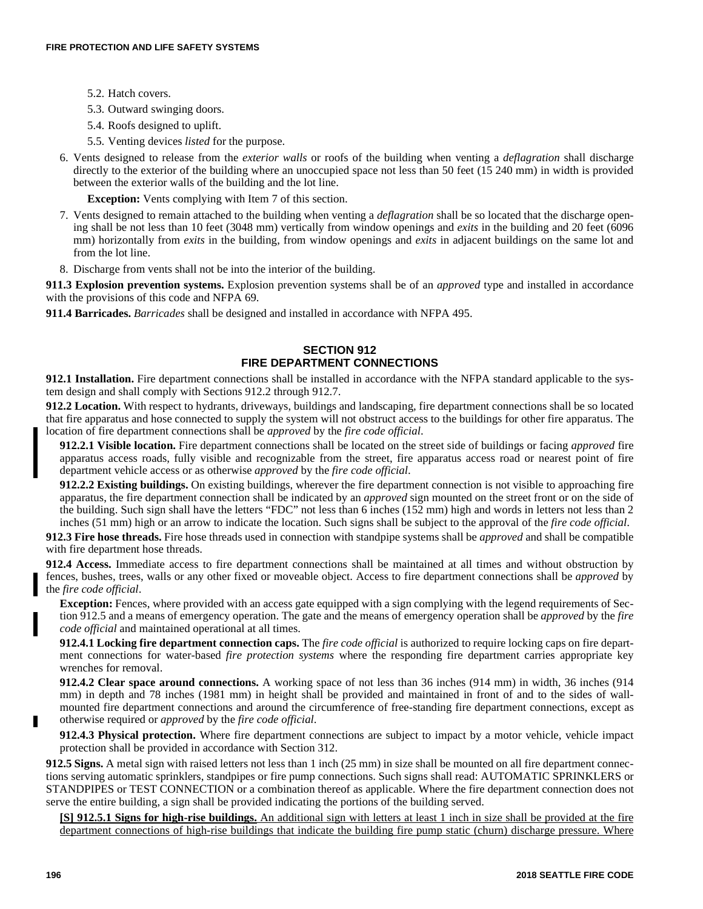- 5.2. Hatch covers.
- 5.3. Outward swinging doors.
- 5.4. Roofs designed to uplift.
- 5.5. Venting devices *listed* for the purpose.
- 6. Vents designed to release from the *exterior walls* or roofs of the building when venting a *deflagration* shall discharge directly to the exterior of the building where an unoccupied space not less than 50 feet (15 240 mm) in width is provided between the exterior walls of the building and the lot line.

**Exception:** Vents complying with Item 7 of this section.

- 7. Vents designed to remain attached to the building when venting a *deflagration* shall be so located that the discharge opening shall be not less than 10 feet (3048 mm) vertically from window openings and *exits* in the building and 20 feet (6096 mm) horizontally from *exits* in the building, from window openings and *exits* in adjacent buildings on the same lot and from the lot line.
- 8. Discharge from vents shall not be into the interior of the building.

**911.3 Explosion prevention systems.** Explosion prevention systems shall be of an *approved* type and installed in accordance with the provisions of this code and NFPA 69.

**911.4 Barricades.** *Barricades* shall be designed and installed in accordance with NFPA 495.

# **SECTION 912 FIRE DEPARTMENT CONNECTIONS**

**912.1 Installation.** Fire department connections shall be installed in accordance with the NFPA standard applicable to the system design and shall comply with Sections 912.2 through 912.7.

**912.2 Location.** With respect to hydrants, driveways, buildings and landscaping, fire department connections shall be so located that fire apparatus and hose connected to supply the system will not obstruct access to the buildings for other fire apparatus. The location of fire department connections shall be *approved* by the *fire code official*.

**912.2.1 Visible location.** Fire department connections shall be located on the street side of buildings or facing *approved* fire apparatus access roads, fully visible and recognizable from the street, fire apparatus access road or nearest point of fire department vehicle access or as otherwise *approved* by the *fire code official*.

**912.2.2 Existing buildings.** On existing buildings, wherever the fire department connection is not visible to approaching fire apparatus, the fire department connection shall be indicated by an *approved* sign mounted on the street front or on the side of the building. Such sign shall have the letters "FDC" not less than 6 inches (152 mm) high and words in letters not less than 2 inches (51 mm) high or an arrow to indicate the location. Such signs shall be subject to the approval of the *fire code official*.

**912.3 Fire hose threads.** Fire hose threads used in connection with standpipe systems shall be *approved* and shall be compatible with fire department hose threads.

**912.4 Access.** Immediate access to fire department connections shall be maintained at all times and without obstruction by fences, bushes, trees, walls or any other fixed or moveable object. Access to fire department connections shall be *approved* by the *fire code official*.

**Exception:** Fences, where provided with an access gate equipped with a sign complying with the legend requirements of Section 912.5 and a means of emergency operation. The gate and the means of emergency operation shall be *approved* by the *fire code official* and maintained operational at all times.

**912.4.1 Locking fire department connection caps.** The *fire code official* is authorized to require locking caps on fire department connections for water-based *fire protection systems* where the responding fire department carries appropriate key wrenches for removal.

**912.4.2 Clear space around connections.** A working space of not less than 36 inches (914 mm) in width, 36 inches (914 mm) in depth and 78 inches (1981 mm) in height shall be provided and maintained in front of and to the sides of wallmounted fire department connections and around the circumference of free-standing fire department connections, except as otherwise required or *approved* by the *fire code official*.

**912.4.3 Physical protection.** Where fire department connections are subject to impact by a motor vehicle, vehicle impact protection shall be provided in accordance with Section 312.

**912.5 Signs.** A metal sign with raised letters not less than 1 inch (25 mm) in size shall be mounted on all fire department connections serving automatic sprinklers, standpipes or fire pump connections. Such signs shall read: AUTOMATIC SPRINKLERS or STANDPIPES or TEST CONNECTION or a combination thereof as applicable. Where the fire department connection does not serve the entire building, a sign shall be provided indicating the portions of the building served.

**[S] 912.5.1 Signs for high-rise buildings.** An additional sign with letters at least 1 inch in size shall be provided at the fire department connections of high-rise buildings that indicate the building fire pump static (churn) discharge pressure. Where

п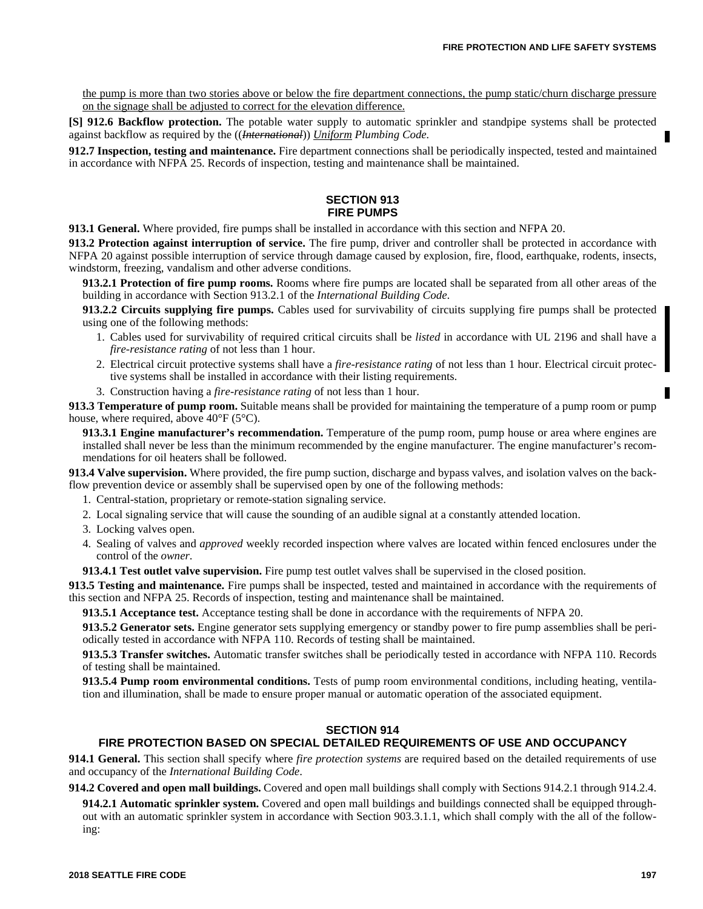the pump is more than two stories above or below the fire department connections, the pump static/churn discharge pressure on the signage shall be adjusted to correct for the elevation difference.

**[S] 912.6 Backflow protection.** The potable water supply to automatic sprinkler and standpipe systems shall be protected against backflow as required by the ((*International*)) *Uniform Plumbing Code.*

**912.7 Inspection, testing and maintenance.** Fire department connections shall be periodically inspected, tested and maintained in accordance with NFPA 25. Records of inspection, testing and maintenance shall be maintained.

### **SECTION 913 FIRE PUMPS**

**913.1 General.** Where provided, fire pumps shall be installed in accordance with this section and NFPA 20.

**913.2 Protection against interruption of service.** The fire pump, driver and controller shall be protected in accordance with NFPA 20 against possible interruption of service through damage caused by explosion, fire, flood, earthquake, rodents, insects, windstorm, freezing, vandalism and other adverse conditions.

**913.2.1 Protection of fire pump rooms.** Rooms where fire pumps are located shall be separated from all other areas of the building in accordance with Section 913.2.1 of the *International Building Code*.

**913.2.2 Circuits supplying fire pumps.** Cables used for survivability of circuits supplying fire pumps shall be protected using one of the following methods:

- 1. Cables used for survivability of required critical circuits shall be *listed* in accordance with UL 2196 and shall have a *fire-resistance rating* of not less than 1 hour.
- 2. Electrical circuit protective systems shall have a *fire-resistance rating* of not less than 1 hour. Electrical circuit protective systems shall be installed in accordance with their listing requirements.
- 3. Construction having a *fire-resistance rating* of not less than 1 hour.

**913.3 Temperature of pump room.** Suitable means shall be provided for maintaining the temperature of a pump room or pump house, where required, above  $40^{\circ}$ F (5<sup>o</sup>C).

**913.3.1 Engine manufacturer's recommendation.** Temperature of the pump room, pump house or area where engines are installed shall never be less than the minimum recommended by the engine manufacturer. The engine manufacturer's recommendations for oil heaters shall be followed.

**913.4 Valve supervision.** Where provided, the fire pump suction, discharge and bypass valves, and isolation valves on the backflow prevention device or assembly shall be supervised open by one of the following methods:

- 1. Central-station, proprietary or remote-station signaling service.
- 2. Local signaling service that will cause the sounding of an audible signal at a constantly attended location.
- 3. Locking valves open.
- 4. Sealing of valves and *approved* weekly recorded inspection where valves are located within fenced enclosures under the control of the *owner*.

**913.4.1 Test outlet valve supervision.** Fire pump test outlet valves shall be supervised in the closed position.

**913.5 Testing and maintenance.** Fire pumps shall be inspected, tested and maintained in accordance with the requirements of this section and NFPA 25. Records of inspection, testing and maintenance shall be maintained.

**913.5.1 Acceptance test.** Acceptance testing shall be done in accordance with the requirements of NFPA 20.

**913.5.2 Generator sets.** Engine generator sets supplying emergency or standby power to fire pump assemblies shall be periodically tested in accordance with NFPA 110. Records of testing shall be maintained.

**913.5.3 Transfer switches.** Automatic transfer switches shall be periodically tested in accordance with NFPA 110. Records of testing shall be maintained.

**913.5.4 Pump room environmental conditions.** Tests of pump room environmental conditions, including heating, ventilation and illumination, shall be made to ensure proper manual or automatic operation of the associated equipment.

# **SECTION 914**

### **FIRE PROTECTION BASED ON SPECIAL DETAILED REQUIREMENTS OF USE AND OCCUPANCY**

**914.1 General.** This section shall specify where *fire protection systems* are required based on the detailed requirements of use and occupancy of the *International Building Code*.

**914.2 Covered and open mall buildings.** Covered and open mall buildings shall comply with Sections 914.2.1 through 914.2.4.

**914.2.1 Automatic sprinkler system.** Covered and open mall buildings and buildings connected shall be equipped throughout with an automatic sprinkler system in accordance with Section 903.3.1.1, which shall comply with the all of the following: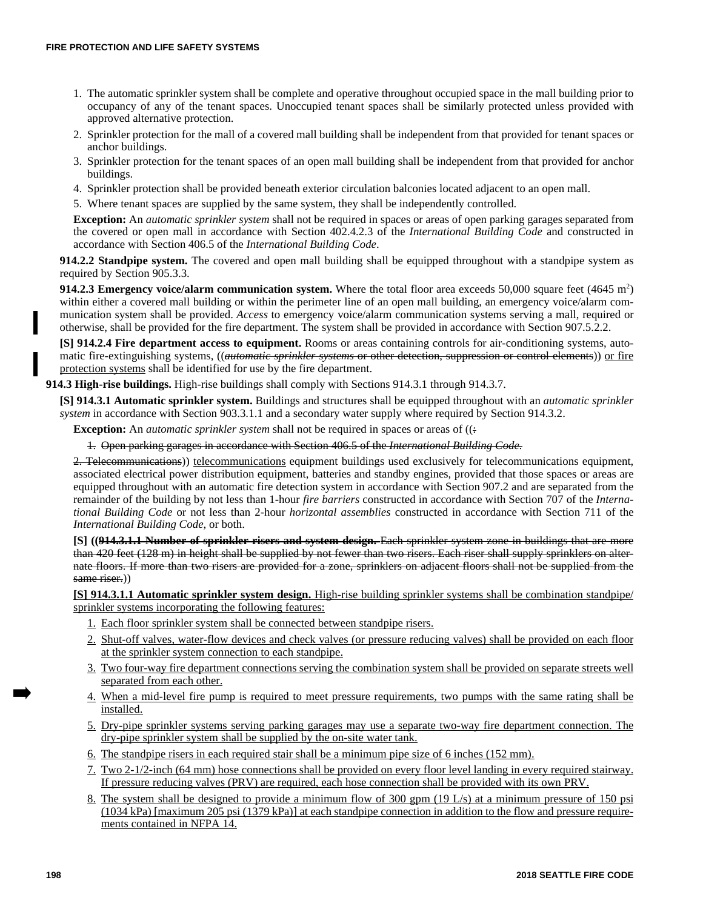- 1. The automatic sprinkler system shall be complete and operative throughout occupied space in the mall building prior to occupancy of any of the tenant spaces. Unoccupied tenant spaces shall be similarly protected unless provided with approved alternative protection.
- 2. Sprinkler protection for the mall of a covered mall building shall be independent from that provided for tenant spaces or anchor buildings.
- 3. Sprinkler protection for the tenant spaces of an open mall building shall be independent from that provided for anchor buildings.
- 4. Sprinkler protection shall be provided beneath exterior circulation balconies located adjacent to an open mall.
- 5. Where tenant spaces are supplied by the same system, they shall be independently controlled.

**Exception:** An *automatic sprinkler system* shall not be required in spaces or areas of open parking garages separated from the covered or open mall in accordance with Section 402.4.2.3 of the *International Building Code* and constructed in accordance with Section 406.5 of the *International Building Code*.

**914.2.2 Standpipe system.** The covered and open mall building shall be equipped throughout with a standpipe system as required by Section 905.3.3.

914.2.3 Emergency voice/alarm communication system. Where the total floor area exceeds 50,000 square feet (4645 m<sup>2</sup>) within either a covered mall building or within the perimeter line of an open mall building, an emergency voice/alarm communication system shall be provided. *Access* to emergency voice/alarm communication systems serving a mall, required or otherwise, shall be provided for the fire department. The system shall be provided in accordance with Section 907.5.2.2.

**[S] 914.2.4 Fire department access to equipment.** Rooms or areas containing controls for air-conditioning systems, automatic fire-extinguishing systems, ((*automatic sprinkler systems* or other detection, suppression or control elements)) or fire protection systems shall be identified for use by the fire department.

**914.3 High-rise buildings.** High-rise buildings shall comply with Sections 914.3.1 through 914.3.7.

**[S] 914.3.1 Automatic sprinkler system.** Buildings and structures shall be equipped throughout with an *automatic sprinkler system* in accordance with Section 903.3.1.1 and a secondary water supply where required by Section 914.3.2.

**Exception:** An *automatic sprinkler system* shall not be required in spaces or areas of ( $\left($ .)

1. Open parking garages in accordance with Section 406.5 of the *International Building Code.*

2. Telecommunications)) telecommunications equipment buildings used exclusively for telecommunications equipment, associated electrical power distribution equipment, batteries and standby engines, provided that those spaces or areas are equipped throughout with an automatic fire detection system in accordance with Section 907.2 and are separated from the remainder of the building by not less than 1-hour *fire barriers* constructed in accordance with Section 707 of the *International Building Code* or not less than 2-hour *horizontal assemblies* constructed in accordance with Section 711 of the *International Building Code*, or both.

**[S] ((914.3.1.1 Number of sprinkler risers and system design.** Each sprinkler system zone in buildings that are more than 420 feet (128 m) in height shall be supplied by not fewer than two risers. Each riser shall supply sprinklers on alternate floors. If more than two risers are provided for a zone, sprinklers on adjacent floors shall not be supplied from the same riser.)

**[S] 914.3.1.1 Automatic sprinkler system design.** High-rise building sprinkler systems shall be combination standpipe/ sprinkler systems incorporating the following features:

- 1. Each floor sprinkler system shall be connected between standpipe risers.
- 2. Shut-off valves, water-flow devices and check valves (or pressure reducing valves) shall be provided on each floor at the sprinkler system connection to each standpipe.
- 3. Two four-way fire department connections serving the combination system shall be provided on separate streets well separated from each other.
- 4. When a mid-level fire pump is required to meet pressure requirements, two pumps with the same rating shall be installed.
- 5. Dry-pipe sprinkler systems serving parking garages may use a separate two-way fire department connection. The dry-pipe sprinkler system shall be supplied by the on-site water tank.
- 6. The standpipe risers in each required stair shall be a minimum pipe size of 6 inches (152 mm).
- 7. Two 2-1/2-inch (64 mm) hose connections shall be provided on every floor level landing in every required stairway. If pressure reducing valves (PRV) are required, each hose connection shall be provided with its own PRV.
- 8. The system shall be designed to provide a minimum flow of 300 gpm (19 L/s) at a minimum pressure of 150 psi (1034 kPa) [maximum 205 psi (1379 kPa)] at each standpipe connection in addition to the flow and pressure requirements contained in NFPA 14.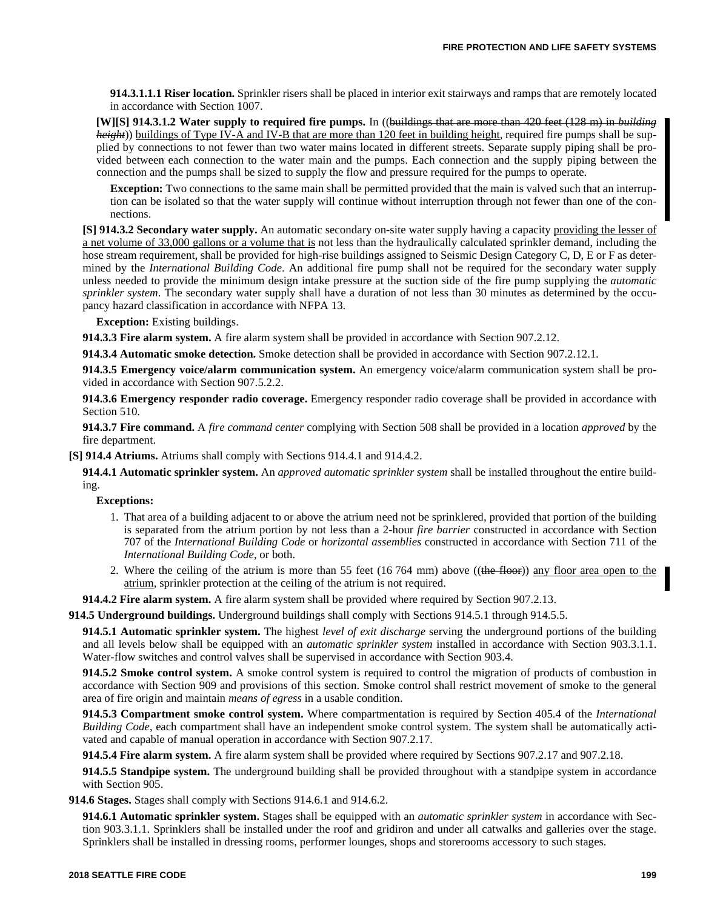**914.3.1.1.1 Riser location.** Sprinkler risers shall be placed in interior exit stairways and ramps that are remotely located in accordance with Section 1007.

**[W][S] 914.3.1.2 Water supply to required fire pumps.** In ((buildings that are more than 420 feet (128 m) in *building height*)) buildings of Type IV-A and IV-B that are more than 120 feet in building height, required fire pumps shall be supplied by connections to not fewer than two water mains located in different streets. Separate supply piping shall be provided between each connection to the water main and the pumps. Each connection and the supply piping between the connection and the pumps shall be sized to supply the flow and pressure required for the pumps to operate.

**Exception:** Two connections to the same main shall be permitted provided that the main is valved such that an interruption can be isolated so that the water supply will continue without interruption through not fewer than one of the connections.

**[S] 914.3.2 Secondary water supply.** An automatic secondary on-site water supply having a capacity providing the lesser of a net volume of 33,000 gallons or a volume that is not less than the hydraulically calculated sprinkler demand, including the hose stream requirement, shall be provided for high-rise buildings assigned to Seismic Design Category C, D, E or F as determined by the *International Building Code*. An additional fire pump shall not be required for the secondary water supply unless needed to provide the minimum design intake pressure at the suction side of the fire pump supplying the *automatic sprinkler system*. The secondary water supply shall have a duration of not less than 30 minutes as determined by the occupancy hazard classification in accordance with NFPA 13.

**Exception:** Existing buildings.

**914.3.3 Fire alarm system.** A fire alarm system shall be provided in accordance with Section 907.2.12.

**914.3.4 Automatic smoke detection.** Smoke detection shall be provided in accordance with Section 907.2.12.1.

**914.3.5 Emergency voice/alarm communication system.** An emergency voice/alarm communication system shall be provided in accordance with Section 907.5.2.2.

**914.3.6 Emergency responder radio coverage.** Emergency responder radio coverage shall be provided in accordance with Section 510.

**914.3.7 Fire command.** A *fire command center* complying with Section 508 shall be provided in a location *approved* by the fire department.

**[S] 914.4 Atriums.** Atriums shall comply with Sections 914.4.1 and 914.4.2.

**914.4.1 Automatic sprinkler system.** An *approved automatic sprinkler system* shall be installed throughout the entire building.

**Exceptions:**

- 1. That area of a building adjacent to or above the atrium need not be sprinklered, provided that portion of the building is separated from the atrium portion by not less than a 2-hour *fire barrier* constructed in accordance with Section 707 of the *International Building Code* or *horizontal assemblies* constructed in accordance with Section 711 of the *International Building Code*, or both.
- 2. Where the ceiling of the atrium is more than 55 feet  $(16764 \text{ mm})$  above  $((\text{the floor}))$  any floor area open to the atrium, sprinkler protection at the ceiling of the atrium is not required.

**914.4.2 Fire alarm system.** A fire alarm system shall be provided where required by Section 907.2.13.

**914.5 Underground buildings.** Underground buildings shall comply with Sections 914.5.1 through 914.5.5.

**914.5.1 Automatic sprinkler system.** The highest *level of exit discharge* serving the underground portions of the building and all levels below shall be equipped with an *automatic sprinkler system* installed in accordance with Section 903.3.1.1. Water-flow switches and control valves shall be supervised in accordance with Section 903.4.

**914.5.2 Smoke control system.** A smoke control system is required to control the migration of products of combustion in accordance with Section 909 and provisions of this section. Smoke control shall restrict movement of smoke to the general area of fire origin and maintain *means of egress* in a usable condition.

**914.5.3 Compartment smoke control system.** Where compartmentation is required by Section 405.4 of the *International Building Code*, each compartment shall have an independent smoke control system. The system shall be automatically activated and capable of manual operation in accordance with Section 907.2.17.

**914.5.4 Fire alarm system.** A fire alarm system shall be provided where required by Sections 907.2.17 and 907.2.18.

**914.5.5 Standpipe system.** The underground building shall be provided throughout with a standpipe system in accordance with Section 905.

**914.6 Stages.** Stages shall comply with Sections 914.6.1 and 914.6.2.

**914.6.1 Automatic sprinkler system.** Stages shall be equipped with an *automatic sprinkler system* in accordance with Section 903.3.1.1. Sprinklers shall be installed under the roof and gridiron and under all catwalks and galleries over the stage. Sprinklers shall be installed in dressing rooms, performer lounges, shops and storerooms accessory to such stages.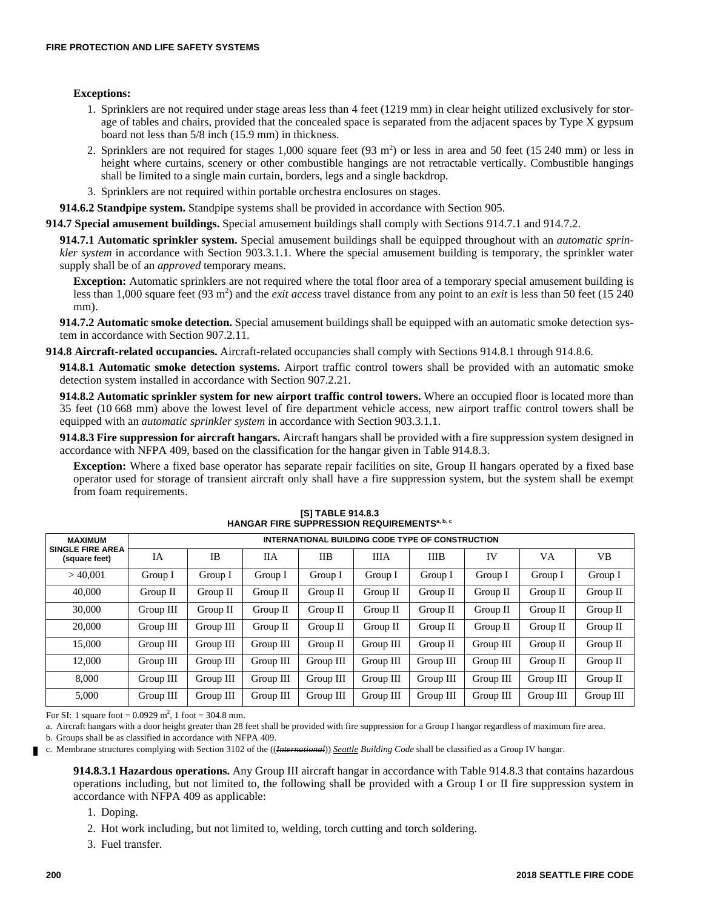### **Exceptions:**

- 1. Sprinklers are not required under stage areas less than 4 feet (1219 mm) in clear height utilized exclusively for storage of tables and chairs, provided that the concealed space is separated from the adjacent spaces by Type X gypsum board not less than 5/8 inch (15.9 mm) in thickness.
- 2. Sprinklers are not required for stages 1,000 square feet  $(93 \text{ m}^2)$  or less in area and 50 feet  $(15 \text{ 240 mm})$  or less in height where curtains, scenery or other combustible hangings are not retractable vertically. Combustible hangings shall be limited to a single main curtain, borders, legs and a single backdrop.
- 3. Sprinklers are not required within portable orchestra enclosures on stages.

**914.6.2 Standpipe system.** Standpipe systems shall be provided in accordance with Section 905.

**914.7 Special amusement buildings.** Special amusement buildings shall comply with Sections 914.7.1 and 914.7.2.

**914.7.1 Automatic sprinkler system.** Special amusement buildings shall be equipped throughout with an *automatic sprinkler system* in accordance with Section 903.3.1.1. Where the special amusement building is temporary, the sprinkler water supply shall be of an *approved* temporary means.

**Exception:** Automatic sprinklers are not required where the total floor area of a temporary special amusement building is less than 1,000 square feet (93 m<sup>2</sup>) and the *exit access* travel distance from any point to an *exit* is less than 50 feet (15 240 mm).

**914.7.2 Automatic smoke detection.** Special amusement buildings shall be equipped with an automatic smoke detection system in accordance with Section 907.2.11.

**914.8 Aircraft-related occupancies.** Aircraft-related occupancies shall comply with Sections 914.8.1 through 914.8.6.

**914.8.1 Automatic smoke detection systems.** Airport traffic control towers shall be provided with an automatic smoke detection system installed in accordance with Section 907.2.21.

**914.8.2 Automatic sprinkler system for new airport traffic control towers.** Where an occupied floor is located more than 35 feet (10 668 mm) above the lowest level of fire department vehicle access, new airport traffic control towers shall be equipped with an *automatic sprinkler system* in accordance with Section 903.3.1.1.

**914.8.3 Fire suppression for aircraft hangars.** Aircraft hangars shall be provided with a fire suppression system designed in accordance with NFPA 409, based on the classification for the hangar given in Table 914.8.3.

**Exception:** Where a fixed base operator has separate repair facilities on site, Group II hangars operated by a fixed base operator used for storage of transient aircraft only shall have a fire suppression system, but the system shall be exempt from foam requirements.

| <b>MAXIMUM</b>                           |           | INTERNATIONAL BUILDING CODE TYPE OF CONSTRUCTION |            |            |             |             |           |           |           |
|------------------------------------------|-----------|--------------------------------------------------|------------|------------|-------------|-------------|-----------|-----------|-----------|
| <b>SINGLE FIRE AREA</b><br>(square feet) | IA        | <b>IB</b>                                        | ПA         | <b>IIB</b> | <b>IIIA</b> | <b>IIIB</b> | IV        | VA        | VB.       |
| >40.001                                  | Group I   | Group 1                                          | Group 1    | Group 1    | Group 1     | Group 1     | Group I   | Group 1   | Group I   |
| 40,000                                   | Group II  | Group II                                         | Group II   | Group II   | Group II    | Group II    | Group II  | Group II  | Group II  |
| 30,000                                   | Group III | Group II                                         | Group $II$ | Group II   | Group II    | Group II    | Group II  | Group II  | Group II  |
| 20,000                                   | Group III | Group III                                        | Group II   | Group II   | Group II    | Group II    | Group II  | Group II  | Group II  |
| 15,000                                   | Group III | Group III                                        | Group III  | Group II   | Group III   | Group II    | Group III | Group II  | Group II  |
| 12,000                                   | Group III | Group III                                        | Group III  | Group III  | Group III   | Group III   | Group III | Group II  | Group II  |
| 8,000                                    | Group III | Group III                                        | Group III  | Group III  | Group III   | Group III   | Group III | Group III | Group II  |
| 5,000                                    | Group III | Group III                                        | Group III  | Group III  | Group III   | Group III   | Group III | Group III | Group III |

| [S] TABLE 914.8.3                                  |
|----------------------------------------------------|
| <b>HANGAR FIRE SUPPRESSION REQUIREMENTSa, b, c</b> |

For SI: 1 square foot =  $0.0929 \text{ m}^2$ , 1 foot = 304.8 mm.

a. Aircraft hangars with a door height greater than 28 feet shall be provided with fire suppression for a Group I hangar regardless of maximum fire area.

b. Groups shall be as classified in accordance with NFPA 409.

c. Membrane structures complying with Section 3102 of the ((*International*)) *Seattle Building Code* shall be classified as a Group IV hangar.

**914.8.3.1 Hazardous operations.** Any Group III aircraft hangar in accordance with Table 914.8.3 that contains hazardous operations including, but not limited to, the following shall be provided with a Group I or II fire suppression system in accordance with NFPA 409 as applicable:

1. Doping.

2. Hot work including, but not limited to, welding, torch cutting and torch soldering.

3. Fuel transfer.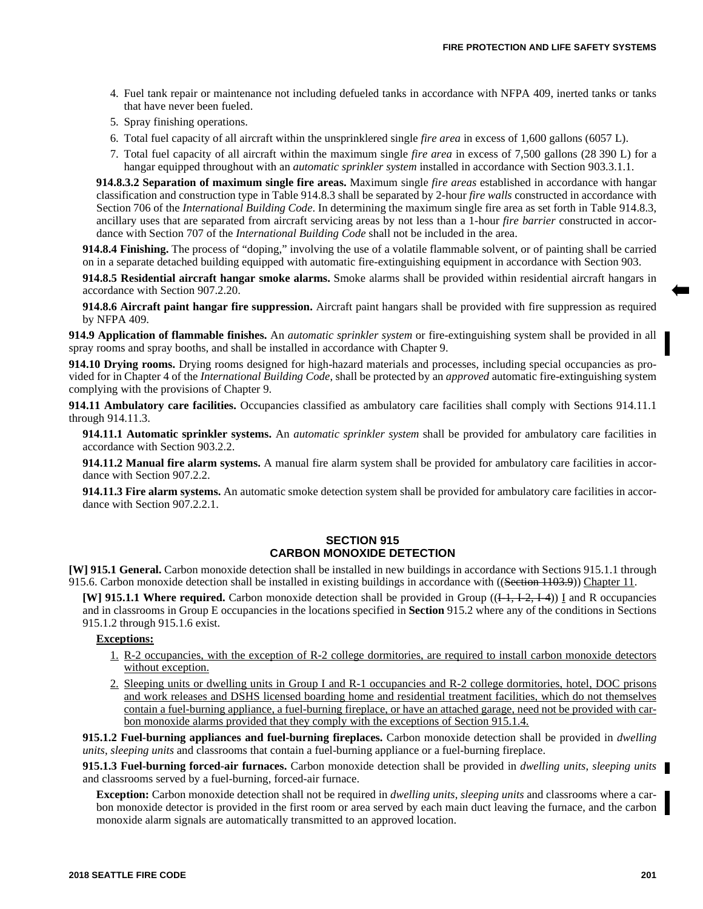- 4. Fuel tank repair or maintenance not including defueled tanks in accordance with NFPA 409, inerted tanks or tanks that have never been fueled.
- 5. Spray finishing operations.
- 6. Total fuel capacity of all aircraft within the unsprinklered single *fire area* in excess of 1,600 gallons (6057 L).
- 7. Total fuel capacity of all aircraft within the maximum single *fire area* in excess of 7,500 gallons (28 390 L) for a hangar equipped throughout with an *automatic sprinkler system* installed in accordance with Section 903.3.1.1.

**914.8.3.2 Separation of maximum single fire areas.** Maximum single *fire areas* established in accordance with hangar classification and construction type in Table 914.8.3 shall be separated by 2-hour *fire walls* constructed in accordance with Section 706 of the *International Building Code*. In determining the maximum single fire area as set forth in Table 914.8.3, ancillary uses that are separated from aircraft servicing areas by not less than a 1-hour *fire barrier* constructed in accordance with Section 707 of the *International Building Code* shall not be included in the area.

**914.8.4 Finishing.** The process of "doping," involving the use of a volatile flammable solvent, or of painting shall be carried on in a separate detached building equipped with automatic fire-extinguishing equipment in accordance with Section 903.

**914.8.5 Residential aircraft hangar smoke alarms.** Smoke alarms shall be provided within residential aircraft hangars in accordance with Section 907.2.20.

**914.8.6 Aircraft paint hangar fire suppression.** Aircraft paint hangars shall be provided with fire suppression as required by NFPA 409.

**914.9 Application of flammable finishes.** An *automatic sprinkler system* or fire-extinguishing system shall be provided in all spray rooms and spray booths, and shall be installed in accordance with Chapter 9.

**914.10 Drying rooms.** Drying rooms designed for high-hazard materials and processes, including special occupancies as provided for in Chapter 4 of the *International Building Code*, shall be protected by an *approved* automatic fire-extinguishing system complying with the provisions of Chapter 9.

**914.11 Ambulatory care facilities.** Occupancies classified as ambulatory care facilities shall comply with Sections 914.11.1 through 914.11.3.

**914.11.1 Automatic sprinkler systems.** An *automatic sprinkler system* shall be provided for ambulatory care facilities in accordance with Section 903.2.2.

**914.11.2 Manual fire alarm systems.** A manual fire alarm system shall be provided for ambulatory care facilities in accordance with Section 907.2.2.

**914.11.3 Fire alarm systems.** An automatic smoke detection system shall be provided for ambulatory care facilities in accordance with Section 907.2.2.1.

### **SECTION 915 CARBON MONOXIDE DETECTION**

**[W] 915.1 General.** Carbon monoxide detection shall be installed in new buildings in accordance with Sections 915.1.1 through 915.6. Carbon monoxide detection shall be installed in existing buildings in accordance with ((Section 1103.9)) Chapter 11.

**[W] 915.1.1 Where required.** Carbon monoxide detection shall be provided in Group  $((1-1, 1-2, 1-4))$  I and R occupancies and in classrooms in Group E occupancies in the locations specified in **Section** 915.2 where any of the conditions in Sections 915.1.2 through 915.1.6 exist.

# **Exceptions:**

- 1. R-2 occupancies, with the exception of R-2 college dormitories, are required to install carbon monoxide detectors without exception.
- 2. Sleeping units or dwelling units in Group I and R-1 occupancies and R-2 college dormitories, hotel, DOC prisons and work releases and DSHS licensed boarding home and residential treatment facilities, which do not themselves contain a fuel-burning appliance, a fuel-burning fireplace, or have an attached garage, need not be provided with carbon monoxide alarms provided that they comply with the exceptions of Section 915.1.4.

**915.1.2 Fuel-burning appliances and fuel-burning fireplaces.** Carbon monoxide detection shall be provided in *dwelling units*, *sleeping units* and classrooms that contain a fuel-burning appliance or a fuel-burning fireplace.

**915.1.3 Fuel-burning forced-air furnaces.** Carbon monoxide detection shall be provided in *dwelling units*, *sleeping units* and classrooms served by a fuel-burning, forced-air furnace.

**Exception:** Carbon monoxide detection shall not be required in *dwelling units*, *sleeping units* and classrooms where a carbon monoxide detector is provided in the first room or area served by each main duct leaving the furnace, and the carbon monoxide alarm signals are automatically transmitted to an approved location.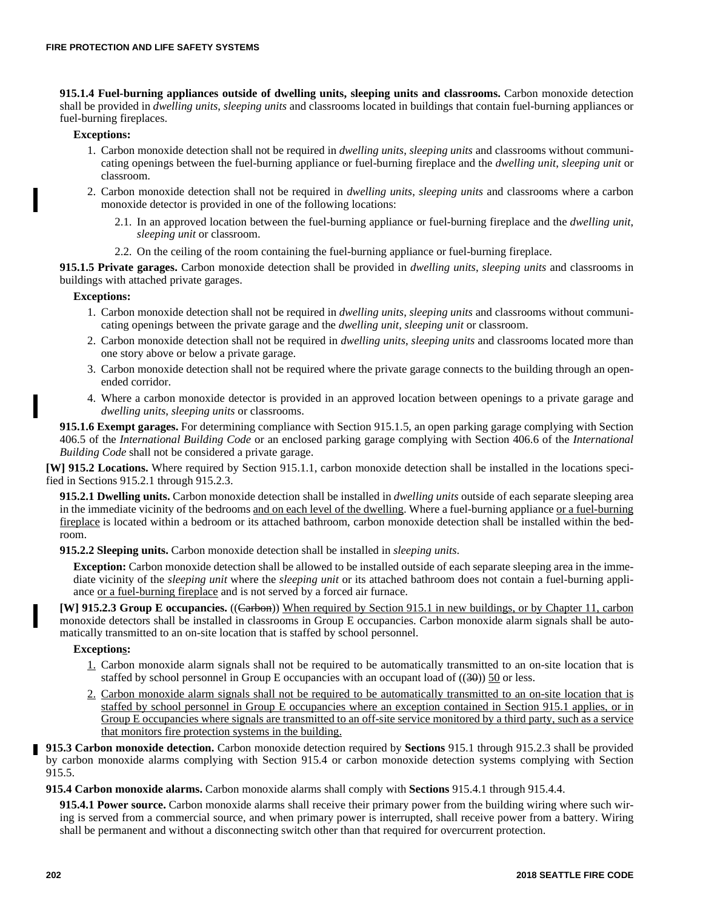**915.1.4 Fuel-burning appliances outside of dwelling units, sleeping units and classrooms.** Carbon monoxide detection shall be provided in *dwelling units*, *sleeping units* and classrooms located in buildings that contain fuel-burning appliances or fuel-burning fireplaces.

### **Exceptions:**

- 1. Carbon monoxide detection shall not be required in *dwelling units*, *sleeping units* and classrooms without communicating openings between the fuel-burning appliance or fuel-burning fireplace and the *dwelling unit*, *sleeping unit* or classroom.
- 2. Carbon monoxide detection shall not be required in *dwelling units*, *sleeping units* and classrooms where a carbon monoxide detector is provided in one of the following locations:
	- 2.1. In an approved location between the fuel-burning appliance or fuel-burning fireplace and the *dwelling unit*, *sleeping unit* or classroom.
	- 2.2. On the ceiling of the room containing the fuel-burning appliance or fuel-burning fireplace.

**915.1.5 Private garages.** Carbon monoxide detection shall be provided in *dwelling units*, *sleeping units* and classrooms in buildings with attached private garages.

### **Exceptions:**

- 1. Carbon monoxide detection shall not be required in *dwelling units*, *sleeping units* and classrooms without communicating openings between the private garage and the *dwelling unit*, *sleeping unit* or classroom.
- 2. Carbon monoxide detection shall not be required in *dwelling units*, *sleeping units* and classrooms located more than one story above or below a private garage.
- 3. Carbon monoxide detection shall not be required where the private garage connects to the building through an openended corridor.
- 4. Where a carbon monoxide detector is provided in an approved location between openings to a private garage and *dwelling units*, *sleeping units* or classrooms.

**915.1.6 Exempt garages.** For determining compliance with Section 915.1.5, an open parking garage complying with Section 406.5 of the *International Building Code* or an enclosed parking garage complying with Section 406.6 of the *International Building Code* shall not be considered a private garage.

**[W] 915.2 Locations.** Where required by Section 915.1.1, carbon monoxide detection shall be installed in the locations specified in Sections 915.2.1 through 915.2.3.

**915.2.1 Dwelling units.** Carbon monoxide detection shall be installed in *dwelling units* outside of each separate sleeping area in the immediate vicinity of the bedrooms and on each level of the dwelling. Where a fuel-burning appliance or a fuel-burning fireplace is located within a bedroom or its attached bathroom, carbon monoxide detection shall be installed within the bedroom.

**915.2.2 Sleeping units.** Carbon monoxide detection shall be installed in *sleeping units*.

**Exception:** Carbon monoxide detection shall be allowed to be installed outside of each separate sleeping area in the immediate vicinity of the *sleeping unit* where the *sleeping unit* or its attached bathroom does not contain a fuel-burning appliance or a fuel-burning fireplace and is not served by a forced air furnace.

**[W] 915.2.3 Group E occupancies.** ((Carbon)) When required by Section 915.1 in new buildings, or by Chapter 11, carbon monoxide detectors shall be installed in classrooms in Group E occupancies. Carbon monoxide alarm signals shall be automatically transmitted to an on-site location that is staffed by school personnel.

### **Exceptions:**

- 1. Carbon monoxide alarm signals shall not be required to be automatically transmitted to an on-site location that is staffed by school personnel in Group E occupancies with an occupant load of  $((30))$  50 or less.
- 2. Carbon monoxide alarm signals shall not be required to be automatically transmitted to an on-site location that is staffed by school personnel in Group E occupancies where an exception contained in Section 915.1 applies, or in Group E occupancies where signals are transmitted to an off-site service monitored by a third party, such as a service that monitors fire protection systems in the building.

**915.3 Carbon monoxide detection.** Carbon monoxide detection required by **Sections** 915.1 through 915.2.3 shall be provided by carbon monoxide alarms complying with Section 915.4 or carbon monoxide detection systems complying with Section 915.5.

**915.4 Carbon monoxide alarms.** Carbon monoxide alarms shall comply with **Sections** 915.4.1 through 915.4.4.

**915.4.1 Power source.** Carbon monoxide alarms shall receive their primary power from the building wiring where such wiring is served from a commercial source, and when primary power is interrupted, shall receive power from a battery. Wiring shall be permanent and without a disconnecting switch other than that required for overcurrent protection.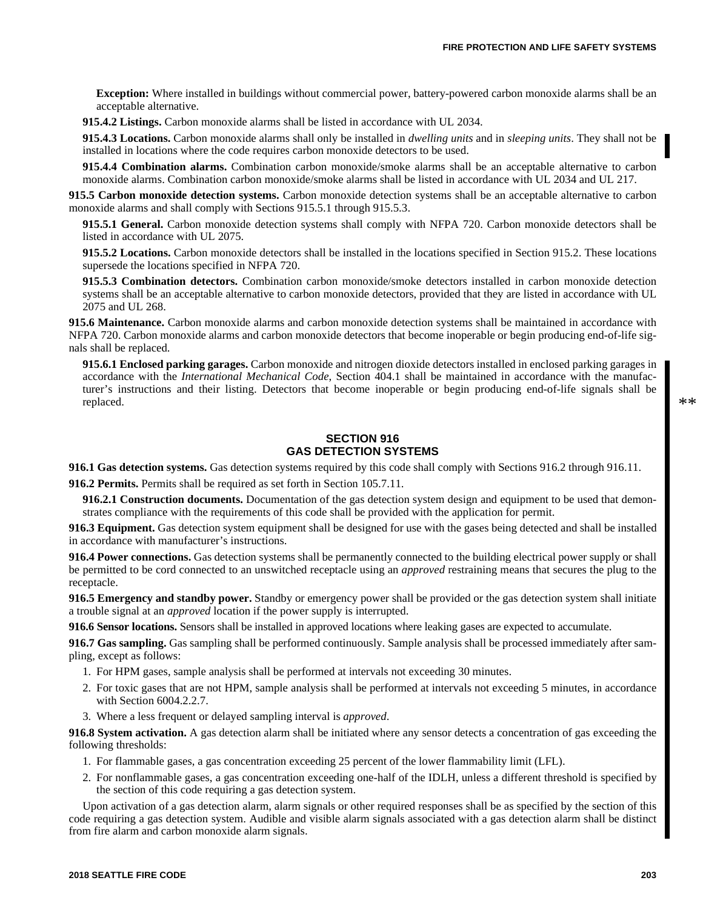**Exception:** Where installed in buildings without commercial power, battery-powered carbon monoxide alarms shall be an acceptable alternative.

**915.4.2 Listings.** Carbon monoxide alarms shall be listed in accordance with UL 2034.

**915.4.3 Locations.** Carbon monoxide alarms shall only be installed in *dwelling units* and in *sleeping units*. They shall not be installed in locations where the code requires carbon monoxide detectors to be used.

**915.4.4 Combination alarms.** Combination carbon monoxide/smoke alarms shall be an acceptable alternative to carbon monoxide alarms. Combination carbon monoxide/smoke alarms shall be listed in accordance with UL 2034 and UL 217.

**915.5 Carbon monoxide detection systems.** Carbon monoxide detection systems shall be an acceptable alternative to carbon monoxide alarms and shall comply with Sections 915.5.1 through 915.5.3.

**915.5.1 General.** Carbon monoxide detection systems shall comply with NFPA 720. Carbon monoxide detectors shall be listed in accordance with UL 2075.

**915.5.2 Locations.** Carbon monoxide detectors shall be installed in the locations specified in Section 915.2. These locations supersede the locations specified in NFPA 720.

**915.5.3 Combination detectors.** Combination carbon monoxide/smoke detectors installed in carbon monoxide detection systems shall be an acceptable alternative to carbon monoxide detectors, provided that they are listed in accordance with UL 2075 and UL 268.

**915.6 Maintenance.** Carbon monoxide alarms and carbon monoxide detection systems shall be maintained in accordance with NFPA 720. Carbon monoxide alarms and carbon monoxide detectors that become inoperable or begin producing end-of-life signals shall be replaced.

**915.6.1 Enclosed parking garages.** Carbon monoxide and nitrogen dioxide detectors installed in enclosed parking garages in accordance with the *International Mechanical Code*, Section 404.1 shall be maintained in accordance with the manufacturer's instructions and their listing. Detectors that become inoperable or begin producing end-of-life signals shall be replaced.

# **SECTION 916 GAS DETECTION SYSTEMS**

**916.1 Gas detection systems.** Gas detection systems required by this code shall comply with Sections 916.2 through 916.11. **916.2 Permits.** Permits shall be required as set forth in Section 105.7.11.

**916.2.1 Construction documents.** Documentation of the gas detection system design and equipment to be used that demonstrates compliance with the requirements of this code shall be provided with the application for permit.

**916.3 Equipment.** Gas detection system equipment shall be designed for use with the gases being detected and shall be installed in accordance with manufacturer's instructions.

**916.4 Power connections.** Gas detection systems shall be permanently connected to the building electrical power supply or shall be permitted to be cord connected to an unswitched receptacle using an *approved* restraining means that secures the plug to the receptacle.

**916.5 Emergency and standby power.** Standby or emergency power shall be provided or the gas detection system shall initiate a trouble signal at an *approved* location if the power supply is interrupted.

**916.6 Sensor locations.** Sensors shall be installed in approved locations where leaking gases are expected to accumulate.

**916.7 Gas sampling.** Gas sampling shall be performed continuously. Sample analysis shall be processed immediately after sampling, except as follows:

- 1. For HPM gases, sample analysis shall be performed at intervals not exceeding 30 minutes.
- 2. For toxic gases that are not HPM, sample analysis shall be performed at intervals not exceeding 5 minutes, in accordance with Section 6004.2.2.7.
- 3. Where a less frequent or delayed sampling interval is *approved*.

**916.8 System activation.** A gas detection alarm shall be initiated where any sensor detects a concentration of gas exceeding the following thresholds:

- 1. For flammable gases, a gas concentration exceeding 25 percent of the lower flammability limit (LFL).
- 2. For nonflammable gases, a gas concentration exceeding one-half of the IDLH, unless a different threshold is specified by the section of this code requiring a gas detection system.

Upon activation of a gas detection alarm, alarm signals or other required responses shall be as specified by the section of this code requiring a gas detection system. Audible and visible alarm signals associated with a gas detection alarm shall be distinct from fire alarm and carbon monoxide alarm signals.